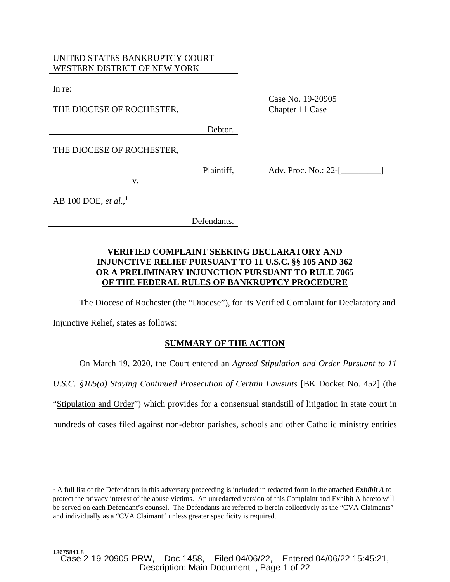## UNITED STATES BANKRUPTCY COURT WESTERN DISTRICT OF NEW YORK

v.

In re:

THE DIOCESE OF ROCHESTER,

Case No. 19-20905 Chapter 11 Case

Debtor.

THE DIOCESE OF ROCHESTER,

Plaintiff,

Adv. Proc. No.: 22-[\_\_\_\_\_\_\_\_\_\_\_]

AB 100 DOE, *et al*., 1

Defendants.

## **VERIFIED COMPLAINT SEEKING DECLARATORY AND INJUNCTIVE RELIEF PURSUANT TO 11 U.S.C. §§ 105 AND 362 OR A PRELIMINARY INJUNCTION PURSUANT TO RULE 7065 OF THE FEDERAL RULES OF BANKRUPTCY PROCEDURE**

The Diocese of Rochester (the "Diocese"), for its Verified Complaint for Declaratory and

Injunctive Relief, states as follows:

# **SUMMARY OF THE ACTION**

On March 19, 2020, the Court entered an *Agreed Stipulation and Order Pursuant to 11* 

*U.S.C. §105(a) Staying Continued Prosecution of Certain Lawsuits* [BK Docket No. 452] (the

"Stipulation and Order") which provides for a consensual standstill of litigation in state court in

hundreds of cases filed against non-debtor parishes, schools and other Catholic ministry entities

<sup>&</sup>lt;sup>1</sup> A full list of the Defendants in this adversary proceeding is included in redacted form in the attached *Exhibit A* to protect the privacy interest of the abuse victims. An unredacted version of this Complaint and Exhibit A hereto will be served on each Defendant's counsel. The Defendants are referred to herein collectively as the "CVA Claimants" and individually as a "CVA Claimant" unless greater specificity is required.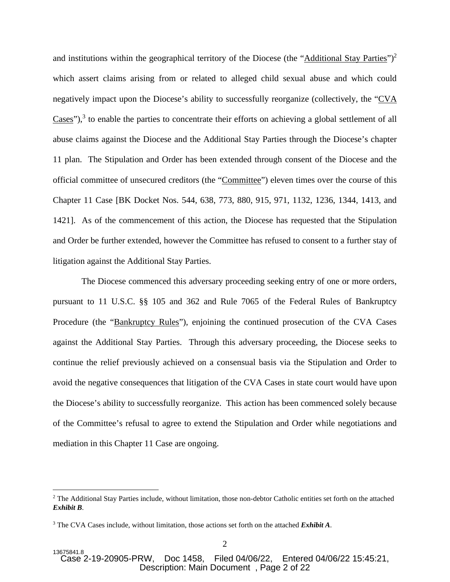and institutions within the geographical territory of the Diocese (the "Additional Stay Parties")<sup>2</sup> which assert claims arising from or related to alleged child sexual abuse and which could negatively impact upon the Diocese's ability to successfully reorganize (collectively, the "CVA  $\text{Cases''}$ ),<sup>3</sup> to enable the parties to concentrate their efforts on achieving a global settlement of all abuse claims against the Diocese and the Additional Stay Parties through the Diocese's chapter 11 plan. The Stipulation and Order has been extended through consent of the Diocese and the official committee of unsecured creditors (the "Committee") eleven times over the course of this Chapter 11 Case [BK Docket Nos. 544, 638, 773, 880, 915, 971, 1132, 1236, 1344, 1413, and 1421]. As of the commencement of this action, the Diocese has requested that the Stipulation and Order be further extended, however the Committee has refused to consent to a further stay of litigation against the Additional Stay Parties.

 The Diocese commenced this adversary proceeding seeking entry of one or more orders, pursuant to 11 U.S.C. §§ 105 and 362 and Rule 7065 of the Federal Rules of Bankruptcy Procedure (the "Bankruptcy Rules"), enjoining the continued prosecution of the CVA Cases against the Additional Stay Parties. Through this adversary proceeding, the Diocese seeks to continue the relief previously achieved on a consensual basis via the Stipulation and Order to avoid the negative consequences that litigation of the CVA Cases in state court would have upon the Diocese's ability to successfully reorganize. This action has been commenced solely because of the Committee's refusal to agree to extend the Stipulation and Order while negotiations and mediation in this Chapter 11 Case are ongoing.

<sup>&</sup>lt;sup>2</sup> The Additional Stay Parties include, without limitation, those non-debtor Catholic entities set forth on the attached *Exhibit B*.

<sup>3</sup> The CVA Cases include, without limitation, those actions set forth on the attached *Exhibit A*.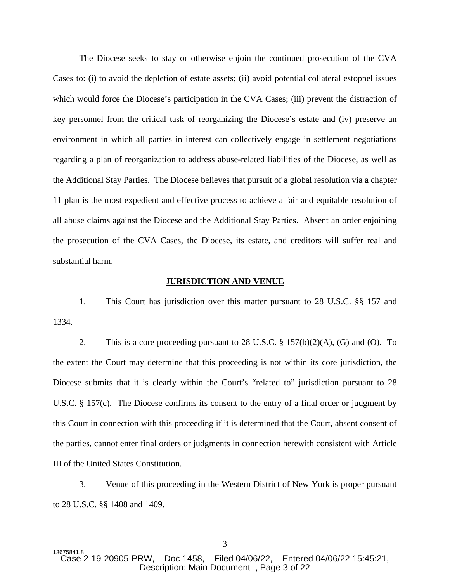The Diocese seeks to stay or otherwise enjoin the continued prosecution of the CVA Cases to: (i) to avoid the depletion of estate assets; (ii) avoid potential collateral estoppel issues which would force the Diocese's participation in the CVA Cases; (iii) prevent the distraction of key personnel from the critical task of reorganizing the Diocese's estate and (iv) preserve an environment in which all parties in interest can collectively engage in settlement negotiations regarding a plan of reorganization to address abuse-related liabilities of the Diocese, as well as the Additional Stay Parties. The Diocese believes that pursuit of a global resolution via a chapter 11 plan is the most expedient and effective process to achieve a fair and equitable resolution of all abuse claims against the Diocese and the Additional Stay Parties. Absent an order enjoining the prosecution of the CVA Cases, the Diocese, its estate, and creditors will suffer real and substantial harm.

#### **JURISDICTION AND VENUE**

1. This Court has jurisdiction over this matter pursuant to 28 U.S.C. §§ 157 and 1334.

2. This is a core proceeding pursuant to 28 U.S.C. § 157(b)(2)(A), (G) and (O). To the extent the Court may determine that this proceeding is not within its core jurisdiction, the Diocese submits that it is clearly within the Court's "related to" jurisdiction pursuant to 28 U.S.C. § 157(c). The Diocese confirms its consent to the entry of a final order or judgment by this Court in connection with this proceeding if it is determined that the Court, absent consent of the parties, cannot enter final orders or judgments in connection herewith consistent with Article III of the United States Constitution.

3. Venue of this proceeding in the Western District of New York is proper pursuant to 28 U.S.C. §§ 1408 and 1409.

<sup>13675841.8&</sup>lt;br>Case 2-19-20905-PRW. Doc 1458, Filed 04/06/22, Entered 04/06/22 15:45:21, Description: Main Document , Page 3 of 22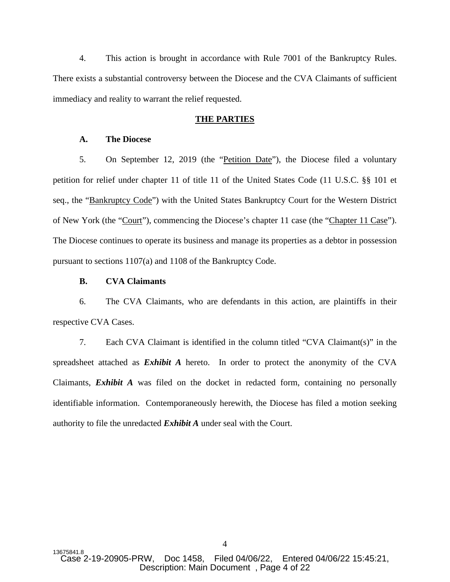4. This action is brought in accordance with Rule 7001 of the Bankruptcy Rules. There exists a substantial controversy between the Diocese and the CVA Claimants of sufficient immediacy and reality to warrant the relief requested.

#### **THE PARTIES**

#### **A. The Diocese**

5. On September 12, 2019 (the "Petition Date"), the Diocese filed a voluntary petition for relief under chapter 11 of title 11 of the United States Code (11 U.S.C. §§ 101 et seq., the "Bankruptcy Code") with the United States Bankruptcy Court for the Western District of New York (the "Court"), commencing the Diocese's chapter 11 case (the "Chapter 11 Case"). The Diocese continues to operate its business and manage its properties as a debtor in possession pursuant to sections 1107(a) and 1108 of the Bankruptcy Code.

#### **B. CVA Claimants**

6. The CVA Claimants, who are defendants in this action, are plaintiffs in their respective CVA Cases.

7. Each CVA Claimant is identified in the column titled "CVA Claimant(s)" in the spreadsheet attached as *Exhibit A* hereto. In order to protect the anonymity of the CVA Claimants, *Exhibit A* was filed on the docket in redacted form, containing no personally identifiable information. Contemporaneously herewith, the Diocese has filed a motion seeking authority to file the unredacted *Exhibit A* under seal with the Court.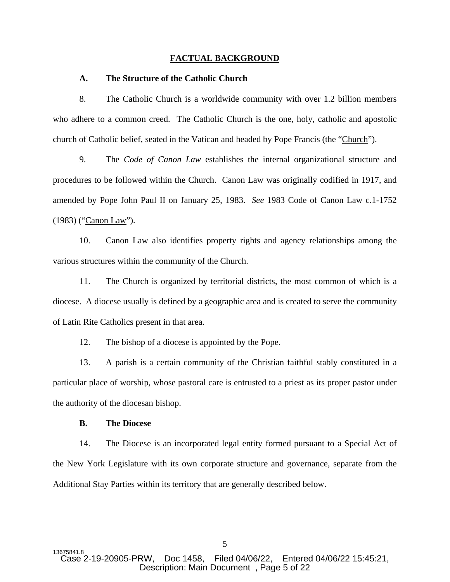#### **FACTUAL BACKGROUND**

#### **A. The Structure of the Catholic Church**

8. The Catholic Church is a worldwide community with over 1.2 billion members who adhere to a common creed. The Catholic Church is the one, holy, catholic and apostolic church of Catholic belief, seated in the Vatican and headed by Pope Francis (the "Church").

9. The *Code of Canon Law* establishes the internal organizational structure and procedures to be followed within the Church. Canon Law was originally codified in 1917, and amended by Pope John Paul II on January 25, 1983. *See* 1983 Code of Canon Law c.1-1752 (1983) ("Canon Law").

10. Canon Law also identifies property rights and agency relationships among the various structures within the community of the Church.

11. The Church is organized by territorial districts, the most common of which is a diocese. A diocese usually is defined by a geographic area and is created to serve the community of Latin Rite Catholics present in that area.

12. The bishop of a diocese is appointed by the Pope.

13. A parish is a certain community of the Christian faithful stably constituted in a particular place of worship, whose pastoral care is entrusted to a priest as its proper pastor under the authority of the diocesan bishop.

## **B. The Diocese**

14. The Diocese is an incorporated legal entity formed pursuant to a Special Act of the New York Legislature with its own corporate structure and governance, separate from the Additional Stay Parties within its territory that are generally described below.

5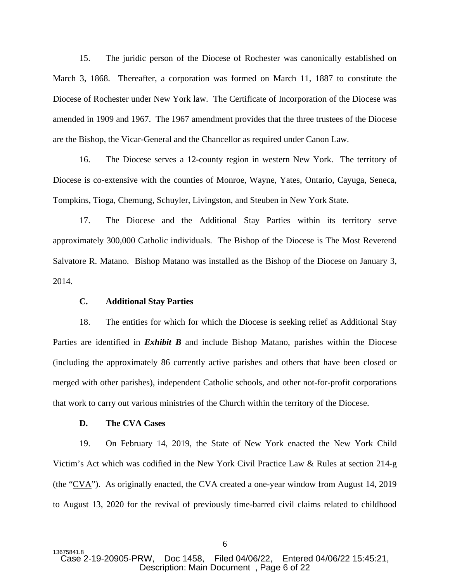15. The juridic person of the Diocese of Rochester was canonically established on March 3, 1868. Thereafter, a corporation was formed on March 11, 1887 to constitute the Diocese of Rochester under New York law. The Certificate of Incorporation of the Diocese was amended in 1909 and 1967. The 1967 amendment provides that the three trustees of the Diocese are the Bishop, the Vicar-General and the Chancellor as required under Canon Law.

16. The Diocese serves a 12-county region in western New York. The territory of Diocese is co-extensive with the counties of Monroe, Wayne, Yates, Ontario, Cayuga, Seneca, Tompkins, Tioga, Chemung, Schuyler, Livingston, and Steuben in New York State.

17. The Diocese and the Additional Stay Parties within its territory serve approximately 300,000 Catholic individuals. The Bishop of the Diocese is The Most Reverend Salvatore R. Matano. Bishop Matano was installed as the Bishop of the Diocese on January 3, 2014.

#### **C. Additional Stay Parties**

18. The entities for which for which the Diocese is seeking relief as Additional Stay Parties are identified in *Exhibit B* and include Bishop Matano, parishes within the Diocese (including the approximately 86 currently active parishes and others that have been closed or merged with other parishes), independent Catholic schools, and other not-for-profit corporations that work to carry out various ministries of the Church within the territory of the Diocese.

#### **D. The CVA Cases**

19. On February 14, 2019, the State of New York enacted the New York Child Victim's Act which was codified in the New York Civil Practice Law & Rules at section 214-g (the "CVA"). As originally enacted, the CVA created a one-year window from August 14, 2019 to August 13, 2020 for the revival of previously time-barred civil claims related to childhood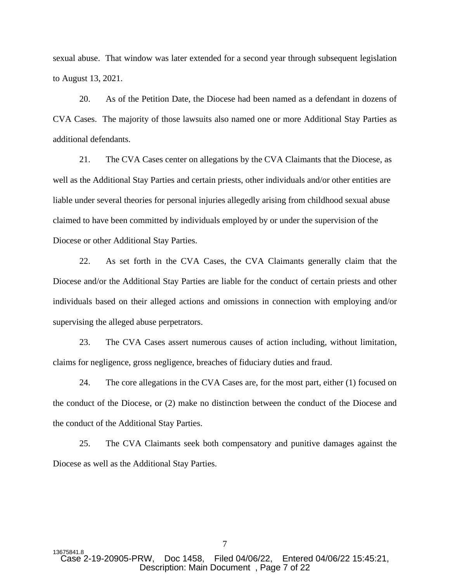sexual abuse. That window was later extended for a second year through subsequent legislation to August 13, 2021.

20. As of the Petition Date, the Diocese had been named as a defendant in dozens of CVA Cases. The majority of those lawsuits also named one or more Additional Stay Parties as additional defendants.

21. The CVA Cases center on allegations by the CVA Claimants that the Diocese, as well as the Additional Stay Parties and certain priests, other individuals and/or other entities are liable under several theories for personal injuries allegedly arising from childhood sexual abuse claimed to have been committed by individuals employed by or under the supervision of the Diocese or other Additional Stay Parties.

22. As set forth in the CVA Cases, the CVA Claimants generally claim that the Diocese and/or the Additional Stay Parties are liable for the conduct of certain priests and other individuals based on their alleged actions and omissions in connection with employing and/or supervising the alleged abuse perpetrators.

23. The CVA Cases assert numerous causes of action including, without limitation, claims for negligence, gross negligence, breaches of fiduciary duties and fraud.

24. The core allegations in the CVA Cases are, for the most part, either (1) focused on the conduct of the Diocese, or (2) make no distinction between the conduct of the Diocese and the conduct of the Additional Stay Parties.

25. The CVA Claimants seek both compensatory and punitive damages against the Diocese as well as the Additional Stay Parties.

13675841.8<br>Case 2-19-20905-PRW. Doc 1458, Filed 04/06/22, Entered 04/06/22 15:45:21, Description: Main Document , Page 7 of 22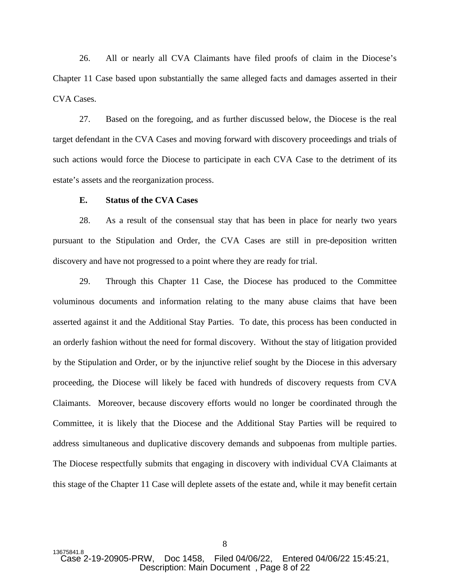26. All or nearly all CVA Claimants have filed proofs of claim in the Diocese's Chapter 11 Case based upon substantially the same alleged facts and damages asserted in their CVA Cases.

27. Based on the foregoing, and as further discussed below, the Diocese is the real target defendant in the CVA Cases and moving forward with discovery proceedings and trials of such actions would force the Diocese to participate in each CVA Case to the detriment of its estate's assets and the reorganization process.

## **E. Status of the CVA Cases**

28. As a result of the consensual stay that has been in place for nearly two years pursuant to the Stipulation and Order, the CVA Cases are still in pre-deposition written discovery and have not progressed to a point where they are ready for trial.

29. Through this Chapter 11 Case, the Diocese has produced to the Committee voluminous documents and information relating to the many abuse claims that have been asserted against it and the Additional Stay Parties. To date, this process has been conducted in an orderly fashion without the need for formal discovery. Without the stay of litigation provided by the Stipulation and Order, or by the injunctive relief sought by the Diocese in this adversary proceeding, the Diocese will likely be faced with hundreds of discovery requests from CVA Claimants. Moreover, because discovery efforts would no longer be coordinated through the Committee, it is likely that the Diocese and the Additional Stay Parties will be required to address simultaneous and duplicative discovery demands and subpoenas from multiple parties. The Diocese respectfully submits that engaging in discovery with individual CVA Claimants at this stage of the Chapter 11 Case will deplete assets of the estate and, while it may benefit certain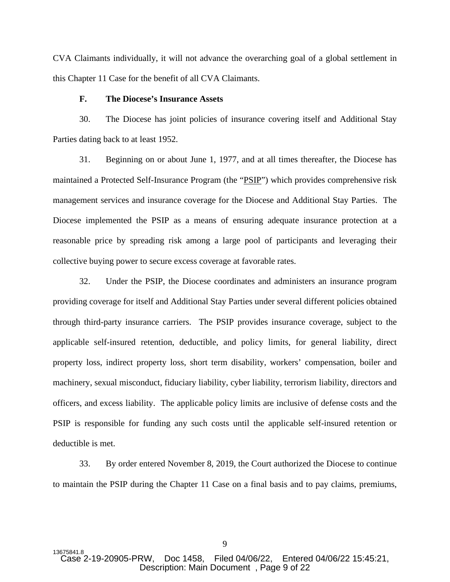CVA Claimants individually, it will not advance the overarching goal of a global settlement in this Chapter 11 Case for the benefit of all CVA Claimants.

## **F. The Diocese's Insurance Assets**

30. The Diocese has joint policies of insurance covering itself and Additional Stay Parties dating back to at least 1952.

31. Beginning on or about June 1, 1977, and at all times thereafter, the Diocese has maintained a Protected Self-Insurance Program (the "PSIP") which provides comprehensive risk management services and insurance coverage for the Diocese and Additional Stay Parties. The Diocese implemented the PSIP as a means of ensuring adequate insurance protection at a reasonable price by spreading risk among a large pool of participants and leveraging their collective buying power to secure excess coverage at favorable rates.

32. Under the PSIP, the Diocese coordinates and administers an insurance program providing coverage for itself and Additional Stay Parties under several different policies obtained through third-party insurance carriers. The PSIP provides insurance coverage, subject to the applicable self-insured retention, deductible, and policy limits, for general liability, direct property loss, indirect property loss, short term disability, workers' compensation, boiler and machinery, sexual misconduct, fiduciary liability, cyber liability, terrorism liability, directors and officers, and excess liability. The applicable policy limits are inclusive of defense costs and the PSIP is responsible for funding any such costs until the applicable self-insured retention or deductible is met.

33. By order entered November 8, 2019, the Court authorized the Diocese to continue to maintain the PSIP during the Chapter 11 Case on a final basis and to pay claims, premiums,

13675841.8<br>Case 2-19-20905-PRW. Doc 1458. Filed 04/06/22. Entered 04/06/22 15:45:21. Description: Main Document , Page 9 of 22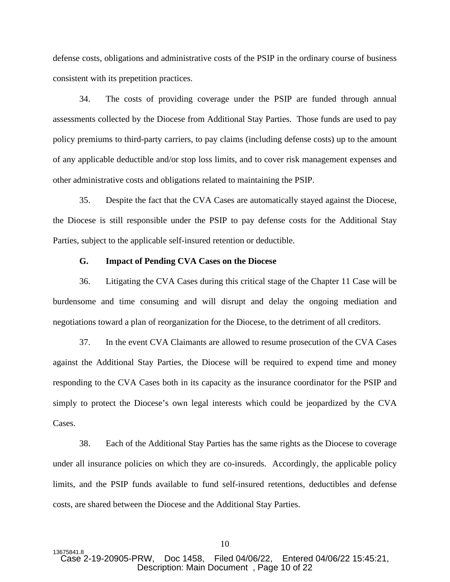defense costs, obligations and administrative costs of the PSIP in the ordinary course of business consistent with its prepetition practices.

34. The costs of providing coverage under the PSIP are funded through annual assessments collected by the Diocese from Additional Stay Parties. Those funds are used to pay policy premiums to third-party carriers, to pay claims (including defense costs) up to the amount of any applicable deductible and/or stop loss limits, and to cover risk management expenses and other administrative costs and obligations related to maintaining the PSIP.

35. Despite the fact that the CVA Cases are automatically stayed against the Diocese, the Diocese is still responsible under the PSIP to pay defense costs for the Additional Stay Parties, subject to the applicable self-insured retention or deductible.

#### **G. Impact of Pending CVA Cases on the Diocese**

36. Litigating the CVA Cases during this critical stage of the Chapter 11 Case will be burdensome and time consuming and will disrupt and delay the ongoing mediation and negotiations toward a plan of reorganization for the Diocese, to the detriment of all creditors.

37. In the event CVA Claimants are allowed to resume prosecution of the CVA Cases against the Additional Stay Parties, the Diocese will be required to expend time and money responding to the CVA Cases both in its capacity as the insurance coordinator for the PSIP and simply to protect the Diocese's own legal interests which could be jeopardized by the CVA Cases.

38. Each of the Additional Stay Parties has the same rights as the Diocese to coverage under all insurance policies on which they are co-insureds. Accordingly, the applicable policy limits, and the PSIP funds available to fund self-insured retentions, deductibles and defense costs, are shared between the Diocese and the Additional Stay Parties.

<sup>13675841.8&</sup>lt;br>Case 2-19-20905-PRW. Doc 1458. Filed 04/06/22. Entered 04/06/22 15:45:21. Description: Main Document , Page 10 of 22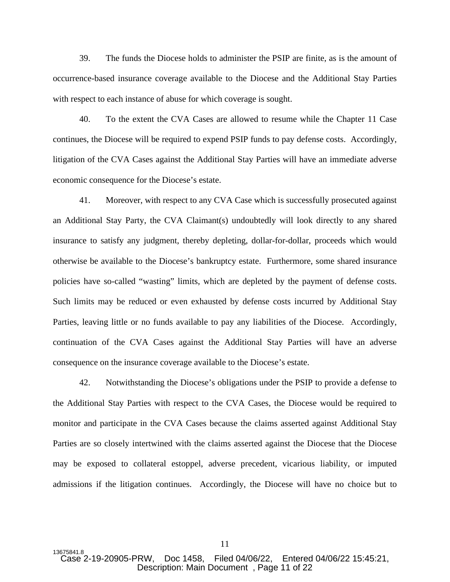39. The funds the Diocese holds to administer the PSIP are finite, as is the amount of occurrence-based insurance coverage available to the Diocese and the Additional Stay Parties with respect to each instance of abuse for which coverage is sought.

40. To the extent the CVA Cases are allowed to resume while the Chapter 11 Case continues, the Diocese will be required to expend PSIP funds to pay defense costs. Accordingly, litigation of the CVA Cases against the Additional Stay Parties will have an immediate adverse economic consequence for the Diocese's estate.

41. Moreover, with respect to any CVA Case which is successfully prosecuted against an Additional Stay Party, the CVA Claimant(s) undoubtedly will look directly to any shared insurance to satisfy any judgment, thereby depleting, dollar-for-dollar, proceeds which would otherwise be available to the Diocese's bankruptcy estate. Furthermore, some shared insurance policies have so-called "wasting" limits, which are depleted by the payment of defense costs. Such limits may be reduced or even exhausted by defense costs incurred by Additional Stay Parties, leaving little or no funds available to pay any liabilities of the Diocese. Accordingly, continuation of the CVA Cases against the Additional Stay Parties will have an adverse consequence on the insurance coverage available to the Diocese's estate.

42. Notwithstanding the Diocese's obligations under the PSIP to provide a defense to the Additional Stay Parties with respect to the CVA Cases, the Diocese would be required to monitor and participate in the CVA Cases because the claims asserted against Additional Stay Parties are so closely intertwined with the claims asserted against the Diocese that the Diocese may be exposed to collateral estoppel, adverse precedent, vicarious liability, or imputed admissions if the litigation continues. Accordingly, the Diocese will have no choice but to

11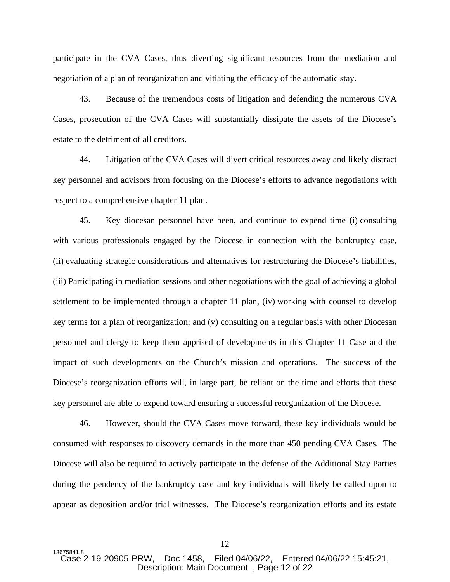participate in the CVA Cases, thus diverting significant resources from the mediation and negotiation of a plan of reorganization and vitiating the efficacy of the automatic stay.

43. Because of the tremendous costs of litigation and defending the numerous CVA Cases, prosecution of the CVA Cases will substantially dissipate the assets of the Diocese's estate to the detriment of all creditors.

44. Litigation of the CVA Cases will divert critical resources away and likely distract key personnel and advisors from focusing on the Diocese's efforts to advance negotiations with respect to a comprehensive chapter 11 plan.

45. Key diocesan personnel have been, and continue to expend time (i) consulting with various professionals engaged by the Diocese in connection with the bankruptcy case, (ii) evaluating strategic considerations and alternatives for restructuring the Diocese's liabilities, (iii) Participating in mediation sessions and other negotiations with the goal of achieving a global settlement to be implemented through a chapter 11 plan, (iv) working with counsel to develop key terms for a plan of reorganization; and (v) consulting on a regular basis with other Diocesan personnel and clergy to keep them apprised of developments in this Chapter 11 Case and the impact of such developments on the Church's mission and operations. The success of the Diocese's reorganization efforts will, in large part, be reliant on the time and efforts that these key personnel are able to expend toward ensuring a successful reorganization of the Diocese.

46. However, should the CVA Cases move forward, these key individuals would be consumed with responses to discovery demands in the more than 450 pending CVA Cases. The Diocese will also be required to actively participate in the defense of the Additional Stay Parties during the pendency of the bankruptcy case and key individuals will likely be called upon to appear as deposition and/or trial witnesses. The Diocese's reorganization efforts and its estate

<sup>13675841.8&</sup>lt;br>Case 2-19-20905-PRW. Doc 1458. Filed 04/06/22. Entered 04/06/22 15:45:21, Description: Main Document , Page 12 of 22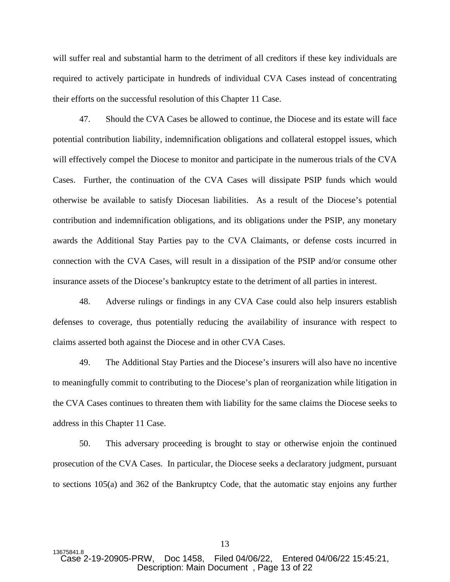will suffer real and substantial harm to the detriment of all creditors if these key individuals are required to actively participate in hundreds of individual CVA Cases instead of concentrating their efforts on the successful resolution of this Chapter 11 Case.

47. Should the CVA Cases be allowed to continue, the Diocese and its estate will face potential contribution liability, indemnification obligations and collateral estoppel issues, which will effectively compel the Diocese to monitor and participate in the numerous trials of the CVA Cases. Further, the continuation of the CVA Cases will dissipate PSIP funds which would otherwise be available to satisfy Diocesan liabilities. As a result of the Diocese's potential contribution and indemnification obligations, and its obligations under the PSIP, any monetary awards the Additional Stay Parties pay to the CVA Claimants, or defense costs incurred in connection with the CVA Cases, will result in a dissipation of the PSIP and/or consume other insurance assets of the Diocese's bankruptcy estate to the detriment of all parties in interest.

48. Adverse rulings or findings in any CVA Case could also help insurers establish defenses to coverage, thus potentially reducing the availability of insurance with respect to claims asserted both against the Diocese and in other CVA Cases.

49. The Additional Stay Parties and the Diocese's insurers will also have no incentive to meaningfully commit to contributing to the Diocese's plan of reorganization while litigation in the CVA Cases continues to threaten them with liability for the same claims the Diocese seeks to address in this Chapter 11 Case.

50. This adversary proceeding is brought to stay or otherwise enjoin the continued prosecution of the CVA Cases. In particular, the Diocese seeks a declaratory judgment, pursuant to sections 105(a) and 362 of the Bankruptcy Code, that the automatic stay enjoins any further

<sup>13675841.8&</sup>lt;br>Case 2-19-20905-PRW, Doc 1458, Filed 04/06/22, Entered 04/06/22 15:45:21, Description: Main Document , Page 13 of 22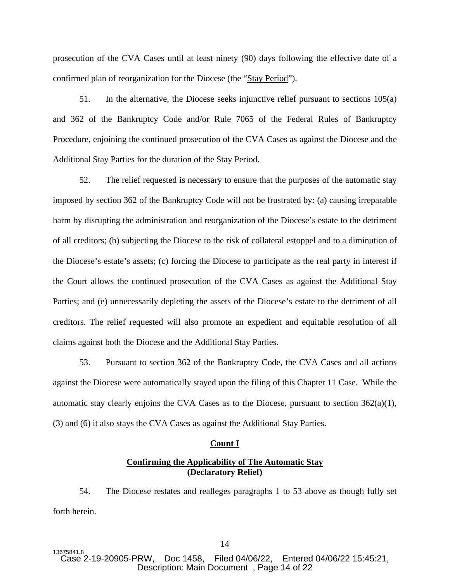prosecution of the CVA Cases until at least ninety (90) days following the effective date of a confirmed plan of reorganization for the Diocese (the "Stay Period").

51. In the alternative, the Diocese seeks injunctive relief pursuant to sections 105(a) and 362 of the Bankruptcy Code and/or Rule 7065 of the Federal Rules of Bankruptcy Procedure, enjoining the continued prosecution of the CVA Cases as against the Diocese and the Additional Stay Parties for the duration of the Stay Period.

52. The relief requested is necessary to ensure that the purposes of the automatic stay imposed by section 362 of the Bankruptcy Code will not be frustrated by: (a) causing irreparable harm by disrupting the administration and reorganization of the Diocese's estate to the detriment of all creditors; (b) subjecting the Diocese to the risk of collateral estoppel and to a diminution of the Diocese's estate's assets; (c) forcing the Diocese to participate as the real party in interest if the Court allows the continued prosecution of the CVA Cases as against the Additional Stay Parties; and (e) unnecessarily depleting the assets of the Diocese's estate to the detriment of all creditors. The relief requested will also promote an expedient and equitable resolution of all claims against both the Diocese and the Additional Stay Parties.

53. Pursuant to section 362 of the Bankruptcy Code, the CVA Cases and all actions against the Diocese were automatically stayed upon the filing of this Chapter 11 Case. While the automatic stay clearly enjoins the CVA Cases as to the Diocese, pursuant to section  $362(a)(1)$ , (3) and (6) it also stays the CVA Cases as against the Additional Stay Parties.

#### **Count I**

## **Confirming the Applicability of The Automatic Stay (Declaratory Relief)**

54. The Diocese restates and realleges paragraphs 1 to 53 above as though fully set forth herein.

<sup>13675841.8&</sup>lt;br>Case 2-19-20905-PRW. Doc 1458. Filed 04/06/22. Entered 04/06/22 15:45:21, Description: Main Document , Page 14 of 22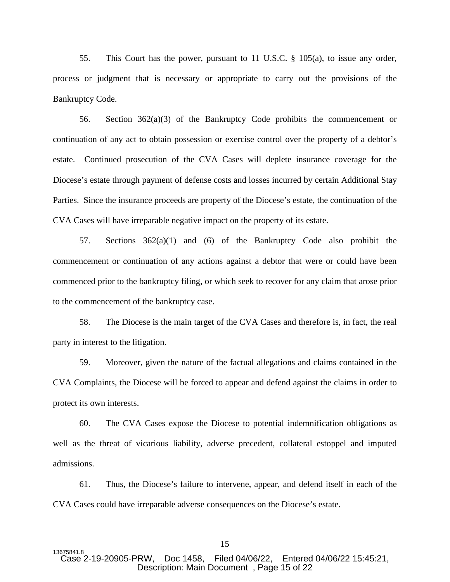55. This Court has the power, pursuant to 11 U.S.C. § 105(a), to issue any order, process or judgment that is necessary or appropriate to carry out the provisions of the Bankruptcy Code.

56. Section 362(a)(3) of the Bankruptcy Code prohibits the commencement or continuation of any act to obtain possession or exercise control over the property of a debtor's estate. Continued prosecution of the CVA Cases will deplete insurance coverage for the Diocese's estate through payment of defense costs and losses incurred by certain Additional Stay Parties. Since the insurance proceeds are property of the Diocese's estate, the continuation of the CVA Cases will have irreparable negative impact on the property of its estate.

57. Sections 362(a)(1) and (6) of the Bankruptcy Code also prohibit the commencement or continuation of any actions against a debtor that were or could have been commenced prior to the bankruptcy filing, or which seek to recover for any claim that arose prior to the commencement of the bankruptcy case.

58. The Diocese is the main target of the CVA Cases and therefore is, in fact, the real party in interest to the litigation.

59. Moreover, given the nature of the factual allegations and claims contained in the CVA Complaints, the Diocese will be forced to appear and defend against the claims in order to protect its own interests.

60. The CVA Cases expose the Diocese to potential indemnification obligations as well as the threat of vicarious liability, adverse precedent, collateral estoppel and imputed admissions.

61. Thus, the Diocese's failure to intervene, appear, and defend itself in each of the CVA Cases could have irreparable adverse consequences on the Diocese's estate.

<sup>13675841.8&</sup>lt;br>Case 2-19-20905-PRW. Doc 1458. Filed 04/06/22. Entered 04/06/22 15:45:21. Description: Main Document , Page 15 of 22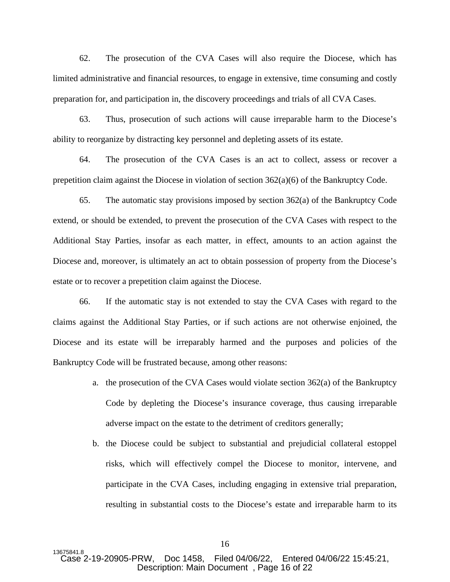62. The prosecution of the CVA Cases will also require the Diocese, which has limited administrative and financial resources, to engage in extensive, time consuming and costly preparation for, and participation in, the discovery proceedings and trials of all CVA Cases.

63. Thus, prosecution of such actions will cause irreparable harm to the Diocese's ability to reorganize by distracting key personnel and depleting assets of its estate.

64. The prosecution of the CVA Cases is an act to collect, assess or recover a prepetition claim against the Diocese in violation of section  $362(a)(6)$  of the Bankruptcy Code.

65. The automatic stay provisions imposed by section  $362(a)$  of the Bankruptcy Code extend, or should be extended, to prevent the prosecution of the CVA Cases with respect to the Additional Stay Parties, insofar as each matter, in effect, amounts to an action against the Diocese and, moreover, is ultimately an act to obtain possession of property from the Diocese's estate or to recover a prepetition claim against the Diocese.

66. If the automatic stay is not extended to stay the CVA Cases with regard to the claims against the Additional Stay Parties, or if such actions are not otherwise enjoined, the Diocese and its estate will be irreparably harmed and the purposes and policies of the Bankruptcy Code will be frustrated because, among other reasons:

- a. the prosecution of the CVA Cases would violate section 362(a) of the Bankruptcy Code by depleting the Diocese's insurance coverage, thus causing irreparable adverse impact on the estate to the detriment of creditors generally;
- b. the Diocese could be subject to substantial and prejudicial collateral estoppel risks, which will effectively compel the Diocese to monitor, intervene, and participate in the CVA Cases, including engaging in extensive trial preparation, resulting in substantial costs to the Diocese's estate and irreparable harm to its

<sup>13675841.8&</sup>lt;br>Case 2-19-20905-PRW. Doc 1458. Filed 04/06/22. Entered 04/06/22 15:45:21, Description: Main Document , Page 16 of 22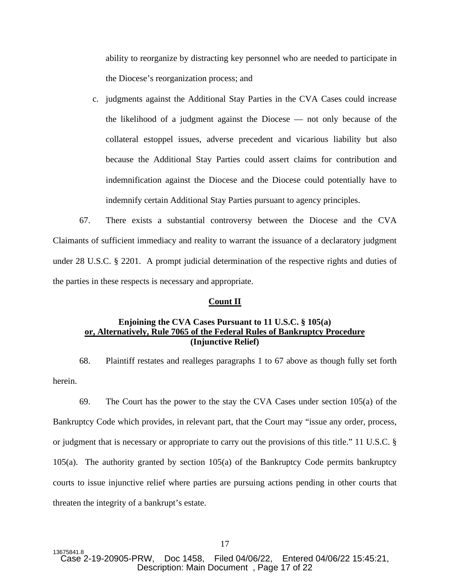ability to reorganize by distracting key personnel who are needed to participate in the Diocese's reorganization process; and

c. judgments against the Additional Stay Parties in the CVA Cases could increase the likelihood of a judgment against the Diocese — not only because of the collateral estoppel issues, adverse precedent and vicarious liability but also because the Additional Stay Parties could assert claims for contribution and indemnification against the Diocese and the Diocese could potentially have to indemnify certain Additional Stay Parties pursuant to agency principles.

67. There exists a substantial controversy between the Diocese and the CVA Claimants of sufficient immediacy and reality to warrant the issuance of a declaratory judgment under 28 U.S.C. § 2201. A prompt judicial determination of the respective rights and duties of the parties in these respects is necessary and appropriate.

#### **Count II**

## **Enjoining the CVA Cases Pursuant to 11 U.S.C. § 105(a) or, Alternatively, Rule 7065 of the Federal Rules of Bankruptcy Procedure (Injunctive Relief)**

68. Plaintiff restates and realleges paragraphs 1 to 67 above as though fully set forth herein.

69. The Court has the power to the stay the CVA Cases under section 105(a) of the Bankruptcy Code which provides, in relevant part, that the Court may "issue any order, process, or judgment that is necessary or appropriate to carry out the provisions of this title." 11 U.S.C. § 105(a). The authority granted by section 105(a) of the Bankruptcy Code permits bankruptcy courts to issue injunctive relief where parties are pursuing actions pending in other courts that threaten the integrity of a bankrupt's estate.

13675841.8<br>Case 2-19-20905-PRW. Doc 1458. Filed 04/06/22. Entered 04/06/22 15:45:21. Description: Main Document , Page 17 of 22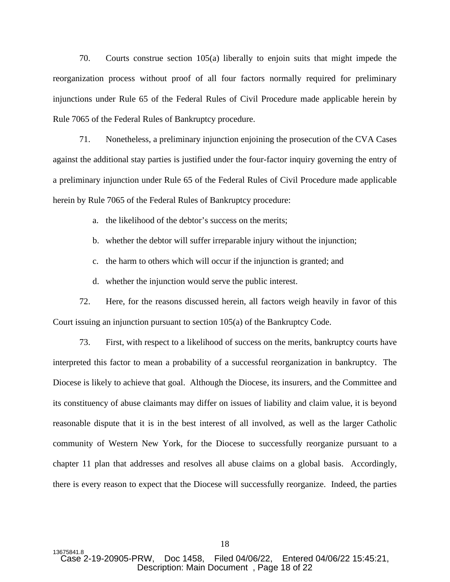70. Courts construe section 105(a) liberally to enjoin suits that might impede the reorganization process without proof of all four factors normally required for preliminary injunctions under Rule 65 of the Federal Rules of Civil Procedure made applicable herein by Rule 7065 of the Federal Rules of Bankruptcy procedure.

71. Nonetheless, a preliminary injunction enjoining the prosecution of the CVA Cases against the additional stay parties is justified under the four-factor inquiry governing the entry of a preliminary injunction under Rule 65 of the Federal Rules of Civil Procedure made applicable herein by Rule 7065 of the Federal Rules of Bankruptcy procedure:

a. the likelihood of the debtor's success on the merits;

b. whether the debtor will suffer irreparable injury without the injunction;

c. the harm to others which will occur if the injunction is granted; and

d. whether the injunction would serve the public interest.

72. Here, for the reasons discussed herein, all factors weigh heavily in favor of this Court issuing an injunction pursuant to section 105(a) of the Bankruptcy Code.

73. First, with respect to a likelihood of success on the merits, bankruptcy courts have interpreted this factor to mean a probability of a successful reorganization in bankruptcy. The Diocese is likely to achieve that goal. Although the Diocese, its insurers, and the Committee and its constituency of abuse claimants may differ on issues of liability and claim value, it is beyond reasonable dispute that it is in the best interest of all involved, as well as the larger Catholic community of Western New York, for the Diocese to successfully reorganize pursuant to a chapter 11 plan that addresses and resolves all abuse claims on a global basis. Accordingly, there is every reason to expect that the Diocese will successfully reorganize. Indeed, the parties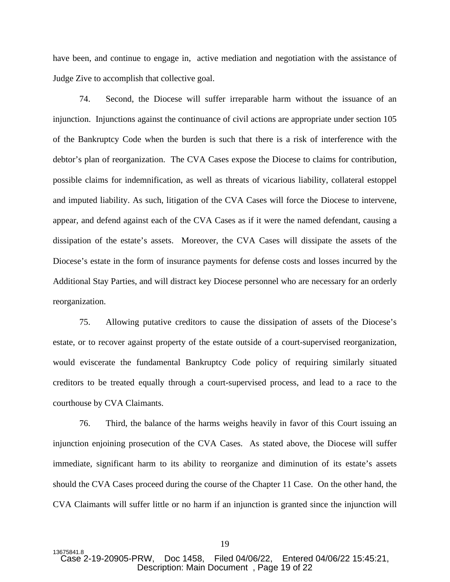have been, and continue to engage in, active mediation and negotiation with the assistance of Judge Zive to accomplish that collective goal.

74. Second, the Diocese will suffer irreparable harm without the issuance of an injunction. Injunctions against the continuance of civil actions are appropriate under section 105 of the Bankruptcy Code when the burden is such that there is a risk of interference with the debtor's plan of reorganization. The CVA Cases expose the Diocese to claims for contribution, possible claims for indemnification, as well as threats of vicarious liability, collateral estoppel and imputed liability. As such, litigation of the CVA Cases will force the Diocese to intervene, appear, and defend against each of the CVA Cases as if it were the named defendant, causing a dissipation of the estate's assets. Moreover, the CVA Cases will dissipate the assets of the Diocese's estate in the form of insurance payments for defense costs and losses incurred by the Additional Stay Parties, and will distract key Diocese personnel who are necessary for an orderly reorganization.

75. Allowing putative creditors to cause the dissipation of assets of the Diocese's estate, or to recover against property of the estate outside of a court-supervised reorganization, would eviscerate the fundamental Bankruptcy Code policy of requiring similarly situated creditors to be treated equally through a court-supervised process, and lead to a race to the courthouse by CVA Claimants.

76. Third, the balance of the harms weighs heavily in favor of this Court issuing an injunction enjoining prosecution of the CVA Cases. As stated above, the Diocese will suffer immediate, significant harm to its ability to reorganize and diminution of its estate's assets should the CVA Cases proceed during the course of the Chapter 11 Case. On the other hand, the CVA Claimants will suffer little or no harm if an injunction is granted since the injunction will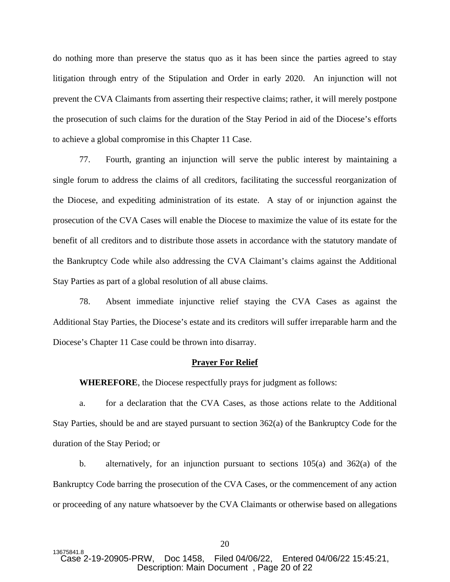do nothing more than preserve the status quo as it has been since the parties agreed to stay litigation through entry of the Stipulation and Order in early 2020. An injunction will not prevent the CVA Claimants from asserting their respective claims; rather, it will merely postpone the prosecution of such claims for the duration of the Stay Period in aid of the Diocese's efforts to achieve a global compromise in this Chapter 11 Case.

77. Fourth, granting an injunction will serve the public interest by maintaining a single forum to address the claims of all creditors, facilitating the successful reorganization of the Diocese, and expediting administration of its estate. A stay of or injunction against the prosecution of the CVA Cases will enable the Diocese to maximize the value of its estate for the benefit of all creditors and to distribute those assets in accordance with the statutory mandate of the Bankruptcy Code while also addressing the CVA Claimant's claims against the Additional Stay Parties as part of a global resolution of all abuse claims.

78. Absent immediate injunctive relief staying the CVA Cases as against the Additional Stay Parties, the Diocese's estate and its creditors will suffer irreparable harm and the Diocese's Chapter 11 Case could be thrown into disarray.

#### **Prayer For Relief**

**WHEREFORE**, the Diocese respectfully prays for judgment as follows:

a. for a declaration that the CVA Cases, as those actions relate to the Additional Stay Parties, should be and are stayed pursuant to section 362(a) of the Bankruptcy Code for the duration of the Stay Period; or

b. alternatively, for an injunction pursuant to sections  $105(a)$  and  $362(a)$  of the Bankruptcy Code barring the prosecution of the CVA Cases, or the commencement of any action or proceeding of any nature whatsoever by the CVA Claimants or otherwise based on allegations

<sup>13675841.8&</sup>lt;br>Case 2-19-20905-PRW. Doc 1458. Filed 04/06/22. Entered 04/06/22 15:45:21, Description: Main Document , Page 20 of 22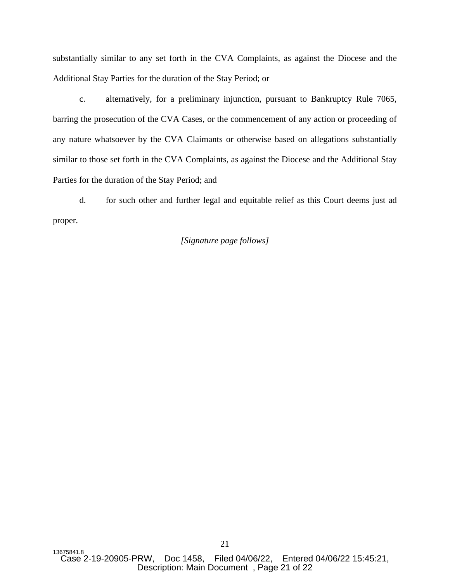substantially similar to any set forth in the CVA Complaints, as against the Diocese and the Additional Stay Parties for the duration of the Stay Period; or

c. alternatively, for a preliminary injunction, pursuant to Bankruptcy Rule 7065, barring the prosecution of the CVA Cases, or the commencement of any action or proceeding of any nature whatsoever by the CVA Claimants or otherwise based on allegations substantially similar to those set forth in the CVA Complaints, as against the Diocese and the Additional Stay Parties for the duration of the Stay Period; and

d. for such other and further legal and equitable relief as this Court deems just ad proper.

## *[Signature page follows]*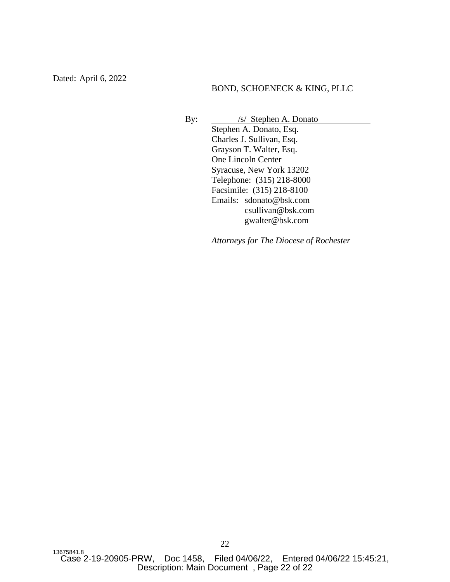Dated: April 6, 2022

## BOND, SCHOENECK & KING, PLLC

By: <u>/s/ Stephen A. Donato</u> Stephen A. Donato, Esq. Charles J. Sullivan, Esq. Grayson T. Walter, Esq. One Lincoln Center Syracuse, New York 13202 Telephone: (315) 218-8000 Facsimile: (315) 218-8100 Emails: sdonato@bsk.com csullivan@bsk.com gwalter@bsk.com

*Attorneys for The Diocese of Rochester*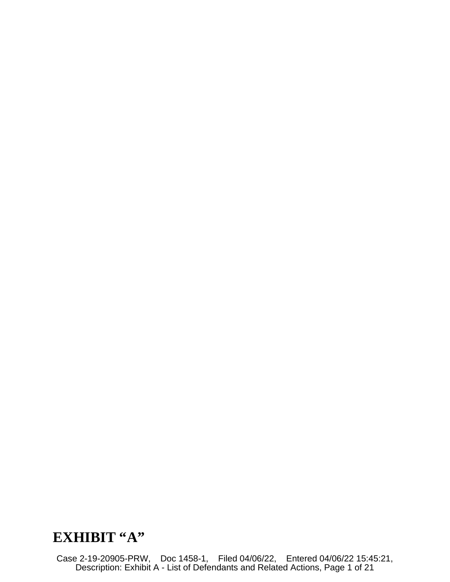# **EXHIBIT "A"**

Case 2-19-20905-PRW, Doc 1458-1, Filed 04/06/22, Entered 04/06/22 15:45:21, Description: Exhibit A - List of Defendants and Related Actions, Page 1 of 21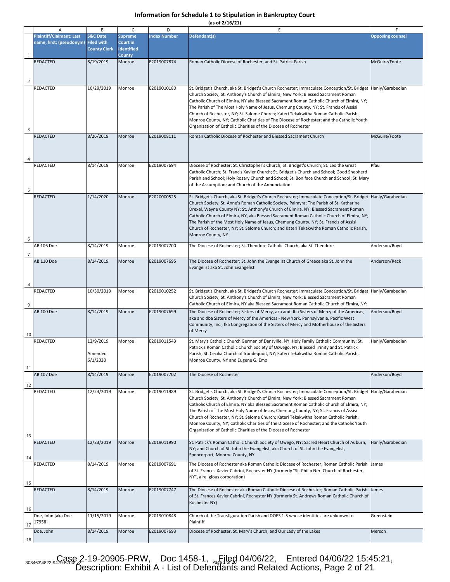**(as of 2/16/21)**

|                | Α                                                           | B                                                               | C                                                                | D                   | E                                                                                                                                                                                                                                                                                                                                                                                                                                                                                                                                                                                                                                             | F                       |
|----------------|-------------------------------------------------------------|-----------------------------------------------------------------|------------------------------------------------------------------|---------------------|-----------------------------------------------------------------------------------------------------------------------------------------------------------------------------------------------------------------------------------------------------------------------------------------------------------------------------------------------------------------------------------------------------------------------------------------------------------------------------------------------------------------------------------------------------------------------------------------------------------------------------------------------|-------------------------|
| $\mathbf{1}$   | <b>Plaintiff/Claimant: Last</b><br>name, first; (pseudonym) | <b>S&amp;C Date</b><br><b>Filed with</b><br><b>County Clerk</b> | <b>Supreme</b><br>Court in<br><b>Identified</b><br><b>County</b> | <b>Index Number</b> | Defendant(s)                                                                                                                                                                                                                                                                                                                                                                                                                                                                                                                                                                                                                                  | <b>Opposing counsel</b> |
| $\overline{c}$ | <b>REDACTED</b>                                             | 8/19/2019                                                       | Monroe                                                           | E2019007874         | Roman Catholic Diocese of Rochester, and St. Patrick Parish                                                                                                                                                                                                                                                                                                                                                                                                                                                                                                                                                                                   | McGuire/Foote           |
| 3              | <b>REDACTED</b>                                             | 10/29/2019                                                      | Monroe                                                           | E2019010180         | St. Bridget's Church, aka St. Bridget's Church Rochester; Immaculate Conception/St. Bridget  Hanly/Garabedian<br>Church Society; St. Anthony's Church of Elmira, New York; Blessed Sacrament Roman<br>Catholic Church of Elmira, NY aka Blessed Sacrament Roman Catholic Church of Elmira, NY;<br>The Parish of The Most Holy Name of Jesus, Chemung County, NY; St. Francis of Assisi<br>Church of Rochester, NY; St. Salome Church; Kateri Tekakwitha Roman Catholic Parish,<br>Monroe County, NY; Catholic Charities of The Diocese of Rochester; and the Catholic Youth<br>Organization of Catholic Charities of the Diocese of Rochester |                         |
| 4              | <b>REDACTED</b>                                             | 8/26/2019                                                       | Monroe                                                           | E2019008111         | Roman Catholic Diocese of Rochester and Blessed Sacrament Church                                                                                                                                                                                                                                                                                                                                                                                                                                                                                                                                                                              | McGuire/Foote           |
| 5              | <b>REDACTED</b>                                             | 8/14/2019                                                       | Monroe                                                           | E2019007694         | Diocese of Rochester; St. Christopher's Church; St. Bridget's Church; St. Leo the Great<br>Catholic Church; St. Francis Xavier Church; St. Bridget's Church and School; Good Shepherd<br>Parish and School; Holy Rosary Church and School; St. Boniface Church and School; St. Mary<br>of the Assumption; and Church of the Annunciation                                                                                                                                                                                                                                                                                                      | Pfau                    |
| 6              | <b>REDACTED</b>                                             | 1/14/2020                                                       | Monroe                                                           | E2020000525         | St. Bridget's Church, aka St. Bridget's Church Rochester; Immaculate Conception/St. Bridget Hanly/Garabedian<br>Church Society; St. Anne's Roman Catholic Society, Palmyra; The Parish of St. Katharine<br>Drexel, Wayne County NY; St. Anthony's Church of Elmira, NY; Blessed Sacrament Roman<br>Catholic Church of Elmira, NY, aka Blessed Sacrament Roman Catholic Church of Elmira, NY;<br>The Parish of the Most Holy Name of Jesus, Chemung County, NY; St. Francis of Assisi<br>Church of Rochester, NY; St. Salome Church; and Kateri Tekakwitha Roman Catholic Parish,<br>Monroe County, NY                                         |                         |
| $\overline{7}$ | AB 106 Doe                                                  | 8/14/2019                                                       | Monroe                                                           | E2019007700         | The Diocese of Rochester; St. Theodore Catholic Church, aka St. Theodore                                                                                                                                                                                                                                                                                                                                                                                                                                                                                                                                                                      | Anderson/Boyd           |
| 8              | <b>AB 110 Doe</b>                                           | 8/14/2019                                                       | Monroe                                                           | E2019007695         | The Diocese of Rochester; St. John the Evangelist Church of Greece aka St. John the<br>Evangelist aka St. John Evangelist                                                                                                                                                                                                                                                                                                                                                                                                                                                                                                                     | Anderson/Reck           |
| 9              | <b>REDACTED</b>                                             | 10/30/2019                                                      | Monroe                                                           | E2019010252         | St. Bridget's Church, aka St. Bridget's Church Rochester; Immaculate Conception/St. Bridget  Hanly/Garabedian<br>Church Society; St. Anthony's Church of Elmira, New York; Blessed Sacrament Roman<br>Catholic Church of Elmira, NY aka Blessed Sacrament Roman Catholic Church of Elmira, NY:                                                                                                                                                                                                                                                                                                                                                |                         |
| 10             | <b>AB 100 Doe</b>                                           | 8/14/2019                                                       | Monroe                                                           | E2019007699         | The Diocese of Rochester; Sisters of Mercy, aka and dba Sisters of Mercy of the Americas,<br>aka and dba Sisters of Mercy of the Americas - New York, Pennsylvania, Pacific West<br>Community, Inc., fka Congregation of the Sisters of Mercy and Motherhouse of the Sisters<br>of Mercy                                                                                                                                                                                                                                                                                                                                                      | Anderson/Boyd           |
| 11             | REDACTED                                                    | 12/9/2019<br>Amended<br>6/1/2020                                | Monroe                                                           | E2019011543         | St. Mary's Catholic Church German of Dansville, NY; Holy Family Catholic Community; St.<br>Patrick's Roman Catholic Church Society of Oswego, NY; Blessed Trinity and St. Patrick<br>Parish; St. Cecilia Church of Irondequoit, NY; Kateri Tekakwitha Roman Catholic Parish,<br>Monroe County, NY and Eugene G. Emo                                                                                                                                                                                                                                                                                                                           | Hanly/Garabedian        |
| 12             | <b>AB 107 Doe</b>                                           | 8/14/2019                                                       | Monroe                                                           | E2019007702         | The Diocese of Rochester                                                                                                                                                                                                                                                                                                                                                                                                                                                                                                                                                                                                                      | Anderson/Boyd           |
| 13             | <b>REDACTED</b>                                             | 12/23/2019                                                      | Monroe                                                           | E2019011989         | St. Bridget's Church, aka St. Bridget's Church Rochester; Immaculate Conception/St. Bridget  Hanly/Garabedian<br>Church Society; St. Anthony's Church of Elmira, New York; Blessed Sacrament Roman<br>Catholic Church of Elmira, NY aka Blessed Sacrament Roman Catholic Church of Elmira, NY;<br>The Parish of The Most Holy Name of Jesus, Chemung County, NY; St. Francis of Assisi<br>Church of Rochester, NY; St. Salome Church; Kateri Tekakwitha Roman Catholic Parish,<br>Monroe County, NY; Catholic Charities of the Diocese of Rochester; and the Catholic Youth<br>Organization of Catholic Charities of the Diocese of Rochester |                         |
| 14             | <b>REDACTED</b>                                             | 12/23/2019                                                      | Monroe                                                           | E2019011990         | St. Patrick's Roman Catholic Church Society of Owego, NY; Sacred Heart Church of Auburn,<br>NY; and Church of St. John the Evangelist, aka Church of St. John the Evangelist,<br>Spencerport, Monroe County, NY                                                                                                                                                                                                                                                                                                                                                                                                                               | Hanly/Garabedian        |
| 15             | <b>REDACTED</b>                                             | 8/14/2019                                                       | Monroe                                                           | E2019007691         | The Diocese of Rochester aka Roman Catholic Diocese of Rochester; Roman Catholic Parish<br>of St. Frances Xavier Cabrini, Rochester NY (formerly "St. Philip Neri Church of Rochester,<br>NY", a religious corporation)                                                                                                                                                                                                                                                                                                                                                                                                                       | James                   |
| 16             | <b>REDACTED</b>                                             | 8/14/2019                                                       | Monroe                                                           | E2019007747         | The Diocese of Rochester aka Roman Catholic Diocese of Rochester; Roman Catholic Parish James<br>of St. Frances Xavier Cabrini, Rochester NY (formerly St. Andrews Roman Catholic Church of<br>Rochester NY)                                                                                                                                                                                                                                                                                                                                                                                                                                  |                         |
| 17             | Doe, John [aka Doe<br>17958]                                | 11/15/2019                                                      | Monroe                                                           | E2019010848         | Church of the Transfiguration Parish and DOES 1-5 whose identities are unknown to<br>Plaintiff                                                                                                                                                                                                                                                                                                                                                                                                                                                                                                                                                | Greenstein              |
| 18             | Doe, John                                                   | 8/14/2019                                                       | Monroe                                                           | E2019007693         | Diocese of Rochester, St. Mary's Church, and Our Lady of the Lakes                                                                                                                                                                                                                                                                                                                                                                                                                                                                                                                                                                            | Merson                  |

308463\4822-9479-588& 2-19-20905-PRW, Doc 1458-1, <sub>Page 1</sub> and 04/06/22, Entered 04/06/22 15:45:21, Description: Exhibit A - List of Defendants and Related Actions, Page 2 of 21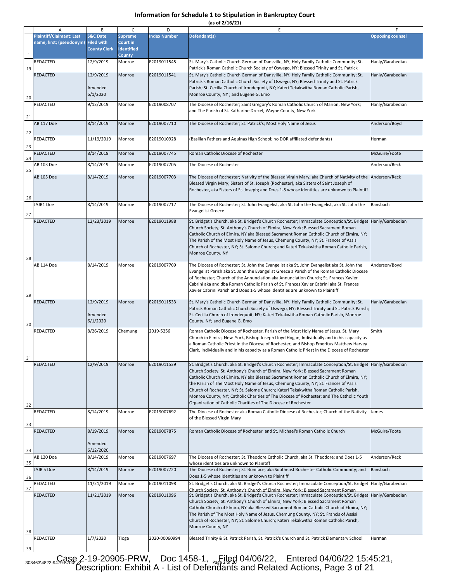|  |  | (as of 2/16/21) |  |
|--|--|-----------------|--|
|  |  |                 |  |

|              | Α                                                           | В                                                               | C                                                                | D                   | E                                                                                                                                                                                                                                                                                                                                                                                                                                                                                                                                                                                                                                            | F                       |
|--------------|-------------------------------------------------------------|-----------------------------------------------------------------|------------------------------------------------------------------|---------------------|----------------------------------------------------------------------------------------------------------------------------------------------------------------------------------------------------------------------------------------------------------------------------------------------------------------------------------------------------------------------------------------------------------------------------------------------------------------------------------------------------------------------------------------------------------------------------------------------------------------------------------------------|-------------------------|
| $\mathbf{1}$ | <b>Plaintiff/Claimant: Last</b><br>name, first; (pseudonym) | <b>S&amp;C Date</b><br><b>Filed with</b><br><b>County Clerk</b> | <b>Supreme</b><br>Court in<br><b>Identified</b><br><b>County</b> | <b>Index Number</b> | Defendant(s)                                                                                                                                                                                                                                                                                                                                                                                                                                                                                                                                                                                                                                 | <b>Opposing counsel</b> |
| 19           | REDACTED                                                    | 12/9/2019                                                       | Monroe                                                           | E2019011545         | St. Mary's Catholic Church German of Dansville, NY; Holy Family Catholic Community; St.<br>Patrick's Roman Catholic Church Society of Oswego, NY; Blessed Trinity and St. Patrick                                                                                                                                                                                                                                                                                                                                                                                                                                                            | Hanly/Garabedian        |
| 20           | REDACTED                                                    | 12/9/2019<br>Amended<br>6/1/2020                                | Monroe                                                           | E2019011541         | St. Mary's Catholic Church German of Dansville, NY; Holy Family Catholic Community; St.<br>Patrick's Roman Catholic Church Society of Oswego, NY; Blessed Trinity and St. Patrick<br>Parish; St. Cecilia Church of Irondequoit, NY; Kateri Tekakwitha Roman Catholic Parish,<br>Monroe County, NY; and Eugene G. Emo                                                                                                                                                                                                                                                                                                                         | Hanly/Garabedian        |
| 21           | REDACTED                                                    | 9/12/2019                                                       | Monroe                                                           | E2019008707         | The Diocese of Rochester; Saint Gregory's Roman Catholic Church of Marion, New York;<br>and The Parish of St. Katharine Drexel, Wayne County, New York                                                                                                                                                                                                                                                                                                                                                                                                                                                                                       | Hanly/Garabedian        |
| 22           | <b>AB 117 Doe</b>                                           | 8/14/2019                                                       | Monroe                                                           | E2019007710         | The Diocese of Rochester; St. Patrick's; Most Holy Name of Jesus                                                                                                                                                                                                                                                                                                                                                                                                                                                                                                                                                                             | Anderson/Boyd           |
| 23           | REDACTED                                                    | 11/19/2019                                                      | Monroe                                                           | E2019010928         | (Basilian Fathers and Aquinas High School; no DOR affiliated defendants)                                                                                                                                                                                                                                                                                                                                                                                                                                                                                                                                                                     | Herman                  |
| 24           | REDACTED                                                    | 8/14/2019                                                       | Monroe                                                           | E2019007745         | Roman Catholic Diocese of Rochester                                                                                                                                                                                                                                                                                                                                                                                                                                                                                                                                                                                                          | McGuire/Foote           |
| 25           | AB 103 Doe                                                  | 8/14/2019                                                       | Monroe                                                           | E2019007705         | The Diocese of Rochester                                                                                                                                                                                                                                                                                                                                                                                                                                                                                                                                                                                                                     | Anderson/Reck           |
| 26           | AB 105 Doe                                                  | 8/14/2019                                                       | Monroe                                                           | E2019007703         | The Diocese of Rochester; Nativity of the Blessed Virgin Mary, aka Church of Nativity of the Anderson/Reck<br>Blessed Virgin Mary; Sisters of St. Joseph (Rochester), aka Sisters of Saint Joseph of<br>Rochester, aka Sisters of St. Joseph; and Does 1-5 whose identities are unknown to Plaintiff                                                                                                                                                                                                                                                                                                                                         |                         |
| 27           | JAJB1 Doe                                                   | 8/14/2019                                                       | Monroe                                                           | E2019007717         | The Diocese of Rochester; St. John Evangelist, aka St. John the Evangelist, aka St. John the<br><b>Evangelist Greece</b>                                                                                                                                                                                                                                                                                                                                                                                                                                                                                                                     | Bansbach                |
| 28           | <b>REDACTED</b>                                             | 12/23/2019                                                      | Monroe                                                           | E2019011988         | St. Bridget's Church, aka St. Bridget's Church Rochester; Immaculate Conception/St. Bridget  Hanly/Garabedian<br>Church Society; St. Anthony's Church of Elmira, New York; Blessed Sacrament Roman<br>Catholic Church of Elmira, NY aka Blessed Sacrament Roman Catholic Church of Elmira, NY;<br>The Parish of the Most Holy Name of Jesus, Chemung County, NY; St. Frances of Assisi<br>Church of Rochester, NY; St. Salome Church; and Kateri Tekakwitha Roman Catholic Parish,<br>Monroe County, NY                                                                                                                                      |                         |
| 29           | <b>AB 114 Doe</b>                                           | 8/14/2019                                                       | Monroe                                                           | E2019007709         | The Diocese of Rochester; St. John the Evangelist aka St. John Evangelist aka St. John the<br>Evangelist Parish aka St. John the Evangelist Greece a Parish of the Roman Catholic Diocese<br>of Rochester; Church of the Annunciation aka Annunciation Church; St. Frances Xavier<br>Cabrini aka and dba Roman Catholic Parish of St. Frances Xavier Cabrini aka St. Frances<br>Xavier Cabrini Parish and Does 1-5 whose identities are unknown to Plaintiff                                                                                                                                                                                 | Anderson/Boyd           |
| 30           | <b>REDACTED</b>                                             | 12/9/2019<br>Amended<br>6/1/2020                                | Monroe                                                           | E2019011533         | St. Mary's Catholic Church German of Dansville, NY; Holy Family Catholic Community; St.<br>Patrick Roman Catholic Church Society of Oswego, NY; Blessed Trinity and St. Patrick Parish;<br>St. Cecilia Church of Irondequoit, NY; Kateri Tekakwitha Roman Catholic Parish, Monroe<br>County, NY; and Eugene G. Emo                                                                                                                                                                                                                                                                                                                           | Hanly/Garabedian        |
| 31           | <b>REDACTED</b>                                             | 8/26/2019                                                       | Chemung                                                          | 2019-5256           | Roman Catholic Diocese of Rochester, Parish of the Most Holy Name of Jesus, St. Mary<br>Church in Elmira, New York, Bishop Joseph Lloyd Hogan, Individually and in his capacity as<br>a Roman Catholic Priest in the Diocese of Rochester, and Bishop Emeritus Matthew Harvey<br>Clark, Individually and in his capacity as a Roman Catholic Priest in the Diocese of Rochester                                                                                                                                                                                                                                                              | Smith                   |
| 32           | <b>REDACTED</b>                                             | 12/9/2019                                                       | Monroe                                                           | E2019011539         | St. Bridget's Church, aka St. Bridget's Church Rochester; Immaculate Conception/St. Bridget Hanly/Garabedian<br>Church Society; St. Anthony's Church of Elmira, New York; Blessed Sacrament Roman<br>Catholic Church of Elmira, NY aka Blessed Sacrament Roman Catholic Church of Elmira, NY;<br>the Parish of The Most Holy Name of Jesus, Chemung County, NY; St. Frances of Assisi<br>Church of Rochester, NY; St. Salome Church; Kateri Tekakwitha Roman Catholic Parish,<br>Monroe County, NY; Catholic Charities of The Diocese of Rochester; and The Catholic Youth<br>Organization of Catholic Charities of The Diocese of Rochester |                         |
| 33           | <b>REDACTED</b>                                             | 8/14/2019                                                       | Monroe                                                           | E2019007692         | The Diocese of Rochester aka Roman Catholic Diocese of Rochester; Church of the Nativity<br>of the Blessed Virgin Mary                                                                                                                                                                                                                                                                                                                                                                                                                                                                                                                       | James                   |
| 34           | <b>REDACTED</b>                                             | 8/19/2019<br>Amended<br>6/12/2020                               | Monroe                                                           | E2019007875         | Roman Catholic Diocese of Rochester and St. Michael's Roman Catholic Church                                                                                                                                                                                                                                                                                                                                                                                                                                                                                                                                                                  | McGuire/Foote           |
| 35           | AB 120 Doe                                                  | 8/14/2019                                                       | Monroe                                                           | E2019007697         | The Diocese of Rochester; St. Theodore Catholic Church, aka St. Theodore; and Does 1-5<br>whose identities are unknown to Plaintiff                                                                                                                                                                                                                                                                                                                                                                                                                                                                                                          | Anderson/Reck           |
| 36           | JAJB 5 Doe                                                  | 8/14/2019                                                       | Monroe                                                           | E2019007720         | The Diocese of Rochester; St. Boniface, aka Southeast Rochester Catholic Community; and<br>Does 1-5 whose identities are unknown to Plaintiff                                                                                                                                                                                                                                                                                                                                                                                                                                                                                                | Bansbach                |
| 37           | <b>REDACTED</b>                                             | 11/21/2019                                                      | Monroe                                                           | E2019011098         | St. Bridget's Church, aka St. Bridget's Church Rochester; Immaculate Conception/St. Bridget Hanly/Garabedian<br>Church Society: St. Anthony's Church of Elmira. New York: Blessed Sacrament Roman                                                                                                                                                                                                                                                                                                                                                                                                                                            |                         |
| 38           | <b>REDACTED</b>                                             | 11/21/2019                                                      | Monroe                                                           | E2019011096         | St. Bridget's Church, aka St. Bridget's Church Rochester; Immaculate Conception/St. Bridget  Hanly/Garabedian<br>Church Society; St. Anthony's Church of Elmira, New York; Blessed Sacrament Roman<br>Catholic Church of Elmira, NY aka Blessed Sacrament Roman Catholic Church of Elmira, NY;<br>The Parish of The Most Holy Name of Jesus, Chemung County, NY; St. Francis of Assisi<br>Church of Rochester, NY; St. Salome Church; Kateri Tekakwitha Roman Catholic Parish,<br>Monroe County, NY                                                                                                                                          |                         |
| 39           | <b>REDACTED</b>                                             | 1/7/2020                                                        | Tioga                                                            | 2020-00060994       | Blessed Trinity & St. Patrick Parish, St. Patrick's Church and St. Patrick Elementary School                                                                                                                                                                                                                                                                                                                                                                                                                                                                                                                                                 | Herman                  |

308463\4822-9479-588& 2-19-20905-PRW, Doc 1458-1, <sub>Page 2</sub> 04/06/22, Entered 04/06/22 15:45:21, Description: Exhibit A - List of Defendants and Related Actions, Page 3 of 21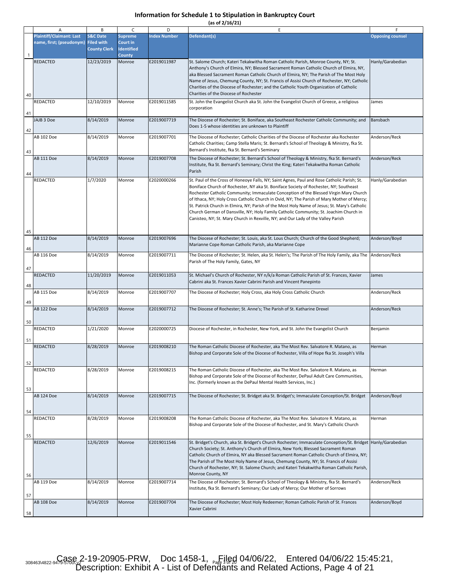|  |  | (as of 2/16/21) |
|--|--|-----------------|
|  |  |                 |

|    | Α                                                           | В                                                               | C                                                         | D                   | E                                                                                                                                                                                                                                                                                                                                                                                                                                                                                                                                                                                                                                                        | F                       |
|----|-------------------------------------------------------------|-----------------------------------------------------------------|-----------------------------------------------------------|---------------------|----------------------------------------------------------------------------------------------------------------------------------------------------------------------------------------------------------------------------------------------------------------------------------------------------------------------------------------------------------------------------------------------------------------------------------------------------------------------------------------------------------------------------------------------------------------------------------------------------------------------------------------------------------|-------------------------|
|    | <b>Plaintiff/Claimant: Last</b><br>name, first; (pseudonym) | <b>S&amp;C Date</b><br><b>Filed with</b><br><b>County Clerk</b> | <b>Supreme</b><br>Court in<br><b>Identified</b><br>County | <b>Index Number</b> | Defendant(s)                                                                                                                                                                                                                                                                                                                                                                                                                                                                                                                                                                                                                                             | <b>Opposing counsel</b> |
| 40 | <b>REDACTED</b>                                             | 12/23/2019                                                      | Monroe                                                    | E2019011987         | St. Salome Church; Kateri Tekakwitha Roman Catholic Parish, Monroe County, NY; St.<br>Anthony's Church of Elmira, NY; Blessed Sacrament Roman Catholic Church of Elmira, NY,<br>aka Blessed Sacrament Roman Catholic Church of Elmira, NY; The Parish of The Most Holy<br>Name of Jesus, Chemung County, NY; St. Francis of Assisi Church of Rochester, NY; Catholic<br>Charities of the Diocese of Rochester; and the Catholic Youth Organization of Catholic<br>Charities of the Diocese of Rochester                                                                                                                                                  | Hanly/Garabedian        |
| 41 | REDACTED                                                    | 12/10/2019                                                      | Monroe                                                    | E2019011585         | St. John the Evangelist Church aka St. John the Evangelist Church of Greece, a religious<br>corporation                                                                                                                                                                                                                                                                                                                                                                                                                                                                                                                                                  | James                   |
| 42 | JAJB 3 Doe                                                  | 8/14/2019                                                       | Monroe                                                    | E2019007719         | The Diocese of Rochester; St. Boniface, aka Southeast Rochester Catholic Community; and<br>Does 1-5 whose identities are unknown to Plaintiff                                                                                                                                                                                                                                                                                                                                                                                                                                                                                                            | Bansbach                |
| 43 | AB 102 Doe                                                  | 8/14/2019                                                       | Monroe                                                    | E2019007701         | The Diocese of Rochester; Catholic Charities of the Diocese of Rochester aka Rochester<br>Catholic Charities; Camp Stella Maris; St. Bernard's School of Theology & Ministry, fka St.<br>Bernard's Institute, fka St. Bernard's Seminary                                                                                                                                                                                                                                                                                                                                                                                                                 | Anderson/Reck           |
| 44 | <b>AB 111 Doe</b>                                           | 8/14/2019                                                       | Monroe                                                    | E2019007708         | The Diocese of Rochester; St. Bernard's School of Theology & Ministry, fka St. Bernard's<br>Institute, fka St. Bernard's Seminary; Christ the King; Kateri Tekakwitha Roman Catholic<br>Parish                                                                                                                                                                                                                                                                                                                                                                                                                                                           | Anderson/Reck           |
| 45 | <b>REDACTED</b>                                             | 1/7/2020                                                        | Monroe                                                    | E2020000266         | St. Paul of the Cross of Honeoye Falls, NY; Saint Agnes, Paul and Rose Catholic Parish; St.<br>Boniface Church of Rochester, NY aka St. Boniface Society of Rochester, NY; Southeast<br>Rochester Catholic Community; Immaculate Conception of the Blessed Virgin Mary Church<br>of Ithaca, NY; Holy Cross Catholic Church in Ovid, NY; The Parish of Mary Mother of Mercy;<br>St. Patrick Church in Elmira, NY; Parish of the Most Holy Name of Jesus; St. Mary's Catholic<br>Church German of Dansville, NY; Holy Family Catholic Community; St. Joachim Church in<br>Canisteo, NY; St. Mary Church in Rexville, NY; and Our Lady of the Valley Parish | Hanly/Garabedian        |
| 46 | <b>AB 112 Doe</b>                                           | 8/14/2019                                                       | Monroe                                                    | E2019007696         | The Diocese of Rochester; St. Louis, aka St. Lous Church; Church of the Good Shepherd;<br>Marianne Cope Roman Catholic Parish, aka Marianne Cope                                                                                                                                                                                                                                                                                                                                                                                                                                                                                                         | Anderson/Boyd           |
| 47 | AB 116 Doe                                                  | 8/14/2019                                                       | Monroe                                                    | E2019007711         | The Diocese of Rochester; St. Helen, aka St. Helen's; The Parish of The Holy Family, aka The<br>Parish of The Holy Family, Gates, NY                                                                                                                                                                                                                                                                                                                                                                                                                                                                                                                     | Anderson/Reck           |
| 48 | REDACTED                                                    | 11/20/2019                                                      | Monroe                                                    | E2019011053         | St. Michael's Church of Rochester, NY n/k/a Roman Catholic Parish of St. Frances, Xavier<br>Cabrini aka St. Frances Xavier Cabrini Parish and Vincent Panepinto                                                                                                                                                                                                                                                                                                                                                                                                                                                                                          | James                   |
| 49 | AB 115 Doe                                                  | 8/14/2019                                                       | Monroe                                                    | E2019007707         | The Diocese of Rochester; Holy Cross, aka Holy Cross Catholic Church                                                                                                                                                                                                                                                                                                                                                                                                                                                                                                                                                                                     | Anderson/Reck           |
| 50 | AB 122 Doe                                                  | 8/14/2019                                                       | Monroe                                                    | E2019007712         | The Diocese of Rochester; St. Anne's; The Parish of St. Katharine Drexel                                                                                                                                                                                                                                                                                                                                                                                                                                                                                                                                                                                 | Anderson/Reck           |
| 51 | REDACTED                                                    | 1/21/2020                                                       | Monroe                                                    | E2020000725         | Diocese of Rochester, in Rochester, New York, and St. John the Evangelist Church                                                                                                                                                                                                                                                                                                                                                                                                                                                                                                                                                                         | Benjamin                |
|    | <b>REDACTED</b>                                             | 8/28/2019                                                       | Monroe                                                    | E2019008210         | The Roman Catholic Diocese of Rochester, aka The Most Rev. Salvatore R. Matano, as<br>Bishop and Corporate Sole of the Diocese of Rochester, Villa of Hope fka St. Joseph's Villa                                                                                                                                                                                                                                                                                                                                                                                                                                                                        | Herman                  |
| 52 | <b>REDACTED</b>                                             | 8/28/2019                                                       | Monroe                                                    | E2019008215         | The Roman Catholic Diocese of Rochester, aka The Most Rev. Salvatore R. Matano, as                                                                                                                                                                                                                                                                                                                                                                                                                                                                                                                                                                       | Herman                  |
| 53 |                                                             |                                                                 |                                                           |                     | Bishop and Corporate Sole of the Diocese of Rochester, DePaul Adult Care Communities,<br>Inc. (formerly known as the DePaul Mental Health Services, Inc.)                                                                                                                                                                                                                                                                                                                                                                                                                                                                                                |                         |
| 54 | AB 124 Doe                                                  | 8/14/2019                                                       | Monroe                                                    | E2019007715         | The Diocese of Rochester; St. Bridget aka St. Bridget's; Immaculate Conception/St. Bridget                                                                                                                                                                                                                                                                                                                                                                                                                                                                                                                                                               | Anderson/Boyd           |
| 55 | REDACTED                                                    | 8/28/2019                                                       | Monroe                                                    | E2019008208         | The Roman Catholic Diocese of Rochester, aka The Most Rev. Salvatore R. Matano, as<br>Bishop and Corporate Sole of the Diocese of Rochester, and St. Mary's Catholic Church                                                                                                                                                                                                                                                                                                                                                                                                                                                                              | Herman                  |
| 56 | REDACTED                                                    | 12/6/2019                                                       | Monroe                                                    | E2019011546         | St. Bridget's Church, aka St. Bridget's Church Rochester; Immaculate Conception/St. Bridget  Hanly/Garabedian<br>Church Society; St. Anthony's Church of Elmira, New York; Blessed Sacrament Roman<br>Catholic Church of Elmira, NY aka Blessed Sacrament Roman Catholic Church of Elmira, NY;<br>The Parish of The Most Holy Name of Jesus, Chemung County, NY; St. Francis of Assisi<br>Church of Rochester, NY; St. Salome Church; and Kateri Tekakwitha Roman Catholic Parish,<br>Monroe County, NY                                                                                                                                                  |                         |
| 57 | AB 119 Doe                                                  | 8/14/2019                                                       | Monroe                                                    | E2019007714         | The Diocese of Rochester; St. Bernard's School of Theology & Ministry, fka St. Bernard's<br>Institute, fka St. Bernard's Seminary; Our Lady of Mercy; Our Mother of Sorrows                                                                                                                                                                                                                                                                                                                                                                                                                                                                              | Anderson/Reck           |
| 58 | AB 108 Doe                                                  | 8/14/2019                                                       | Monroe                                                    | E2019007704         | The Diocese of Rochester; Most Holy Redeemer; Roman Catholic Parish of St. Frances<br>Xavier Cabrini                                                                                                                                                                                                                                                                                                                                                                                                                                                                                                                                                     | Anderson/Boyd           |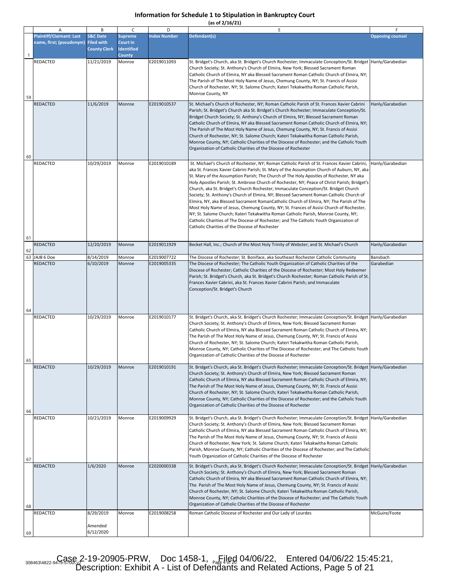|  |  | (as of 2/16/21) |  |
|--|--|-----------------|--|
|  |  |                 |  |

|          | Α                                                           | В                                                               | C                                                                | D                   | E                                                                                                                                                                                                                                                                                                                                                                                                                                                                                                                                                                                                                                                                                                                                                                                                                                                                                                                                                                                                | F                       |
|----------|-------------------------------------------------------------|-----------------------------------------------------------------|------------------------------------------------------------------|---------------------|--------------------------------------------------------------------------------------------------------------------------------------------------------------------------------------------------------------------------------------------------------------------------------------------------------------------------------------------------------------------------------------------------------------------------------------------------------------------------------------------------------------------------------------------------------------------------------------------------------------------------------------------------------------------------------------------------------------------------------------------------------------------------------------------------------------------------------------------------------------------------------------------------------------------------------------------------------------------------------------------------|-------------------------|
| -1       | <b>Plaintiff/Claimant: Last</b><br>name, first; (pseudonym) | <b>S&amp;C Date</b><br><b>Filed with</b><br><b>County Clerk</b> | <b>Supreme</b><br>Court in<br><b>Identified</b><br><b>County</b> | <b>Index Number</b> | Defendant(s)                                                                                                                                                                                                                                                                                                                                                                                                                                                                                                                                                                                                                                                                                                                                                                                                                                                                                                                                                                                     | <b>Opposing counsel</b> |
| 59       | REDACTED                                                    | 11/21/2019                                                      | Monroe                                                           | E2019011093         | St. Bridget's Church, aka St. Bridget's Church Rochester; Immaculate Conception/St. Bridget  Hanly/Garabedian<br>Church Society; St. Anthony's Church of Elmira, New York; Blessed Sacrament Roman<br>Catholic Church of Elmira, NY aka Blessed Sacrament Roman Catholic Church of Elmira, NY;<br>The Parish of The Most Holy Name of Jesus, Chemung County, NY; St. Francis of Assisi<br>Church of Rochester, NY; St. Salome Church; Kateri Tekakwitha Roman Catholic Parish,<br>Monroe County, NY                                                                                                                                                                                                                                                                                                                                                                                                                                                                                              |                         |
| 60       | REDACTED                                                    | 11/6/2019                                                       | Monroe                                                           | E2019010537         | St. Michael's Church of Rochester, NY; Roman Catholic Parish of St. Frances Xavier Cabrini<br>Parish; St. Bridget's Church aka St. Bridget's Church Rochester; Immaculate Conception/St.<br>Bridget Church Society; St. Anthony's Church of Elmira, NY; Blessed Sacrament Roman<br>Catholic Church of Elmira, NY aka Blessed Sacrament Roman Catholic Church of Elmira, NY;<br>The Parish of The Most Holy Name of Jesus, Chemung County, NY; St. Francis of Assisi<br>Church of Rochester, NY; St. Salome Church; Kateri Tekakwitha Roman Catholic Parish,<br>Monroe County, NY; Catholic Charities of the Diocese of Rochester; and the Catholic Youth<br>Organization of Catholic Charities of the Diocese of Rochester                                                                                                                                                                                                                                                                       | Hanly/Garabedian        |
| 61       | REDACTED                                                    | 10/29/2019                                                      | Monroe                                                           | E2019010189         | St. Michael's Church of Rochester, NY; Roman Catholic Parish of St. Frances Xavier Cabrini,<br>aka St. Frances Xavier Cabrini Parish; St. Mary of the Assumption Church of Auburn, NY, aka<br>St. Mary of the Assumption Parish; The Church of The Holy Apostles of Rochester, NY aka<br>Holy Apostles Parish; St. Ambrose Church of Rochester, NY; Peace of Christ Parish; Bridget's<br>Church, aka St. Bridget's Church Rochester; Immaculate Conception/St. Bridget Church<br>Society; St. Anthony's Church of Elmira, NY; Blessed Sacrament Roman Catholic Church of<br>Elmira, NY, aka Blessed Sacrament RomanCatholic Church of Elmira, NY; The Parish of The<br>Most Holy Name of Jesus, Chemung County, NY; St. Frances of Assisi Church of Rochester,<br>NY; St. Salome Church; Kateri Tekakwitha Roman Catholic Parish, Monroe County, NY;<br>Catholic Charities of The Diocese of Rochester; and The Catholic Youth Organization of<br>Catholic Charities of the Diocese of Rochester | Hanly/Garabedian        |
| 62       | REDACTED                                                    | 12/20/2019                                                      | Monroe                                                           | E2019011929         | Becket Hall, Inc.; Church of the Most Holy Trinity of Webster; and St. Michael's Church                                                                                                                                                                                                                                                                                                                                                                                                                                                                                                                                                                                                                                                                                                                                                                                                                                                                                                          | Hanly/Garabedian        |
| 63       | JAJB 6 Doe                                                  | 8/14/2019                                                       | Monroe                                                           | E2019007722         | The Diocese of Rochester; St. Boniface, aka Southeast Rochester Catholic Community                                                                                                                                                                                                                                                                                                                                                                                                                                                                                                                                                                                                                                                                                                                                                                                                                                                                                                               | Bansbach                |
|          | REDACTED                                                    | 6/10/2019                                                       | Monroe                                                           | E2019005335         | The Diocese of Rochester; The Catholic Youth Organization of Catholic Charities of the<br>Diocese of Rochester; Catholic Charities of the Diocese of Rochester; Most Holy Redeemer<br>Parish; St. Bridget's Church, aka St. Bridget's Church Rochester; Roman Catholic Parish of St.<br>Frances Xavier Cabrini, aka St. Frances Xavier Cabrini Parish; and Immaculate<br>Conception/St. Bridget's Church                                                                                                                                                                                                                                                                                                                                                                                                                                                                                                                                                                                         | Garabedian              |
| 64       | <b>REDACTED</b>                                             | 10/29/2019                                                      | Monroe                                                           | E2019010177         | St. Bridget's Church, aka St. Bridget's Church Rochester; Immaculate Conception/St. Bridget  Hanly/Garabedian<br>Church Society; St. Anthony's Church of Elmira, New York; Blessed Sacrament Roman<br>Catholic Church of Elmira, NY aka Blessed Sacrament Roman Catholic Church of Elmira, NY;<br>The Parish of The Most Holy Name of Jesus, Chemung County, NY; St. Francis of Assisi<br>Church of Rochester, NY; St. Salome Church; Kateri Tekakwitha Roman Catholic Parish,<br>Monroe County, NY; Catholic Charities of The Diocese of Rochester; and The Catholic Youth<br>Organization of Catholic Charities of the Diocese of Rochester                                                                                                                                                                                                                                                                                                                                                    |                         |
| 65<br>66 | REDACTED                                                    | 10/29/2019                                                      | Monroe                                                           | E2019010191         | St. Bridget's Church, aka St. Bridget's Church Rochester; Immaculate Conception/St. Bridget  Hanly/Garabedian<br>Church Society; St. Anthony's Church of Elmira, New York; Blessed Sacrament Roman<br>Catholic Church of Elmira, NY aka Blessed Sacrament Roman Catholic Church of Elmira, NY;<br>The Parish of The Most Holy Name of Jesus, Chemung County, NY; St. Francis of Assisi<br>Church of Rochester, NY; St. Salome Church; Kateri Tekakwitha Roman Catholic Parish,<br>Monroe County, NY; Catholic Charities of the Diocese of Rochester; and the Catholic Youth<br>Organization of Catholic Charities of the Diocese of Rochester                                                                                                                                                                                                                                                                                                                                                    |                         |
| 67       | REDACTED                                                    | 10/21/2019                                                      | Monroe                                                           | E2019009929         | St. Bridget's Church, aka St. Bridget's Church Rochester; Immaculate Conception/St. Bridget Hanly/Garabedian<br>Church Society; St. Anthony's Church of Elmira, New York; Blessed Sacrament Roman<br>Catholic Church of Elmira, NY aka Blessed Sacrament Roman Catholic Church of Elmira, NY;<br>The Parish of The Most Holy Name of Jesus, Chemung County, NY; St. Francis of Assisi<br>Church of Rochester, New York; St. Salome Church; Kateri Tekakwitha Roman Catholic<br>Parish, Monroe County, NY; Catholic Charities of the Diocese of Rochester; and The Catholic<br>Youth Organization of Catholic Charities of the Diocese of Rochester                                                                                                                                                                                                                                                                                                                                               |                         |
| 68       | <b>REDACTED</b>                                             | 1/6/2020                                                        | Monroe                                                           | E2020000338         | St. Bridget's Church, aka St. Bridget's Church Rochester; Immaculate Conception/St. Bridget  Hanly/Garabedian<br>Church Society; St. Anthony's Church of Elmira, New York; Blessed Sacrament Roman<br>Catholic Church of Elmira, NY aka Blessed Sacrament Roman Catholic Church of Elmira, NY;<br>The Parish of The Most Holy Name of Jesus, Chemung County, NY; St. Francis of Assisi<br>Church of Rochester, NY; St. Salome Church; Kateri Tekakwitha Roman Catholic Parish,<br>Monroe County, NY; Catholic Charities of the Diocese of Rochester; and The Catholic Youth<br>Organization of Catholic Charities of the Diocese of Rochester                                                                                                                                                                                                                                                                                                                                                    |                         |
| 69       | REDACTED                                                    | 8/29/2019<br>Amended<br>6/12/2020                               | Monroe                                                           | E2019008258         | Roman Catholic Diocese of Rochester and Our Lady of Lourdes                                                                                                                                                                                                                                                                                                                                                                                                                                                                                                                                                                                                                                                                                                                                                                                                                                                                                                                                      | McGuire/Foote           |

308463\4822-9479-588& 2-19-20905-PRW, Doc 1458-1, <sub>Page 1</sub> 04/06/22, Entered 04/06/22 15:45:21, Description: Exhibit A - List of Defendants and Related Actions, Page 5 of 21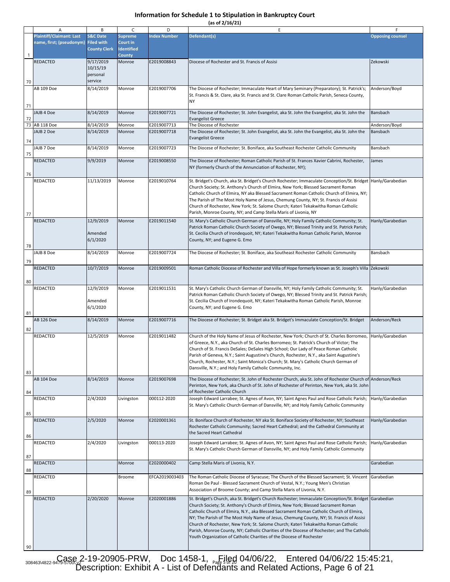**(as of 2/16/21)**

|    | A                               | B                   | C                 | D                          | E                                                                                                                           | F                       |
|----|---------------------------------|---------------------|-------------------|----------------------------|-----------------------------------------------------------------------------------------------------------------------------|-------------------------|
|    | <b>Plaintiff/Claimant: Last</b> | <b>S&amp;C Date</b> | <b>Supreme</b>    | <b>Index Number</b>        | Defendant(s)                                                                                                                | <b>Opposing counsel</b> |
|    | name, first; (pseudonym)        | <b>Filed with</b>   | Court in          |                            |                                                                                                                             |                         |
|    |                                 | <b>County Clerk</b> | <b>Identified</b> |                            |                                                                                                                             |                         |
| 1  |                                 |                     | <b>County</b>     |                            |                                                                                                                             |                         |
|    | REDACTED                        | 9/17/2019           | Monroe            | E2019008843                | Diocese of Rochester and St. Francis of Assisi                                                                              | Zekowski                |
|    |                                 | 10/15/19            |                   |                            |                                                                                                                             |                         |
|    |                                 | personal            |                   |                            |                                                                                                                             |                         |
| 70 |                                 | service             |                   |                            |                                                                                                                             |                         |
|    | AB 109 Doe                      | 8/14/2019           | Monroe            | E2019007706                | The Diocese of Rochester; Immaculate Heart of Mary Seminary (Preparatory); St. Patrick's;                                   | Anderson/Boyd           |
|    |                                 |                     |                   |                            | St. Francis & St. Clare, aka St. Francis and St. Clare Roman Catholic Parish, Seneca County,                                |                         |
|    |                                 |                     |                   |                            | <b>NY</b>                                                                                                                   |                         |
| 71 |                                 |                     |                   |                            |                                                                                                                             |                         |
|    | JAJB 4 Doe                      | 8/14/2019           | Monroe            | E2019007721                | The Diocese of Rochester; St. John Evangelist, aka St. John the Evangelist, aka St. John the                                | Bansbach                |
| 72 |                                 |                     |                   |                            | <b>Evangelist Greece</b>                                                                                                    |                         |
|    | 73 AB 118 Doe                   | 8/14/2019           | Monroe            | E2019007713<br>E2019007718 | The Diocese of Rochester                                                                                                    | Anderson/Boyd           |
|    | JAJB 2 Doe                      | 8/14/2019           | Monroe            |                            | The Diocese of Rochester; St. John Evangelist, aka St. John the Evangelist, aka St. John the                                | Bansbach                |
| 74 |                                 |                     |                   |                            | <b>Evangelist Greece</b>                                                                                                    |                         |
|    | JAJB 7 Doe                      | 8/14/2019           | Monroe            | E2019007723                | The Diocese of Rochester; St. Boniface, aka Southeast Rochester Catholic Community                                          | Bansbach                |
| 75 |                                 |                     |                   |                            |                                                                                                                             |                         |
|    | REDACTED                        | 9/9/2019            | Monroe            | E2019008550                | The Diocese of Rochester; Roman Catholic Parish of St. Frances Xavier Cabrini, Rochester,                                   | James                   |
|    |                                 |                     |                   |                            | NY (formerly Church of the Annunciation of Rochester, NY);                                                                  |                         |
| 76 |                                 |                     |                   |                            |                                                                                                                             |                         |
|    | REDACTED                        | 11/13/2019          | Monroe            | E2019010764                | St. Bridget's Church, aka St. Bridget's Church Rochester; Immaculate Conception/St. Bridget  Hanly/Garabedian               |                         |
|    |                                 |                     |                   |                            | Church Society; St. Anthony's Church of Elmira, New York; Blessed Sacrament Roman                                           |                         |
|    |                                 |                     |                   |                            | Catholic Church of Elmira, NY aka Blessed Sacrament Roman Catholic Church of Elmira, NY;                                    |                         |
|    |                                 |                     |                   |                            | The Parish of The Most Holy Name of Jesus, Chemung County, NY; St. Francis of Assisi                                        |                         |
|    |                                 |                     |                   |                            | Church of Rochester, New York; St. Salome Church; Kateri Tekakwitha Roman Catholic                                          |                         |
| 77 |                                 |                     |                   |                            | Parish, Monroe County, NY; and Camp Stella Maris of Livonia, NY                                                             |                         |
|    | REDACTED                        | 12/9/2019           | Monroe            | E2019011540                | St. Mary's Catholic Church German of Dansville, NY; Holy Family Catholic Community; St.                                     | Hanly/Garabedian        |
|    |                                 |                     |                   |                            | Patrick Roman Catholic Church Society of Owego, NY; Blessed Trinity and St. Patrick Parish;                                 |                         |
|    |                                 | Amended             |                   |                            | St. Cecilia Church of Irondequoit, NY; Kateri Tekakwitha Roman Catholic Parish, Monroe                                      |                         |
|    |                                 | 6/1/2020            |                   |                            | County, NY; and Eugene G. Emo                                                                                               |                         |
| 78 |                                 |                     |                   |                            |                                                                                                                             |                         |
|    | JAJB 8 Doe                      | 8/14/2019           | Monroe            | E2019007724                | The Diocese of Rochester; St. Boniface, aka Southeast Rochester Catholic Community                                          | Bansbach                |
| 79 |                                 |                     |                   |                            |                                                                                                                             |                         |
|    | REDACTED                        | 10/7/2019           | Monroe            | E2019009501                | Roman Catholic Diocese of Rochester and Villa of Hope formerly known as St. Joseph's Villa Zekowski                         |                         |
|    |                                 |                     |                   |                            |                                                                                                                             |                         |
| 80 |                                 |                     |                   |                            |                                                                                                                             |                         |
|    | REDACTED                        | 12/9/2019           | Monroe            | E2019011531                | St. Mary's Catholic Church German of Dansville, NY; Holy Family Catholic Community; St.                                     | Hanly/Garabedian        |
|    |                                 |                     |                   |                            | Patrick Roman Catholic Church Society of Owego, NY; Blessed Trinity and St. Patrick Parish;                                 |                         |
|    |                                 | Amended             |                   |                            | St. Cecilia Church of Irondequoit, NY; Kateri Tekakwitha Roman Catholic Parish, Monroe                                      |                         |
|    |                                 | 6/1/2020            |                   |                            | County, NY; and Eugene G. Emo                                                                                               |                         |
| 81 |                                 |                     |                   |                            |                                                                                                                             |                         |
|    | AB 126 Doe                      | 8/14/2019           | Monroe            | E2019007716                | The Diocese of Rochester; St. Bridget aka St. Bridget's Immaculate Conception/St. Bridget                                   | Anderson/Reck           |
| 82 |                                 |                     |                   |                            |                                                                                                                             |                         |
|    | REDACTED                        | 12/5/2019           | Monroe            | E2019011482                | Church of the Holy Name of Jesus of Rochester, New York; Church of St. Charles Borromeo,                                    | Hanly/Garabedian        |
|    |                                 |                     |                   |                            | of Greece, N.Y., aka Church of St. Charles Borromeo; St. Patrick's Church of Victor; The                                    |                         |
|    |                                 |                     |                   |                            | Church of St. Francis DeSales; DeSales High School; Our Lady of Peace Roman Catholic                                        |                         |
|    |                                 |                     |                   |                            | Parish of Geneva, N.Y.; Saint Augustine's Church, Rochester, N.Y., aka Saint Augustine's                                    |                         |
|    |                                 |                     |                   |                            | Church, Rochester, N.Y.; Saint Monica's Church; St. Mary's Catholic Church German of                                        |                         |
|    |                                 |                     |                   |                            | Dansville, N.Y.; and Holy Family Catholic Community, Inc.                                                                   |                         |
| 83 | <b>AB 104 Doe</b>               |                     |                   |                            | The Diocese of Rochester; St. John of Rochester Church, aka St. John of Rochester Church of Anderson/Reck                   |                         |
|    |                                 | 8/14/2019           | Monroe            | E2019007698                |                                                                                                                             |                         |
|    |                                 |                     |                   |                            | Perinton, New York, aka Church of St. John of Rochester of Perinton, New York, aka St. John<br>of Rochester Catholic Church |                         |
| 84 | REDACTED                        | 2/4/2020            |                   | 000112-2020                | Joseph Edward Larrabee; St. Agnes of Avon, NY; Saint Agnes Paul and Rose Catholic Parish;                                   | Hanly/Garabedian        |
|    |                                 |                     | Livingston        |                            | St. Mary's Catholic Church German of Dansville, NY; and Holy Family Catholic Community                                      |                         |
|    |                                 |                     |                   |                            |                                                                                                                             |                         |
| 85 |                                 |                     |                   |                            |                                                                                                                             |                         |
|    | REDACTED                        | 2/5/2020            | Monroe            | E2020001361                | St. Boniface Church of Rochester, NY aka St. Boniface Society of Rochester, NY; Southeast                                   | Hanly/Garabedian        |
|    |                                 |                     |                   |                            | Rochester Catholic Community; Sacred Heart Cathedral; and the Cathedral Community at<br>the Sacred Heart Cathedral          |                         |
| 86 |                                 |                     |                   |                            |                                                                                                                             |                         |
|    | REDACTED                        | 2/4/2020            | Livingston        | 000113-2020                | Joseph Edward Larrabee; St. Agnes of Avon, NY; Saint Agnes Paul and Rose Catholic Parish;                                   | Hanly/Garabedian        |
|    |                                 |                     |                   |                            | St. Mary's Catholic Church German of Dansville, NY; and Holy Family Catholic Community                                      |                         |
| 87 |                                 |                     |                   |                            |                                                                                                                             |                         |
|    | REDACTED                        |                     | Monroe            | E2020000402                | Camp Stella Maris of Livonia, N.Y.                                                                                          | Garabedian              |
| 88 |                                 |                     |                   |                            |                                                                                                                             |                         |
|    | REDACTED                        |                     | Broome            | EFCA2019003403             | The Roman Catholic Diocese of Syracuse; The Church of the Blessed Sacrament; St. Vincent                                    | Garabedian              |
|    |                                 |                     |                   |                            | Roman De Paul - Blessed Sacrament Church of Vestal, N.Y.; Young Men's Christian                                             |                         |
| 89 |                                 |                     |                   |                            | Association of Broome County; and Camp Stella Maris of Livonia, N.Y.                                                        |                         |
|    | REDACTED                        | 2/20/2020           | Monroe            | E2020001886                | St. Bridget's Church, aka St. Bridget's Church Rochester; Immaculate Conception/St. Bridget Garabedian                      |                         |
|    |                                 |                     |                   |                            | Church Society; St. Anthony's Church of Elmira, New York; Blessed Sacrament Roman                                           |                         |
|    |                                 |                     |                   |                            | Catholic Church of Elmira, N.Y., aka Blessed Sacrament Roman Catholic Church of Elmira,                                     |                         |
|    |                                 |                     |                   |                            | NY; The Parish of The Most Holy Name of Jesus, Chemung County, NY; St. Francis of Assisi                                    |                         |
|    |                                 |                     |                   |                            | Church of Rochester, New York; St. Salome Church; Kateri Tekakwitha Roman Catholic                                          |                         |
|    |                                 |                     |                   |                            | Parish, Monroe County, NY; Catholic Charities of the Diocese of Rochester; and The Catholic                                 |                         |
|    |                                 |                     |                   |                            | Youth Organization of Catholic Charities of the Diocese of Rochester                                                        |                         |
| 90 |                                 |                     |                   |                            |                                                                                                                             |                         |

308463\4822-9479-588& 2-19-20905-PRW, Doc 1458-1, <sub>Page</sub> 1ed 04/06/22, Entered 04/06/22 15:45:21, Description: Exhibit A - List of Defendants and Related Actions, Page 6 of 21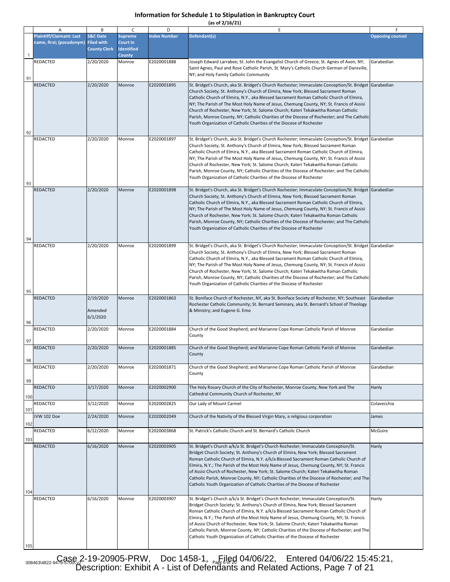**(as of 2/16/21)**

|              | Α                                                           | B                                                               | C                                                                | D                   | E                                                                                                                                                                                                                                                                                                                                                                                                                                                                                                                                                                                                                                                 | F                       |
|--------------|-------------------------------------------------------------|-----------------------------------------------------------------|------------------------------------------------------------------|---------------------|---------------------------------------------------------------------------------------------------------------------------------------------------------------------------------------------------------------------------------------------------------------------------------------------------------------------------------------------------------------------------------------------------------------------------------------------------------------------------------------------------------------------------------------------------------------------------------------------------------------------------------------------------|-------------------------|
| $\mathbf{1}$ | <b>Plaintiff/Claimant: Last</b><br>name, first; (pseudonym) | <b>S&amp;C Date</b><br><b>Filed with</b><br><b>County Clerk</b> | <b>Supreme</b><br>Court in<br><b>Identified</b><br><b>County</b> | <b>Index Number</b> | Defendant(s)                                                                                                                                                                                                                                                                                                                                                                                                                                                                                                                                                                                                                                      | <b>Opposing counsel</b> |
| 91           | <b>REDACTED</b>                                             | 2/20/2020                                                       | Monroe                                                           | E2020001888         | Joseph Edward Larrabee; St. John the Evangelist Church of Greece; St. Agnes of Avon, NY;<br>Saint Agnes, Paul and Rose Catholic Parish, St. Mary's Catholic Church German of Dansville,<br>NY; and Holy Family Catholic Community                                                                                                                                                                                                                                                                                                                                                                                                                 | Garabedian              |
| 92           | REDACTED                                                    | 2/20/2020                                                       | Monroe                                                           | E2020001895         | St. Bridget's Church, aka St. Bridget's Church Rochester; Immaculate Conception/St. Bridget Garabedian<br>Church Society; St. Anthony's Church of Elmira, New York; Blessed Sacrament Roman<br>Catholic Church of Elmira, N.Y., aka Blessed Sacrament Roman Catholic Church of Elmira,<br>NY; The Parish of The Most Holy Name of Jesus, Chemung County, NY; St. Francis of Assisi<br>Church of Rochester, New York; St. Salome Church; Kateri Tekakwitha Roman Catholic<br>Parish, Monroe County, NY; Catholic Charities of the Diocese of Rochester; and The Catholic<br>Youth Organization of Catholic Charities of the Diocese of Rochester   |                         |
| 93           | <b>REDACTED</b>                                             | 2/20/2020                                                       | Monroe                                                           | E2020001897         | St. Bridget's Church, aka St. Bridget's Church Rochester; Immaculate Conception/St. Bridget Garabedian<br>Church Society; St. Anthony's Church of Elmira, New York; Blessed Sacrament Roman<br>Catholic Church of Elmira, N.Y., aka Blessed Sacrament Roman Catholic Church of Elmira,<br>NY; The Parish of The Most Holy Name of Jesus, Chemung County, NY; St. Francis of Assisi<br>Church of Rochester, New York; St. Salome Church; Kateri Tekakwitha Roman Catholic<br>Parish, Monroe County, NY; Catholic Charities of the Diocese of Rochester; and The Catholic<br>Youth Organization of Catholic Charities of the Diocese of Rochester   |                         |
| 94           | <b>REDACTED</b>                                             | 2/20/2020                                                       | Monroe                                                           | E2020001898         | St. Bridget's Church, aka St. Bridget's Church Rochester; Immaculate Conception/St. Bridget Garabedian<br>Church Society; St. Anthony's Church of Elmira, New York; Blessed Sacrament Roman<br>Catholic Church of Elmira, N.Y., aka Blessed Sacrament Roman Catholic Church of Elmira,<br>NY; The Parish of The Most Holy Name of Jesus, Chemung County, NY; St. Francis of Assisi<br>Church of Rochester, New York; St. Salome Church; Kateri Tekakwitha Roman Catholic<br>Parish, Monroe County, NY; Catholic Charities of the Diocese of Rochester; and The Catholic<br>Youth Organization of Catholic Charities of the Diocese of Rochester   |                         |
| 95           | <b>REDACTED</b>                                             | 2/20/2020                                                       | Monroe                                                           | E2020001899         | St. Bridget's Church, aka St. Bridget's Church Rochester; Immaculate Conception/St. Bridget   Garabedian<br>Church Society; St. Anthony's Church of Elmira, New York; Blessed Sacrament Roman<br>Catholic Church of Elmira, N.Y., aka Blessed Sacrament Roman Catholic Church of Elmira,<br>NY; The Parish of The Most Holy Name of Jesus, Chemung County, NY; St. Francis of Assisi<br>Church of Rochester, New York; St. Salome Church; Kateri Tekakwitha Roman Catholic<br>Parish, Monroe County, NY; Catholic Charities of the Diocese of Rochester; and The Catholic<br>Youth Organization of Catholic Charities of the Diocese of Rochester |                         |
| 96           | <b>REDACTED</b>                                             | 2/19/2020<br>Amended<br>6/1/2020                                | Monroe                                                           | E2020001863         | St. Boniface Church of Rochester, NY, aka St. Boniface Society of Rochester, NY; Southeast<br>Rochester Catholic Community; St. Bernard Seminary, aka St. Bernard's School of Theology<br>& Ministry; and Eugene G. Emo                                                                                                                                                                                                                                                                                                                                                                                                                           | Garabedian              |
| 97           | REDACTED                                                    | 2/20/2020                                                       | Monroe                                                           | E2020001884         | Church of the Good Shepherd; and Marianne Cope Roman Catholic Parish of Monroe<br>County                                                                                                                                                                                                                                                                                                                                                                                                                                                                                                                                                          | Garabedian              |
| 98           | REDACTED                                                    | 2/20/2020                                                       | Monroe                                                           | E2020001885         | Church of the Good Shepherd; and Marianne Cope Roman Catholic Parish of Monroe<br>County                                                                                                                                                                                                                                                                                                                                                                                                                                                                                                                                                          | Garabedian              |
|              | REDACTED                                                    | 2/20/2020                                                       | Monroe                                                           | E2020001871         | Church of the Good Shepherd; and Marianne Cope Roman Catholic Parish of Monroe<br>County                                                                                                                                                                                                                                                                                                                                                                                                                                                                                                                                                          | Garabedian              |
| 99<br>100    | REDACTED                                                    | 3/17/2020                                                       | Monroe                                                           | E2020002900         | The Holy Rosary Church of the City of Rochester, Monroe County, New York and The<br>Cathedral Community Church of Rochester, NY                                                                                                                                                                                                                                                                                                                                                                                                                                                                                                                   | Hanly                   |
| 101          | REDACTED                                                    | 3/12/2020                                                       | Monroe                                                           | E2020002825         | Our Lady of Mount Carmel                                                                                                                                                                                                                                                                                                                                                                                                                                                                                                                                                                                                                          | Colavecchia             |
| 102          | JVW 102 Doe                                                 | 2/24/2020                                                       | Monroe                                                           | E2020002049         | Church of the Nativity of the Blessed Virgin Mary, a religious corporation                                                                                                                                                                                                                                                                                                                                                                                                                                                                                                                                                                        | James                   |
| 103          | <b>REDACTED</b>                                             | 6/12/2020                                                       | Monroe                                                           | E2020003868         | St. Patrick's Catholic Church and St. Bernard's Catholic Church                                                                                                                                                                                                                                                                                                                                                                                                                                                                                                                                                                                   | McGuire                 |
| 104          | REDACTED                                                    | 6/16/2020                                                       | Monroe                                                           | E2020003905         | St. Bridget's Church a/k/a St. Bridget's Church Rochester; Immaculate Conception/St.<br>Bridget Church Society; St. Anthony's Church of Elmira, New York; Blessed Sacrament<br>Roman Catholic Church of Elmira, N.Y. a/k/a Blessed Sacrament Roman Catholic Church of<br>Elmira, N.Y.; The Parish of the Most Holy Name of Jesus, Chemung County, NY; St. Francis<br>of Assisi Church of Rochester, New York; St. Salome Church; Kateri Tekakwitha Roman<br>Catholic Parish, Monroe County, NY; Catholic Charities of the Diocese of Rochester; and The<br>Catholic Youth Organization of Catholic Charities of the Diocese of Rochester          | Hanly                   |
| 105          | REDACTED                                                    | 6/16/2020                                                       | Monroe                                                           | E2020003907         | St. Bridget's Church a/k/a St. Bridget's Church Rochester; Immaculate Conception/St.<br>Bridget Church Society; St. Anthony's Church of Elmira, New York; Blessed Sacrament<br>Roman Catholic Church of Elmira, N.Y. a/k/a Blessed Sacrament Roman Catholic Church of<br>Elmira, N.Y.; The Parish of the Most Holy Name of Jesus, Chemung County, NY; St. Francis<br>of Assisi Church of Rochester, New York; St. Salome Church; Kateri Tekakwitha Roman<br>Catholic Parish, Monroe County, NY; Catholic Charities of the Diocese of Rochester; and The<br>Catholic Youth Organization of Catholic Charities of the Diocese of Rochester          | Hanly                   |

308463\4822-9479-588& 2-19-20905-PRW, Doc 1458-1, <sub>Page</sub> 1ed 04/06/22, Entered 04/06/22 15:45:21, Description: Exhibit A - List of Defendants and Related Actions, Page 7 of 21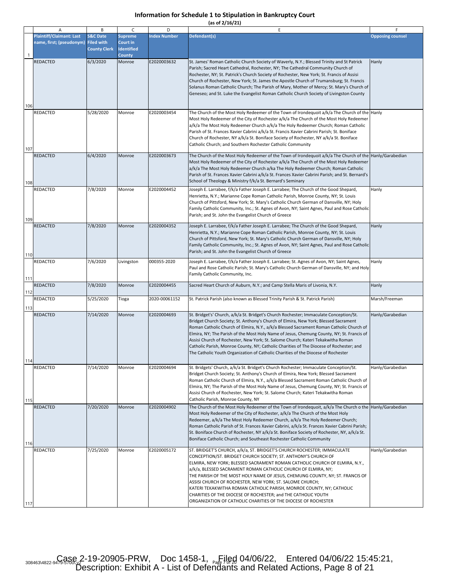|  |  | (as of 2/16/21) |  |
|--|--|-----------------|--|
|  |  |                 |  |

|              | Α                                                           | B                                                               | C                                                                | D                   | E                                                                                                                                                                                                                                                                                                                                                                                                                                                                                                                                                                                                                                                | F                       |
|--------------|-------------------------------------------------------------|-----------------------------------------------------------------|------------------------------------------------------------------|---------------------|--------------------------------------------------------------------------------------------------------------------------------------------------------------------------------------------------------------------------------------------------------------------------------------------------------------------------------------------------------------------------------------------------------------------------------------------------------------------------------------------------------------------------------------------------------------------------------------------------------------------------------------------------|-------------------------|
| $\mathbf{1}$ | <b>Plaintiff/Claimant: Last</b><br>name, first; (pseudonym) | <b>S&amp;C Date</b><br><b>Filed with</b><br><b>County Clerk</b> | <b>Supreme</b><br>Court in<br><b>Identified</b><br><b>County</b> | <b>Index Number</b> | Defendant(s)                                                                                                                                                                                                                                                                                                                                                                                                                                                                                                                                                                                                                                     | <b>Opposing counsel</b> |
| 106          | <b>REDACTED</b>                                             | 6/3/2020                                                        | Monroe                                                           | E2020003632         | St. James' Roman Catholic Church Society of Waverly, N.Y.; Blessed Trinity and St Patrick<br>Parish; Sacred Heart Cathedral, Rochester, NY; The Cathedral Community Church of<br>Rochester, NY; St. Patrick's Church Society of Rochester, New York; St. Francis of Assisi<br>Church of Rochester, New York; St. James the Apostle Church of Trumansburg; St. Francis<br>Solanus Roman Catholic Church; The Parish of Mary, Mother of Mercy; St. Mary's Church of<br>Geneseo; and St. Luke the Evangelist Roman Catholic Church Society of Livingston County                                                                                     | Hanly                   |
| 107          | REDACTED                                                    | 5/28/2020                                                       | Monroe                                                           | E2020003454         | The Church of the Most Holy Redeemer of the Town of Irondequoit a/k/a The Church of the Hanly<br>Most Holy Redeemer of the City of Rochester a/k/a The Church of the Most Holy Redeemer<br>a/k/a The Most Holy Redeemer Church a/k/a The Holy Redeemer Church; Roman Catholic<br>Parish of St. Frances Xavier Cabrini a/k/a St. Francis Xavier Cabrini Parish; St. Boniface<br>Church of Rochester, NY a/k/a St. Boniface Society of Rochester, NY a/k/a St. Boniface<br>Catholic Church; and Southern Rochester Catholic Community                                                                                                              |                         |
| 108          | REDACTED                                                    | 6/4/2020                                                        | Monroe                                                           | E2020003673         | The Church of the Most Holy Redeemer of the Town of Irondequoit a/k/a The Church of the Hanly/Garabedian<br>Most Holy Redeemer of the City of Rochester a/k/a The Church of the Most Holy Redeemer<br>a/k/a The Most Holy Redeemer Church a/ka The Holy Redeemer Church; Roman Catholic<br>Parish of St. Frances Xavier Cabrini a/k/a St. Frances Xavier Cabrini Parish; and St. Bernard's<br>School of Theology & Ministry f/k/a St. Bernard's Seminary                                                                                                                                                                                         |                         |
| 109          | REDACTED                                                    | 7/8/2020                                                        | Monroe                                                           | E2020004452         | Joseph E. Larrabee, f/k/a Father Joseph E. Larrabee; The Church of the Good Shepard,<br>Henrietta, N.Y.; Marianne Cope Roman Catholic Parish, Monroe County, NY; St. Louis<br>Church of Pittsford, New York; St. Mary's Catholic Church German of Dansville, NY; Holy<br>Family Catholic Community, Inc.; St. Agnes of Avon, NY; Saint Agnes, Paul and Rose Catholic<br>Parish; and St. John the Evangelist Church of Greece                                                                                                                                                                                                                     | Hanly                   |
| 110          | <b>REDACTED</b>                                             | 7/8/2020                                                        | Monroe                                                           | E2020004352         | Joseph E. Larrabee, f/k/a Father Joseph E. Larrabee; The Church of the Good Shepard,<br>Henrietta, N.Y.; Marianne Cope Roman Catholic Parish, Monroe County, NY; St. Louis<br>Church of Pittsford, New York; St. Mary's Catholic Church German of Dansville, NY; Holy<br>Family Catholic Community, Inc.; St. Agnes of Avon, NY; Saint Agnes, Paul and Rose Catholic<br>Parish; and St. John the Evangelist Church of Greece                                                                                                                                                                                                                     | Hanly                   |
| 111          | REDACTED                                                    | 7/6/2020                                                        | Livingston                                                       | 000355-2020         | Joseph E. Larrabee, f/k/a Father Joseph E. Larrabee; St. Agnes of Avon, NY; Saint Agnes,<br>Paul and Rose Catholic Parish; St. Mary's Catholic Church German of Dansville, NY; and Holy<br>Family Catholic Community, Inc.                                                                                                                                                                                                                                                                                                                                                                                                                       | Hanly                   |
| 112          | REDACTED                                                    | 7/8/2020                                                        | Monroe                                                           | E2020004455         | Sacred Heart Church of Auburn, N.Y.; and Camp Stella Maris of Livonia, N.Y.                                                                                                                                                                                                                                                                                                                                                                                                                                                                                                                                                                      | Hanly                   |
| 113          | <b>REDACTED</b>                                             | 5/25/2020                                                       | Tioga                                                            | 2020-00061152       | St. Patrick Parish (also known as Blessed Trinity Parish & St. Patrick Parish)                                                                                                                                                                                                                                                                                                                                                                                                                                                                                                                                                                   | Marsh/Freeman           |
| 114          | REDACTED                                                    | 7/14/2020                                                       | Monroe                                                           | E2020004693         | St. Bridget's' Church, a/k/a St. Bridget's Church Rochester; Immaculate Conception/St.<br>Bridget Church Society; St. Anthony's Church of Elmira, New York; Blessed Sacrament<br>Roman Catholic Church of Elmira, N.Y., a/k/a Blessed Sacrament Roman Catholic Church of<br>Elmira, NY; The Parish of the Most Holy Name of Jesus, Chemung County, NY; St. Francis of<br>Assisi Church of Rochester, New York; St. Salome Church; Kateri Tekakwitha Roman<br>Catholic Parish, Monroe County, NY; Catholic Charities of The Diocese of Rochester; and<br>The Catholic Youth Organization of Catholic Charities of the Diocese of Rochester        | Hanly/Garabedian        |
| 115          | REDACTED                                                    | 7/14/2020                                                       | Monroe                                                           | E2020004694         | St. Bridgets' Church, a/k/a St. Bridget's Church Rochester; Immaculate Conception/St.<br>Bridget Church Society; St. Anthony's Church of Elmira, New York; Blessed Sacrament<br>Roman Catholic Church of Elmira, N.Y., a/k/a Blessed Sacrament Roman Catholic Church of<br>Elmira, NY; The Parish of the Most Holy Name of Jesus, Chemung County, NY; St. Francis of<br>Assisi Church of Rochester, New York; St. Salome Church; Kateri Tekakwitha Roman<br>Catholic Parish, Monroe County, NY                                                                                                                                                   | Hanly/Garabedian        |
| 116          | REDACTED                                                    | 7/20/2020                                                       | Monroe                                                           | E2020004902         | The Church of the Most Holy Redeemer of the Town of Irondequoit, a/k/a The Church o the Hanly/Garabedian<br>Most Holy Redeemer of the City of Rochester, a/k/a The Church of the Most Holy<br>Redeemer, a/k/a The Most Holy Redeemer Church, a/k/a The Holy Redeemer Church;<br>Roman Catholic Parish of St. Frances Xavier Cabrini, a/k/a St. Frances Xavier Cabrini Parish;<br>St. Boniface Church of Rochester, NY a/k/a St. Boniface Society of Rochester, NY, a/k/a St.<br>Boniface Catholic Church; and Southeast Rochester Catholic Community                                                                                             |                         |
| 117          | REDACTED                                                    | 7/25/2020                                                       | Monroe                                                           | E2020005172         | ST. BRIDGET'S CHURCH, a/k/a, ST. BRIDGET'S CHURCH ROCHESTER; IMMACULATE<br>CONCEPTION/ST. BRIDGET CHURCH SOCIETY; ST. ANTHONY'S CHURCH OF<br>ELMIRA, NEW YORK; BLESSED SACRAMENT ROMAN CATHOLIC CHURCH OF ELMIRA, N.Y.,<br>a/k/a, BLESSED SACRAMENT ROMAN CATHOLIC CHURCH OF ELMIRA, NY;<br>THE PARISH OF THE MOST HOLY NAME OF JESUS, CHEMUNG COUNTY, NY; ST. FRANCIS OF<br>ASSISI CHURCH OF ROCHESTER, NEW YORK; ST. SALOME CHURCH;<br>KATERI TEKAKWITHA ROMAN CATHOLIC PARISH, MONROE COUNTY, NY; CATHOLIC<br>CHARITIES OF THE DIOCESE OF ROCHESTER; and THE CATHOLIC YOUTH<br>ORGANIZATION OF CATHOLIC CHARITIES OF THE DIOCESE OF ROCHESTER | Hanly/Garabedian        |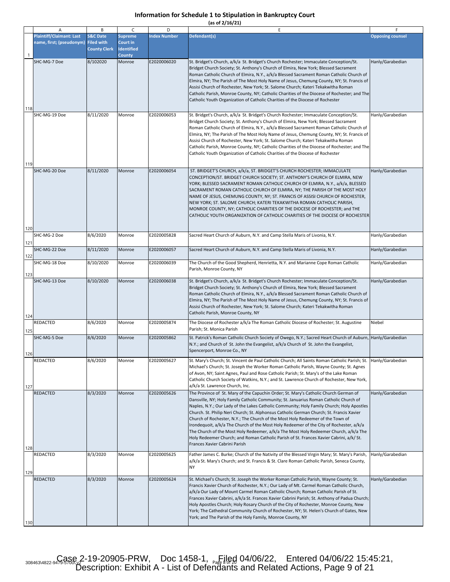|  |  | (as of 2/16/21) |  |
|--|--|-----------------|--|
|  |  |                 |  |

|              | Α                                                                      | B                                          | $\mathsf{C}$                                              | D                   | E                                                                                                                                                                                                                                                                                                                                                                                                                                                                                                                                                                                                                                                                                                                                                                       | F.                      |
|--------------|------------------------------------------------------------------------|--------------------------------------------|-----------------------------------------------------------|---------------------|-------------------------------------------------------------------------------------------------------------------------------------------------------------------------------------------------------------------------------------------------------------------------------------------------------------------------------------------------------------------------------------------------------------------------------------------------------------------------------------------------------------------------------------------------------------------------------------------------------------------------------------------------------------------------------------------------------------------------------------------------------------------------|-------------------------|
| $\mathbf{1}$ | <b>Plaintiff/Claimant: Last</b><br>name, first; (pseudonym) Filed with | <b>S&amp;C Date</b><br><b>County Clerk</b> | <b>Supreme</b><br>Court in<br><b>Identified</b><br>County | <b>Index Number</b> | Defendant(s)                                                                                                                                                                                                                                                                                                                                                                                                                                                                                                                                                                                                                                                                                                                                                            | <b>Opposing counsel</b> |
| 118          | SHC-MG-7 Doe                                                           | 8/102020                                   | Monroe                                                    | E2020006020         | St. Bridget's Church, a/k/a St. Bridget's Church Rochester; Immaculate Conception/St.<br>Bridget Church Society; St. Anthony's Church of Elmira, New York; Blessed Sacrament<br>Roman Catholic Church of Elmira, N.Y., a/k/a Blessed Sacrament Roman Catholic Church of<br>Elmira, NY; The Parish of The Most Holy Name of Jesus, Chemung County, NY; St. Francis of<br>Assisi Church of Rochester, New York; St. Salome Church; Kateri Tekakwitha Roman<br>Catholic Parish, Monroe County, NY; Catholic Charities of the Diocese of Rochester; and The<br>Catholic Youth Organization of Catholic Charities of the Diocese of Rochester                                                                                                                                | Hanly/Garabedian        |
| 119          | SHC-MG-19 Doe                                                          | 8/11/2020                                  | Monroe                                                    | E2020006053         | St. Bridget's Church, a/k/a St. Bridget's Church Rochester; Immaculate Conception/St.<br>Bridget Church Society; St. Anthony's Church of Elmira, New York; Blessed Sacrament<br>Roman Catholic Church of Elmira, N.Y., a/k/a Blessed Sacrament Roman Catholic Church of<br>Elmira, NY; The Parish of The Most Holy Name of Jesus, Chemung County, NY; St. Francis of<br>Assisi Church of Rochester, New York; St. Salome Church; Kateri Tekakwitha Roman<br>Catholic Parish, Monroe County, NY; Catholic Charities of the Diocese of Rochester; and The<br>Catholic Youth Organization of Catholic Charities of the Diocese of Rochester                                                                                                                                | Hanly/Garabedian        |
| 120          | SHC-MG-20 Doe                                                          | 8/11/2020                                  | Monroe                                                    | E2020006054         | ST. BRIDGET'S CHURCH, a/k/a, ST. BRIDGET'S CHURCH ROCHESTER; IMMACULATE<br>CONCEPTION/ST. BRIDGET CHURCH SOCIETY; ST. ANTHONY'S CHURCH OF ELMIRA, NEW<br>YORK; BLESSED SACRAMENT ROMAN CATHOLIC CHURCH OF ELMIRA, N.Y., a/k/a, BLESSED<br>SACRAMENT ROMAN CATHOLIC CHURCH OF ELMIRA, NY; THE PARISH OF THE MOST HOLY<br>NAME OF JESUS, CHEMUNG COUNTY, NY; ST. FRANCIS OF ASSISI CHURCH OF ROCHESTER,<br>NEW YORK; ST. SALOME CHURCH; KATERI TEKAKWITHA ROMAN CATHOLIC PARISH,<br>MONROE COUNTY, NY; CATHOLIC CHARITIES OF THE DIOCESE OF ROCHESTER; and THE<br>CATHOLIC YOUTH ORGANIZATION OF CATHOLIC CHARITIES OF THE DIOCESE OF ROCHESTER                                                                                                                           | Hanly/Garabedian        |
| 121          | SHC-MG-2 Doe                                                           | 8/6/2020                                   | Monroe                                                    | E2020005828         | Sacred Heart Church of Auburn, N.Y. and Camp Stella Maris of Livonia, N.Y.                                                                                                                                                                                                                                                                                                                                                                                                                                                                                                                                                                                                                                                                                              | Hanly/Garabedian        |
| 122          | SHC-MG-22 Doe                                                          | 8/11/2020                                  | Monroe                                                    | E2020006057         | Sacred Heart Church of Auburn, N.Y. and Camp Stella Maris of Livonia, N.Y.                                                                                                                                                                                                                                                                                                                                                                                                                                                                                                                                                                                                                                                                                              | Hanly/Garabedian        |
| 123          | SHC-MG-18 Doe                                                          | 8/10/2020                                  | Monroe                                                    | E2020006039         | The Church of the Good Shepherd, Henrietta, N.Y. and Marianne Cope Roman Catholic<br>Parish, Monroe County, NY                                                                                                                                                                                                                                                                                                                                                                                                                                                                                                                                                                                                                                                          | Hanly/Garabedian        |
| 124          | SHC-MG-13 Doe                                                          | 8/10/2020                                  | Monroe                                                    | E2020006038         | St. Bridget's Church, a/k/a St. Bridget's Church Rochester; Immaculate Conception/St.<br>Bridget Church Society; St. Anthony's Church of Elmira, New York; Blessed Sacrament<br>Roman Catholic Church of Elmira, N.Y., a/k/a Blessed Sacrament Roman Catholic Church of<br>Elmira, NY; The Parish of The Most Holy Name of Jesus, Chemung County, NY; St. Francis of<br>Assisi Church of Rochester, New York; St. Salome Church; Kateri Tekakwitha Roman<br>Catholic Parish, Monroe County, NY                                                                                                                                                                                                                                                                          | Hanly/Garabedian        |
| 125          | <b>REDACTED</b>                                                        | 8/6/2020                                   | Monroe                                                    | E2020005874         | The Diocese of Rochester a/k/a The Roman Catholic Diocese of Rochester; St. Augustine<br>Parish; St. Monica Parish                                                                                                                                                                                                                                                                                                                                                                                                                                                                                                                                                                                                                                                      | Niebel                  |
| 126          | SHC-MG-5 Doe                                                           | 8/6/2020                                   | Monroe                                                    | E2020005862         | St. Patrick's Roman Catholic Church Society of Owego, N.Y.; Sacred Heart Church of Auburn,<br>N.Y.; and Church of St. John the Evangelist, a/k/a Church of St. John the Evangelist,<br>Spencerport, Monroe Co., NY                                                                                                                                                                                                                                                                                                                                                                                                                                                                                                                                                      | Hanly/Garabedian        |
| 127          | <b>REDACTED</b>                                                        | 8/6/2020                                   | Monroe                                                    | E2020005627         | St. Mary's Church; St. Vincent de Paul Catholic Church; All Saints Roman Catholic Parish; St.<br>Michael's Church; St. Joseph the Worker Roman Catholic Parish, Wayne County; St. Agnes<br>of Avon, NY; Saint Agnes, Paul and Rose Catholic Parish; St. Mary's of the Lake Roman<br>Catholic Church Society of Watkins, N.Y.; and St. Lawrence Church of Rochester, New York,<br>a/k/a St. Lawrence Church, Inc.                                                                                                                                                                                                                                                                                                                                                        | Hanly/Garabedian        |
| 128          | <b>REDACTED</b>                                                        | 8/3/2020                                   | Monroe                                                    | E2020005626         | The Province of St. Mary of the Capuchin Order; St. Mary's Catholic Church German of<br>Dansville, NY; Holy Family Catholic Community; St. Januarius Roman Catholic Church of<br>Naples, N.Y.; Our Lady of the Lakes Catholic Community; Holy Family Church; Holy Apostles<br>Church. St. Philip Neri Church; St. Alphonsus Catholic German Church; St. Francis Xavier<br>Church of Rochester, N.Y.; The Church of the Most Holy Redeemer of the Town of<br>Irondequoit, a/k/a The Church of the Most Holy Redeemer of the City of Rochester, a/k/a<br>The Church of the Most Holy Redeemer, a/k/a The Most Holy Redeemer Church, a/k/a The<br>Holy Redeemer Church; and Roman Catholic Parish of St. Frances Xavier Cabrini, a/k/ St.<br>Frances Xavier Cabrini Parish | Hanly/Garabedian        |
| 129          | <b>REDACTED</b>                                                        | 8/3/2020                                   | Monroe                                                    | E2020005625         | Father James C. Burke; Church of the Nativity of the Blessed Virgin Mary; St. Mary's Parish,<br>a/k/a St. Mary's Church; and St. Francis & St. Clare Roman Catholic Parish, Seneca County,<br><b>NY</b>                                                                                                                                                                                                                                                                                                                                                                                                                                                                                                                                                                 | Hanly/Garabedian        |
| 130          | <b>REDACTED</b>                                                        | 8/3/2020                                   | Monroe                                                    | E2020005624         | St. Michael's Church; St. Joseph the Worker Roman Catholic Parish, Wayne County; St.<br>Francis Xavier Church of Rochester, N.Y.; Our Lady of Mt. Carmel Roman Catholic Church,<br>a/k/a Our Lady of Mount Carmel Roman Catholic Church; Roman Catholic Parish of St.<br>Frances Xavier Cabrini, a/k/a St. Frances Xavier Cabrini Parish; St. Anthony of Padua Church;<br>Holy Apostles Church; Holy Rosary Church of the City of Rochester, Monroe County, New<br>York; The Cathedral Community Church of Rochester, NY; St. Helen's Church of Gates, New<br>York; and The Parish of the Holy Family, Monroe County, NY                                                                                                                                                | Hanly/Garabedian        |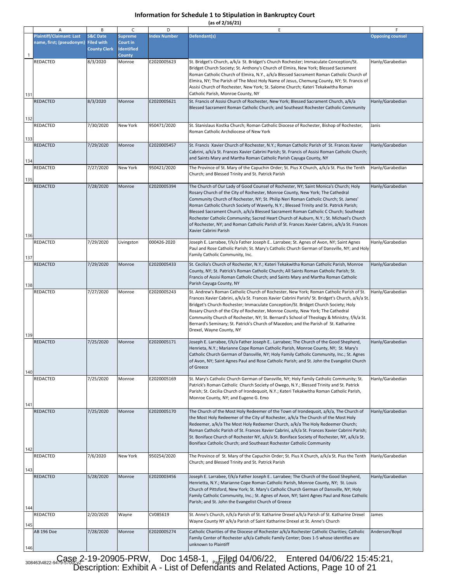|  | (as of 2/16/21) |  |
|--|-----------------|--|
|  |                 |  |

|              | Α                                                           | В                                                               | C                                               | D                   | E.                                                                                                                                                                                                                                                                                                                                                                                                                                                                                                                                                                                                                                                                    | F                       |
|--------------|-------------------------------------------------------------|-----------------------------------------------------------------|-------------------------------------------------|---------------------|-----------------------------------------------------------------------------------------------------------------------------------------------------------------------------------------------------------------------------------------------------------------------------------------------------------------------------------------------------------------------------------------------------------------------------------------------------------------------------------------------------------------------------------------------------------------------------------------------------------------------------------------------------------------------|-------------------------|
| $\mathbf{1}$ | <b>Plaintiff/Claimant: Last</b><br>name, first; (pseudonym) | <b>S&amp;C Date</b><br><b>Filed with</b><br><b>County Clerk</b> | <b>Supreme</b><br>Court in<br><b>Identified</b> | <b>Index Number</b> | Defendant(s)                                                                                                                                                                                                                                                                                                                                                                                                                                                                                                                                                                                                                                                          | <b>Opposing counsel</b> |
| 131          | <b>REDACTED</b>                                             | 8/3/2020                                                        | <b>County</b><br>Monroe                         | E2020005623         | St. Bridget's Church, a/k/a St. Bridget's Church Rochester; Immaculate Conception/St.<br>Bridget Church Society; St. Anthony's Church of Elmira, New York; Blessed Sacrament<br>Roman Catholic Church of Elmira, N.Y., a/k/a Blessed Sacrament Roman Catholic Church of<br>Elmira, NY; The Parish of The Most Holy Name of Jesus, Chemung County, NY; St. Francis of<br>Assisi Church of Rochester, New York; St. Salome Church; Kateri Tekakwitha Roman<br>Catholic Parish, Monroe County, NY                                                                                                                                                                        | Hanly/Garabedian        |
| 132          | <b>REDACTED</b>                                             | 8/3/2020                                                        | Monroe                                          | E2020005621         | St. Francis of Assisi Church of Rochester, New York; Blessed Sacrament Church, a/k/a<br>Blessed Sacrament Roman Catholic Church; and Southeast Rochester Catholic Community                                                                                                                                                                                                                                                                                                                                                                                                                                                                                           | Hanly/Garabedian        |
| 133          | <b>REDACTED</b>                                             | 7/30/2020                                                       | New York                                        | 950471/2020         | St. Stanislaus Kostka Church; Roman Catholic Diocese of Rochester, Bishop of Rochester,<br>Roman Catholic Archdiocese of New York                                                                                                                                                                                                                                                                                                                                                                                                                                                                                                                                     | Janis                   |
| 134          | <b>REDACTED</b>                                             | 7/29/2020                                                       | Monroe                                          | E2020005457         | St. Francis Xavier Church of Rochester, N.Y.; Roman Catholic Parish of St. Frances Xavier<br>Cabrini, a/k/a St. Frances Xavier Cabrini Parish; St. Francis of Assisi Roman Catholic Church;<br>and Saints Mary and Martha Roman Catholic Parish Cayuga County, NY                                                                                                                                                                                                                                                                                                                                                                                                     | Hanly/Garabedian        |
| 135          | <b>REDACTED</b>                                             | 7/27/2020                                                       | New York                                        | 950421/2020         | The Province of St. Mary of the Capuchin Order; St. Pius X Church, a/k/a St. Pius the Tenth<br>Church; and Blessed Trinity and St. Patrick Parish                                                                                                                                                                                                                                                                                                                                                                                                                                                                                                                     | Hanly/Garabedian        |
| 136          | <b>REDACTED</b>                                             | 7/28/2020                                                       | Monroe                                          | E2020005394         | The Church of Our Lady of Good Counsel of Rochester, NY; Saint Monica's Church; Holy<br>Rosary Church of the City of Rochester, Monroe County, New York; The Cathedral<br>Community Church of Rochester, NY; St. Philip Neri Roman Catholic Church; St. James'<br>Roman Catholic Church Society of Waverly, N.Y.; Blessed Trinity and St. Patrick Parish;<br>Blessed Sacrament Church, a/k/a Blessed Sacrament Roman Catholic C Church; Southeast<br>Rochester Catholic Community; Sacred Heart Church of Auburn, N.Y.; St. Michael's Church<br>of Rochester, NY; and Roman Catholic Parish of St. Frances Xavier Cabrini, a/k/a St. Frances<br>Xavier Cabrini Parish | Hanly/Garabedian        |
| 137          | <b>REDACTED</b>                                             | 7/29/2020                                                       | Livingston                                      | 000426-2020         | Joseph E. Larrabee, f/k/a Father Joseph E Larrabee; St. Agnes of Avon, NY; Saint Agnes<br>Paul and Rose Catholic Parish; St. Mary's Catholic Church German of Dansville, NY; and Holy<br>Family Catholic Community, Inc.                                                                                                                                                                                                                                                                                                                                                                                                                                              | Hanly/Garabedian        |
| 138          | <b>REDACTED</b>                                             | 7/29/2020                                                       | Monroe                                          | E2020005433         | St. Cecilia's Church of Rochester, N.Y.; Kateri Tekakwitha Roman Catholic Parish, Monroe<br>County, NY; St. Patrick's Roman Catholic Church; All Saints Roman Catholic Parish; St.<br>Francis of Assisi Roman Catholic Church; and Saints Mary and Martha Roman Catholic<br>Parish Cayuga County, NY                                                                                                                                                                                                                                                                                                                                                                  | Hanly/Garabedian        |
| 139          | <b>REDACTED</b>                                             | 7/27/2020                                                       | Monroe                                          | E2020005243         | St. Andrew's Roman Catholic Church of Rochester, New York; Roman Catholic Parish of St.<br>Frances Xavier Cabrini, a/k/a St. Frances Xavier Cabrini Parish/ St. Bridget's Church, a/k/a St.<br>Bridget's Church Rochester; Immaculate Conception/St. Bridget Church Society; Holy<br>Rosary Church of the City of Rochester, Monroe County, New York; The Cathedral<br>Community Church of Rochester, NY; St. Bernard's School of Theology & Ministry, f/k/a St.<br>Bernard's Seminary; St. Patrick's Church of Macedon; and the Parish of St. Katharine<br>Drexel, Wayne County, NY                                                                                  | Hanly/Garabedian        |
| 140          | REDACTED                                                    | 7/25/2020                                                       | Monroe                                          | E2020005171         | Joseph E. Larrabee, f/k/a Father Joseph E Larrabee; The Church of the Good Shepherd,<br>Henrieta, N.Y.; Marianne Cope Roman Catholic Parish, Monroe County, NY; St. Mary's<br>Catholic Church German of Dansville, NY; Holy Family Catholic Community, Inc.; St. Agnes<br>of Avon, NY; Saint Agnes Paul and Rose Catholic Parish; and St. John the Evangelist Church<br>of Greece                                                                                                                                                                                                                                                                                     | Hanly/Garabedian        |
| 141          | <b>REDACTED</b>                                             | 7/25/2020                                                       | Monroe                                          | E2020005169         | St. Mary's Catholic Church German of Dansville, NY; Holy Family Catholic Community; St.<br>Patrick's Roman Catholic Church Society of Owego, N.Y.; Blessed Trinity and St. Patrick<br>Parish; St. Cecilia Church of Irondequoit, N.Y.; Kateri Tekakwitha Roman Catholic Parish,<br>Monroe County, NY; and Eugene G. Emo                                                                                                                                                                                                                                                                                                                                               | Hanly/Garabedian        |
| 142          | <b>REDACTED</b>                                             | 7/25/2020                                                       | Monroe                                          | E2020005170         | The Church of the Most Holy Redeemer of the Town of Irondequoit, a/k/a, The Church of<br>the Most Holy Redeemer of the City of Rochester, a/k/a The Church of the Most Holy<br>Redeemer, a/k/a The Most Holy Redeemer Church, a/k/a The Holy Redeemer Church;<br>Roman Catholic Parish of St. Frances Xavier Cabrini, a/k/a St. Frances Xavier Cabrini Parish;<br>St. Boniface Church of Rochester NY, a/k/a St. Boniface Society of Rochester, NY, a/k/a St.<br>Boniface Catholic Church; and Southeast Rochester Catholic Community                                                                                                                                 | Hanly/Garabedian        |
| 143          | <b>REDACTED</b>                                             | 7/6/2020                                                        | New York                                        | 950254/2020         | The Province of St. Mary of the Capuchin Order; St. Pius X Church, a/k/a St. Pius the Tenth<br>Church; and Blessed Trinity and St. Patrick Parish                                                                                                                                                                                                                                                                                                                                                                                                                                                                                                                     | Hanly/Garabedian        |
| 144          | REDACTED                                                    | 5/28/2020                                                       | Monroe                                          | E2020003456         | Joseph E. Larrabee, f/k/a Father Joseph E Larrabee; The Church of the Good Shepherd,<br>Henrietta, N.Y.; Marianne Cope Roman Catholic Parish, Monroe County, NY; St. Louis<br>Church of Pittsford, New York; St. Mary's Catholic Church German of Dansville, NY; Holy<br>Family Catholic Community, Inc.; St. Agnes of Avon, NY; Saint Agnes Paul and Rose Catholic<br>Parish; and St. John the Evangelist Church of Greece                                                                                                                                                                                                                                           | Hanly/Garabedian        |
| 145          | <b>REDACTED</b>                                             | 2/20/2020                                                       | Wayne                                           | CV085619            | St. Anne's Church, n/k/a Parish of St. Katharine Drexel a/k/a Parish of St. Katharine Drexel<br>Wayne County NY a/k/a Parish of Saint Katharine Drexel at St. Anne's Church                                                                                                                                                                                                                                                                                                                                                                                                                                                                                           | James                   |
| 146          | AB 196 Doe                                                  | 7/28/2020                                                       | Monroe                                          | E2020005274         | Catholic Charities of the Diocese of Rochester a/k/a Rochester Catholic Charities; Catholic<br>Family Center of Rochester a/k/a Catholic Family Center; Does 1-5 whose identifies are<br>unknown to Plaintiff                                                                                                                                                                                                                                                                                                                                                                                                                                                         | Anderson/Boyd           |

308463\4822-9479-586&2-19-20905-PRW, Doc 1458-1, <sub>Page</sub> 9 04/06/22, Entered 04/06/22 15:45:21, Description: Exhibit A - List of Defendants and Related Actions, Page 10 of 21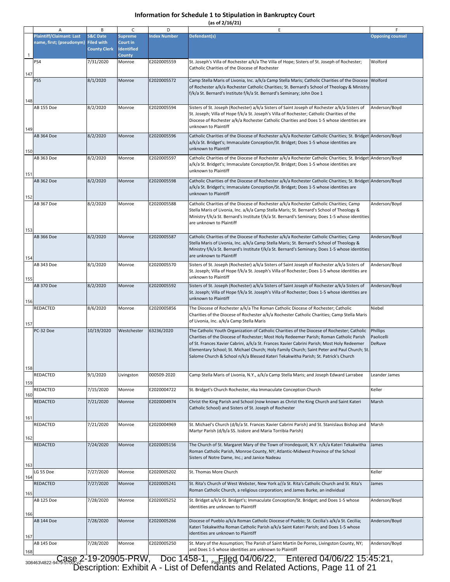|            | Α                                                           | В                                                               | C                                               | D                   | E                                                                                                                                                                                                                                                                                                                                                                                                                                                                          | F                                |
|------------|-------------------------------------------------------------|-----------------------------------------------------------------|-------------------------------------------------|---------------------|----------------------------------------------------------------------------------------------------------------------------------------------------------------------------------------------------------------------------------------------------------------------------------------------------------------------------------------------------------------------------------------------------------------------------------------------------------------------------|----------------------------------|
|            | <b>Plaintiff/Claimant: Last</b><br>name, first; (pseudonym) | <b>S&amp;C Date</b><br><b>Filed with</b><br><b>County Clerk</b> | <b>Supreme</b><br>Court in<br><b>Identified</b> | <b>Index Number</b> | Defendant(s)                                                                                                                                                                                                                                                                                                                                                                                                                                                               | <b>Opposing counsel</b>          |
| 1<br>147   | PS4                                                         | 7/31/2020                                                       | <b>County</b><br>Monroe                         | E2020005559         | St. Joseph's Villa of Rochester a/k/a The Villa of Hope; Sisters of St. Joseph of Rochester;<br>Catholic Charities of the Diocese of Rochester                                                                                                                                                                                                                                                                                                                             | Wolford                          |
| 148        | PS5                                                         | 8/1/2020                                                        | Monroe                                          | E2020005572         | Camp Stella Maris of Livonia, Inc. a/k/a Camp Stella Maris; Catholic Charities of the Diocese<br>of Rochester a/k/a Rochester Catholic Charities; St. Bernard's School of Theology & Ministry<br>f/k/a St. Bernard's Institute f/k/a St. Bernard's Seminary; John Doe 1                                                                                                                                                                                                    | Wolford                          |
|            | AB 155 Doe                                                  | 8/2/2020                                                        | Monroe                                          | E2020005594         | Sisters of St. Joseph (Rochester) a/k/a Sisters of Saint Joseph of Rochester a/k/a Sisters of<br>St. Joseph; Villa of Hope f/k/a St. Joseph's Villa of Rochester; Catholic Charities of the<br>Diocese of Rochester a/k/a Rochester Catholic Charities and Does 1-5 whose identities are<br>unknown to Plaintiff                                                                                                                                                           | Anderson/Boyd                    |
| 149<br>150 | AB 364 Doe                                                  | 8/2/2020                                                        | Monroe                                          | E2020005596         | Catholic Charities of the Diocese of Rochester a/k/a Rochester Catholic Charities; St. Bridget Anderson/Boyd<br>a/k/a St. Bridget's; Immaculate Conception/St. Bridget; Does 1-5 whose identities are<br>unknown to Plaintiff                                                                                                                                                                                                                                              |                                  |
| 151        | AB 363 Doe                                                  | 8/2/2020                                                        | Monroe                                          | E2020005597         | Catholic Charities of the Diocese of Rochester a/k/a Rochester Catholic Charities; St. Bridget Anderson/Boyd<br>a/k/a St. Bridget's; Immaculate Conception/St. Bridget; Does 1-5 whose identities are<br>unknown to Plaintiff                                                                                                                                                                                                                                              |                                  |
| 152        | <b>AB 362 Doe</b>                                           | 8/2/2020                                                        | Monroe                                          | E2020005598         | Catholic Charities of the Diocese of Rochester a/k/a Rochester Catholic Charities; St. Bridget Anderson/Boyd<br>a/k/a St. Bridget's; Immaculate Conception/St. Bridget; Does 1-5 whose identities are<br>unknown to Plaintiff                                                                                                                                                                                                                                              |                                  |
| 153        | AB 367 Doe                                                  | 8/2/2020                                                        | Monroe                                          | E2020005588         | Catholic Charities of the Diocese of Rochester a/k/a Rochester Catholic Charities; Camp<br>Stella Maris of Livonia, Inc. a/k/a Camp Stella Maris; St. Bernard's School of Theology &<br>Ministry f/k/a St. Bernard's Institute f/k/a St. Bernard's Seminary; Does 1-5 whose identities<br>are unknown to Plaintiff                                                                                                                                                         | Anderson/Boyd                    |
| 154        | AB 366 Doe                                                  | 8/2/2020                                                        | Monroe                                          | E2020005587         | Catholic Charities of the Diocese of Rochester a/k/a Rochester Catholic Charities; Camp<br>Stella Maris of Livonia, Inc. a/k/a Camp Stella Maris; St. Bernard's School of Theology &<br>Ministry f/k/a St. Bernard's Institute f/k/a St. Bernard's Seminary; Does 1-5 whose identities<br>are unknown to Plaintiff                                                                                                                                                         | Anderson/Boyd                    |
| 155        | AB 343 Doe                                                  | 8/1/2020                                                        | Monroe                                          | E2020005570         | Sisters of St. Joseph (Rochester) a/k/a Sisters of Saint Joseph of Rochester a/k/a Sisters of<br>St. Joseph; Villa of Hope f/k/a St. Joseph's Villa of Rochester; Does 1-5 whose identities are<br>unknown to Plaintiff                                                                                                                                                                                                                                                    | Anderson/Boyd                    |
| 156        | AB 370 Doe                                                  | 8/2/2020                                                        | Monroe                                          | E2020005592         | Sisters of St. Joseph (Rochester) a/k/a Sisters of Saint Joseph of Rochester a/k/a Sisters of<br>St. Joseph; Villa of Hope f/k/a St. Joseph's Villa of Rochester; Does 1-5 whose identities are<br>unknown to Plaintiff                                                                                                                                                                                                                                                    | Anderson/Boyd                    |
| 157        | REDACTED                                                    | 8/6/2020                                                        | Monroe                                          | E2020005856         | The Diocese of Rochester a/k/a The Roman Catholic Diocese of Rochester; Catholic<br>Charities of the Diocese of Rochester a/k/a Rochester Catholic Charities; Camp Stella Maris<br>of Livonia, Inc. a/k/a Camp Stella Maris                                                                                                                                                                                                                                                | Niebel                           |
| 158        | PC-32 Doe                                                   | 10/19/2020                                                      | Westchester                                     | 63236/2020          | The Catholic Youth Organization of Catholic Charities of the Diocese of Rochester; Catholic<br>Charities of the Diocese of Rochester; Most Holy Redeemer Parish; Roman Catholic Parish<br>of St. Frances Xavier Cabrini, a/k/a St. Frances Xavier Cabrini Parish; Most Holy Redeemer<br>Elementary School; St. Michael Church; Holy Family Church; Saint Peter and Paul Church; St.<br>Salome Church & School n/k/a Blessed Kateri Tekakwitha Parish; St. Patrick's Church | Phillips<br>Paolicelli<br>DeRuve |
| 159        | REDACTED                                                    | 9/1/2020                                                        | Livingston                                      | 000509-2020         | Camp Stella Maris of Livonia, N.Y., a/k/a Camp Stella Maris; and Joseph Edward Larrabee                                                                                                                                                                                                                                                                                                                                                                                    | Leander James                    |
| 160        | REDACTED                                                    | 7/15/2020                                                       | Monroe                                          | E2020004722         | St. Bridget's Church Rochester, nka Immaculate Conception Church                                                                                                                                                                                                                                                                                                                                                                                                           | Keller                           |
| 161        | REDACTED                                                    | 7/21/2020                                                       | Monroe                                          | E2020004974         | Christ the King Parish and School (now known as Christ the King Church and Saint Kateri<br>Catholic School) and Sisters of St. Joseph of Rochester                                                                                                                                                                                                                                                                                                                         | Marsh                            |
| 162        | REDACTED                                                    | 7/21/2020                                                       | Monroe                                          | E2020004969         | St. Michael's Church (d/b/a St. Frances Xavier Cabrini Parish) and St. Stanislaus Bishop and<br>Martyr Parish (d/b/a SS. Isidore and Maria Torribia Parish)                                                                                                                                                                                                                                                                                                                | Marsh                            |
| 163        | REDACTED                                                    | 7/24/2020                                                       | Monroe                                          | E2020005156         | The Church of St. Margaret Mary of the Town of Irondequoit, N.Y. n/k/a Kateri Tekakwitha<br>Roman Catholic Parish, Monroe County, NY; Atlantic-Midwest Province of the School<br>Sisters of Notre Dame, Inc.; and Janice Nadeau                                                                                                                                                                                                                                            | James                            |
| 164        | LG 55 Doe                                                   | 7/27/2020                                                       | Monroe                                          | E2020005202         | St. Thomas More Church                                                                                                                                                                                                                                                                                                                                                                                                                                                     | Keller                           |
| 165        | REDACTED                                                    | 7/27/2020                                                       | Monroe                                          | E2020005241         | St. Rita's Church of West Webster, New York a//a St. Rita's Catholic Church and St. Rita's<br>Roman Catholic Church, a religious corporation; and James Burke, an individual                                                                                                                                                                                                                                                                                               | James                            |
| 166        | AB 125 Doe                                                  | 7/28/2020                                                       | Monroe                                          | E2020005252         | St. Bridget a/k/a St. Bridget's; Immaculate Conception/St. Bridget; and Does 1-5 whose<br>identities are unknown to Plaintiff                                                                                                                                                                                                                                                                                                                                              | Anderson/Boyd                    |
| 167        | AB 144 Doe                                                  | 7/28/2020                                                       | Monroe                                          | E2020005266         | Diocese of Pueblo a/k/a Roman Catholic Diocese of Pueblo; St. Cecilia's a/k/a St. Cecilia;<br>Kateri Tekakwitha Roman Catholic Parish a/k/a Saint Kateri Parish; and Does 1-5 whose<br>identities are unknown to Plaintiff                                                                                                                                                                                                                                                 | Anderson/Boyd                    |
| 168        | AB 145 Doe                                                  | 7/28/2020                                                       | Monroe                                          | E2020005250         | St. Mary of the Assumption; The Parish of Saint Martin De Porres, Livingston County, NY;<br>and Does 1-5 whose identities are unknown to Plaintiff<br>$\overline{1}$ $\overline{2}$ $\overline{1}$ $\overline{2}$ $\overline{2}$ $\overline{2}$ $\overline{2}$                                                                                                                                                                                                             | Anderson/Boyd                    |

 $\frac{1}{308463\sqrt{4822\cdot9}\sqrt{39.88}\sqrt{2}}$ -19-20905-PRW, Doc 1458-1,  $\frac{1}{P}$ ans construction of 20 and  $\frac{1}{208463\sqrt{4822\cdot9}\sqrt{39.88}\sqrt{2}}$ -19-20905-PRW, Doc 1458-1,  $\frac{1}{P}$ age 10 04/06/22, Entered 04/06/22 15:45:21, Description: Exhibit A - List of Defendants and Related Actions, Page 11 of 21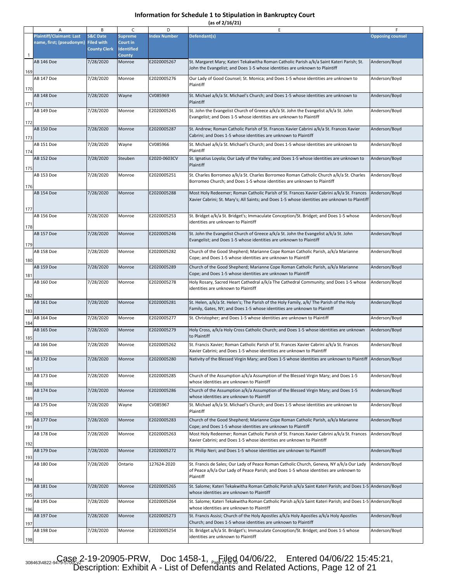**(as of 2/16/21)**

|                | A                                                                      | B                                          | C                                               | D                          | Ε                                                                                                                                                                                                                                             |                                |
|----------------|------------------------------------------------------------------------|--------------------------------------------|-------------------------------------------------|----------------------------|-----------------------------------------------------------------------------------------------------------------------------------------------------------------------------------------------------------------------------------------------|--------------------------------|
|                | <b>Plaintiff/Claimant: Last</b><br>name, first; (pseudonym) Filed with | <b>S&amp;C Date</b><br><b>County Clerk</b> | <b>Supreme</b><br>Court in<br><b>Identified</b> | <b>Index Number</b>        | Defendant(s)                                                                                                                                                                                                                                  | <b>Opposing counsel</b>        |
| $\overline{1}$ | <b>AB 146 Doe</b>                                                      | 7/28/2020                                  | <b>County</b><br>Monroe                         | E2020005267                | St. Margaret Mary; Kateri Tekakwitha Roman Catholic Parish a/k/a Saint Kateri Parish; St.<br>John the Evangelist; and Does 1-5 whose identities are unknown to Plaintiff                                                                      | Anderson/Boyd                  |
| 169            | AB 147 Doe                                                             | 7/28/2020                                  | Monroe                                          | E2020005276                | Our Lady of Good Counsel; St. Monica; and Does 1-5 whose identities are unknown to<br>Plaintiff                                                                                                                                               | Anderson/Boyd                  |
| 170<br>171     | AB 148 Doe                                                             | 7/28/2020                                  | Wayne                                           | CV085969                   | St. Michael a/k/a St. Michael's Church; and Does 1-5 whose identities are unknown to<br>Plaintiff                                                                                                                                             | Anderson/Boyd                  |
| 172            | AB 149 Doe                                                             | 7/28/2020                                  | Monroe                                          | E2020005245                | St. John the Evangelist Church of Greece a/k/a St. John the Evangelist a/k/a St. John<br>Evangelist; and Does 1-5 whose identities are unknown to Plaintiff                                                                                   | Anderson/Boyd                  |
| 173            | <b>AB 150 Doe</b>                                                      | 7/28/2020                                  | Monroe                                          | E2020005287                | St. Andrew; Roman Catholic Parish of St. Frances Xavier Cabrini a/k/a St. Frances Xavier<br>Cabrini; and Does 1-5 whose identities are unknown to Plaintiff                                                                                   | Anderson/Boyd                  |
| 174            | AB 151 Doe                                                             | 7/28/2020                                  | Wayne                                           | CV085966                   | St. Michael a/k/a St. Michael's Church; and Does 1-5 whose identities are unknown to<br>Plaintiff                                                                                                                                             | Anderson/Boyd                  |
| 175            | <b>AB 152 Doe</b>                                                      | 7/28/2020                                  | Steuben                                         | E2020-0603CV               | St. Ignatius Loyola; Our Lady of the Valley; and Does 1-5 whose identities are unknown to<br>Plaintiff                                                                                                                                        | Anderson/Boyd                  |
| 176            | AB 153 Doe                                                             | 7/28/2020                                  | Monroe                                          | E2020005251                | St. Charles Borromeo a/k/a St. Charles Borromeo Roman Catholic Church a/k/a St. Charles<br>Borromeo Church; and Does 1-5 whose identities are unknown to Plaintiff                                                                            | Anderson/Boyd                  |
|                | <b>AB 154 Doe</b>                                                      | 7/28/2020                                  | Monroe                                          | E2020005288                | Most Holy Redeemer; Roman Catholic Parish of St. Frances Xavier Cabrini a/k/a St. Frances<br>Xavier Cabrini; St. Mary's; All Saints; and Does 1-5 whose identities are unknown to Plaintiff                                                   | Anderson/Boyd                  |
| 177            | AB 156 Doe                                                             | 7/28/2020                                  | Monroe                                          | E2020005253                | St. Bridget a/k/a St. Bridget's; Immaculate Conception/St. Bridget; and Does 1-5 whose                                                                                                                                                        | Anderson/Boyd                  |
| 178            | <b>AB 157 Doe</b>                                                      | 7/28/2020                                  | Monroe                                          | E2020005246                | identities are unknown to Plaintiff<br>St. John the Evangelist Church of Greece a/k/a St. John the Evangelist a/k/a St. John                                                                                                                  | Anderson/Boyd                  |
| 179            |                                                                        |                                            |                                                 |                            | Evangelist; and Does 1-5 whose identities are unknown to Plaintiff                                                                                                                                                                            |                                |
| 180            | AB 158 Doe                                                             | 7/28/2020                                  | Monroe                                          | E2020005282                | Church of the Good Shepherd; Marianne Cope Roman Catholic Parish, a/k/a Marianne<br>Cope; and Does 1-5 whose identities are unknown to Plaintiff                                                                                              | Anderson/Boyd                  |
| 181            | <b>AB 159 Doe</b>                                                      | 7/28/2020                                  | Monroe                                          | E2020005289                | Church of the Good Shepherd; Marianne Cope Roman Catholic Parish, a/k/a Marianne<br>Cope; and Does 1-5 whose identities are unknown to Plaintiff                                                                                              | Anderson/Boyd                  |
| 182            | AB 160 Doe                                                             | 7/28/2020                                  | Monroe                                          | E2020005278                | Holy Rosary, Sacred Heart Cathedral a/k/a The Cathedral Community; and Does 1-5 whose<br>identities are unknown to Plaintiff                                                                                                                  | Anderson/Boyd                  |
| 183            | <b>AB 161 Doe</b>                                                      | 7/28/2020                                  | Monroe                                          | E2020005281                | St. Helen, a/k/a St. Helen's; The Parish of the Holy Family, a/k/ The Parish of the Holy<br>Family, Gates, NY; and Does 1-5 whose identities are unknown to Plaintiff                                                                         | Anderson/Boyd                  |
| 184            | AB 164 Doe                                                             | 7/28/2020                                  | Monroe                                          | E2020005277                | St. Christopher; and Does 1-5 whose identities are unknown to Plaintiff                                                                                                                                                                       | Anderson/Boyd                  |
| 185            | <b>AB 165 Doe</b>                                                      | 7/28/2020                                  | Monroe                                          | E2020005279                | Holy Cross, a/k/a Holy Cross Catholic Church; and Does 1-5 whose identities are unknown<br>to Plaintiff                                                                                                                                       | Anderson/Boyd                  |
| 186            | AB 166 Doe                                                             | 7/28/2020                                  | Monroe                                          | E2020005262                | St. Francis Xavier; Roman Catholic Parish of St. Frances Xavier Cabrini a/k/a St. Frances<br>Xavier Cabrini; and Does 1-5 whose identities are unknown to Plaintiff                                                                           | Anderson/Boyd                  |
| 187            | <b>AB 172 Doe</b>                                                      | 7/28/2020                                  | Monroe                                          | E2020005280                | Nativity of the Blessed Virgin Mary; and Does 1-5 whose identities are unknown to Plaintiff Anderson/Boyd                                                                                                                                     |                                |
| 188            | AB 173 Doe                                                             | 7/28/2020                                  | Monroe                                          | E2020005285                | Church of the Assumption a/k/a Assumption of the Blessed Virgin Mary; and Does 1-5<br>whose identities are unknown to Plaintiff                                                                                                               | Anderson/Boyd                  |
| 189            | <b>AB 174 Doe</b>                                                      | 7/28/2020                                  | Monroe                                          | E2020005286                | Church of the Assumption a/k/a Assumption of the Blessed Virgin Mary; and Does 1-5<br>whose identities are unknown to Plaintiff                                                                                                               | Anderson/Boyd                  |
| 190            | <b>AB 175 Doe</b>                                                      | 7/28/2020                                  | Wayne                                           | CV085967                   | St. Michael a/k/a St. Michael's Church; and Does 1-5 whose identities are unknown to<br>Plaintiff                                                                                                                                             | Anderson/Boyd                  |
| 191            | AB 177 Doe<br>AB 178 Doe                                               | 7/28/2020<br>7/28/2020                     | Monroe<br>Monroe                                | E2020005283<br>E2020005263 | Church of the Good Shepherd; Marianne Cope Roman Catholic Parish, a/k/a Marianne<br>Cope; and Does 1-5 whose identities are unknown to Plaintiff<br>Most Holy Redeemer; Roman Catholic Parish of St. Frances Xavier Cabrini a/k/a St. Frances | Anderson/Boyd<br>Anderson/Boyd |
| 192            |                                                                        |                                            |                                                 |                            | Xavier Cabrini; and Does 1-5 whose identities are unknown to Plaintiff                                                                                                                                                                        |                                |
| 193            | <b>AB 179 Doe</b>                                                      | 7/28/2020                                  | Monroe                                          | E2020005272                | St. Philip Neri; and Does 1-5 whose identities are unknown to Plaintiff                                                                                                                                                                       | Anderson/Boyd                  |
| 194            | AB 180 Doe                                                             | 7/28/2020                                  | Ontario                                         | 127624-2020                | St. Francis de Sales; Our Lady of Peace Roman Catholic Church, Geneva, NY a/k/a Our Lady<br>of Peace a/k/a Our Lady of Peace Parish; and Does 1-5 whose identities are unknown to<br>Plaintiff                                                | Anderson/Boyd                  |
| 195            | <b>AB 181 Doe</b>                                                      | 7/28/2020                                  | Monroe                                          | E2020005265                | St. Salome; Kateri Tekakwitha Roman Catholic Parish a/k/a Saint Kateri Parish; and Does 1-5 Anderson/Boyd<br>whose identities are unknown to Plaintiff                                                                                        |                                |
| 196            | AB 195 Doe                                                             | 7/28/2020                                  | Monroe                                          | E2020005264                | St. Salome; Kateri Tekakwitha Roman Catholic Parish a/k/a Saint Kateri Parish; and Does 1-5 Anderson/Boyd<br>whose identities are unknown to Plaintiff                                                                                        |                                |
| 197            | AB 197 Doe                                                             | 7/28/2020                                  | Monroe                                          | E2020005273                | St. Francis Assisi; Church of the Holy Apostles a/k/a Holy Apostles a/k/a Holy Apostles<br>Church; and Does 1-5 whose identities are unknown to Plaintiff                                                                                     | Anderson/Boyd                  |
| 198            | AB 198 Doe                                                             | 7/28/2020                                  | Monroe                                          | E2020005254                | St. Bridget a/k/a St. Bridget's; Immaculate Conception/St. Bridget; and Does 1-5 whose<br>identities are unknown to Plaintiff                                                                                                                 | Anderson/Boyd                  |

 $308463\sqrt{4822\cdot949\cdot9576\cdot12}$  20905-PRW, Doc 1458-1,  $P_{\text{Pag}}$ [1]  $GP_{\text{Qg}}$  04/06/22, Entered 04/06/22 15:45:21, Description: Exhibit A - List of Defendants and Related Actions, Page 12 of 21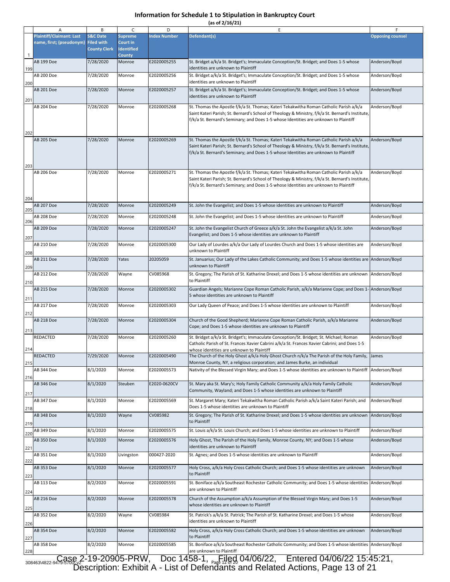**(as of 2/16/21)**

|          | A                               | B                                        | $\mathsf{C}$                         | D                   | E                                                                                                                                                                                                                                                                                  | F                       |
|----------|---------------------------------|------------------------------------------|--------------------------------------|---------------------|------------------------------------------------------------------------------------------------------------------------------------------------------------------------------------------------------------------------------------------------------------------------------------|-------------------------|
|          | <b>Plaintiff/Claimant: Last</b> | <b>S&amp;C Date</b>                      | <b>Supreme</b>                       | <b>Index Number</b> | Defendant(s)                                                                                                                                                                                                                                                                       | <b>Opposing counsel</b> |
|          | name, first; (pseudonym)        | <b>Filed with</b><br><b>County Clerk</b> | <b>Court in</b><br><b>Identified</b> |                     |                                                                                                                                                                                                                                                                                    |                         |
| 1<br>199 | AB 199 Doe                      | 7/28/2020                                | <b>County</b><br>Monroe              | E2020005255         | St. Bridget a/k/a St. Bridget's; Immaculate Conception/St. Bridget; and Does 1-5 whose<br>identities are unknown to Plaintiff                                                                                                                                                      | Anderson/Boyd           |
| 200      | AB 200 Doe                      | 7/28/2020                                | Monroe                               | E2020005256         | St. Bridget a/k/a St. Bridget's; Immaculate Conception/St. Bridget; and Does 1-5 whose<br>identities are unknown to Plaintiff                                                                                                                                                      | Anderson/Boyd           |
| 201      | AB 201 Doe                      | 7/28/2020                                | Monroe                               | E2020005257         | St. Bridget a/k/a St. Bridget's; Immaculate Conception/St. Bridget; and Does 1-5 whose<br>identities are unknown to Plaintiff                                                                                                                                                      | Anderson/Boyd           |
|          | AB 204 Doe                      | 7/28/2020                                | Monroe                               | E2020005268         | St. Thomas the Apostle f/k/a St. Thomas; Kateri Tekakwitha Roman Catholic Parish a/k/a                                                                                                                                                                                             | Anderson/Boyd           |
| 202      |                                 |                                          |                                      |                     | Saint Kateri Parish; St. Bernard's School of Theology & Ministry, f/k/a St. Bernard's Institute,<br>f/k/a St. Bernard's Seminary; and Does 1-5 whose Identities are unknown to Plaintiff                                                                                           |                         |
| 203      | AB 205 Doe                      | 7/28/2020                                | Monroe                               | E2020005269         | St. Thomas the Apostle f/k/a St. Thomas; Kateri Tekakwitha Roman Catholic Parish a/k/a<br>Saint Kateri Parish; St. Bernard's School of Theology & Ministry, f/k/a St. Bernard's Institute,<br>f/k/a St. Bernard's Seminary; and Does 1-5 whose Identities are unknown to Plaintiff | Anderson/Boyd           |
| 204      | AB 206 Doe                      | 7/28/2020                                | Monroe                               | E2020005271         | St. Thomas the Apostle f/k/a St. Thomas; Kateri Tekakwitha Roman Catholic Parish a/k/a<br>Saint Kateri Parish; St. Bernard's School of Theology & Ministry, f/k/a St. Bernard's Institute,<br>f/k/a St. Bernard's Seminary; and Does 1-5 whose Identities are unknown to Plaintiff | Anderson/Boyd           |
| 205      | AB 207 Doe                      | 7/28/2020                                | Monroe                               | E2020005249         | St. John the Evangelist; and Does 1-5 whose identities are unknown to Plaintiff                                                                                                                                                                                                    | Anderson/Boyd           |
| 206      | AB 208 Doe                      | 7/28/2020                                | Monroe                               | E2020005248         | St. John the Evangelist; and Does 1-5 whose identities are unknown to Plaintiff                                                                                                                                                                                                    | Anderson/Boyd           |
| 207      | AB 209 Doe                      | 7/28/2020                                | Monroe                               | E2020005247         | St. John the Evangelist Church of Greece a/k/a St. John the Evangelist a/k/a St. John<br>Evangelist; and Does 1-5 whose identities are unknown to Plaintiff                                                                                                                        | Anderson/Boyd           |
| 208      | AB 210 Doe                      | 7/28/2020                                | Monroe                               | E2020005300         | Our Lady of Lourdes a/k/a Our Lady of Lourdes Church and Does 1-5 whose identities are<br>unknown to Plaintiff                                                                                                                                                                     | Anderson/Boyd           |
| 209      | AB 211 Doe                      | 7/28/2020                                | Yates                                | 20205059            | St. Januarius; Our Lady of the Lakes Catholic Community; and Does 1-5 whose identities are Anderson/Boyd<br>unknown to Plaintiff                                                                                                                                                   |                         |
| 210      | AB 212 Doe                      | 7/28/2020                                | Wayne                                | CV085968            | St. Gregory; The Parish of St. Katharine Drexel; and Does 1-5 whose identities are unknown<br>to Plaintiff                                                                                                                                                                         | Anderson/Boyd           |
| 211      | AB 215 Doe                      | 7/28/2020                                | Monroe                               | E2020005302         | Guardian Angels; Marianne Cope Roman Catholic Parish, a/k/a Marianne Cope; and Does 1- Anderson/Boyd<br>5 whose identities are unknown to Plaintiff                                                                                                                                |                         |
| 212      | AB 217 Doe                      | 7/28/2020                                | Monroe                               | E2020005303         | Our Lady Queen of Peace; and Does 1-5 whose identities are unknown to Plaintiff                                                                                                                                                                                                    | Anderson/Boyd           |
| 213      | AB 218 Doe                      | 7/28/2020                                | Monroe                               | E2020005304         | Church of the Good Shepherd; Marianne Cope Roman Catholic Parish, a/k/a Marianne<br>Cope; and Does 1-5 whose identities are unknown to Plaintiff                                                                                                                                   | Anderson/Boyd           |
| 214      | REDACTED                        | 7/28/2020                                | Monroe                               | E2020005260         | St. Bridget a/k/a St. Bridget's; Immaculate Conception/St. Bridget; St. Michael; Roman<br>Catholic Parish of St. Frances Xavier Cabrini a/k/a St. Frances Xavier Cabrini; and Does 1-5<br>whose identities are unknown to Plaintiff                                                | Anderson/Boyd           |
| 215      | REDACTED                        | 7/29/2020                                | Monroe                               | E2020005490         | The Church of the Holy Ghost a/k/a Holy Ghost Church n/k/a The Parish of the Holy Family, James<br>Monroe County, NY, a religious corporation; and James Burke, an individual                                                                                                      |                         |
| 216      | AB 344 Doe                      | 8/1/2020                                 | Monroe                               | E2020005573         | Nativity of the Blessed Virgin Mary; and Does 1-5 whose identities are unknown to Plaintiff Anderson/Boyd                                                                                                                                                                          |                         |
| 217      | AB 346 Doe                      | 8/1/2020                                 | Steuben                              | E2020-0620CV        | St. Mary aka St. Mary's; Holy Family Catholic Community a/k/a Holy Family Catholic<br>Community, Wayland; and Does 1-5 whose identities are unknown to Plaintiff                                                                                                                   | Anderson/Boyd           |
| 218      | AB 347 Doe                      | 8/1/2020                                 | Monroe                               | E2020005569         | St. Margaret Mary; Kateri Tekakwitha Roman Catholic Parish a/k/a Saint Kateri Parish; and<br>Does 1-5 whose identities are unknown to Plaintiff                                                                                                                                    | Anderson/Boyd           |
| 219      | AB 348 Doe                      | 8/1/2020                                 | Wayne                                | CV085982            | St. Gregory; The Parish of St. Katharine Drexel; and Does 1-5 whose identities are unknown<br>to Plaintiff                                                                                                                                                                         | Anderson/Boyd           |
| 220      | AB 349 Doe                      | 8/1/2020                                 | Monroe                               | E2020005575         | St. Louis a/k/a St. Louis Church; and Does 1-5 whose identities are unknown to Plaintiff                                                                                                                                                                                           | Anderson/Boyd           |
| 221      | AB 350 Doe                      | 8/1/2020                                 | Monroe                               | E2020005576         | Holy Ghost, The Parish of the Holy Family, Monroe County, NY; and Does 1-5 whose<br>identities are unknown to Plaintiff                                                                                                                                                            | Anderson/Boyd           |
| 222      | AB 351 Doe                      | 8/1/2020                                 | Livingston                           | 000427-2020         | St. Agnes; and Does 1-5 whose identities are unknown to Plaintiff                                                                                                                                                                                                                  | Anderson/Boyd           |
| 223      | AB 353 Doe                      | 8/1/2020                                 | Monroe                               | E2020005577         | Holy Cross, a/k/a Holy Cross Catholic Church; and Does 1-5 whose identities are unknown<br>to Plaintiff                                                                                                                                                                            | Anderson/Boyd           |
| 224      | AB 113 Doe                      | 8/2/2020                                 | Monroe                               | E2020005591         | St. Boniface a/k/a Southeast Rochester Catholic Community; and Does 1-5 whose identities<br>are unknown to Plaintiff                                                                                                                                                               | Anderson/Boyd           |
| 225      | AB 216 Doe                      | 8/2/2020                                 | Monroe                               | E2020005578         | Church of the Assumption a/k/a Assumption of the Blessed Virgin Mary; and Does 1-5<br>whose identities are unknown to Plaintiff                                                                                                                                                    | Anderson/Boyd           |
| 226      | AB 352 Doe                      | 8/2/2020                                 | Wayne                                | CV085984            | St. Patrick's a/k/a St. Patrick; The Parish of St. Katharine Drexel; and Does 1-5 whose<br>identities are unknown to Plaintiff                                                                                                                                                     | Anderson/Boyd           |
| 227      | AB 354 Doe                      | 8/2/2020                                 | Monroe                               | E2020005582         | Holy Cross, a/k/a Holy Cross Catholic Church; and Does 1-5 whose identities are unknown<br>to Plaintiff                                                                                                                                                                            | Anderson/Boyd           |
| 228      | AB 358 Doe                      | 8/2/2020                                 | Monroe                               | E2020005585         | St. Boniface a/k/a Southeast Rochester Catholic Community; and Does 1-5 whose identities Anderson/Boyd<br>are unknown to Plaintiff                                                                                                                                                 |                         |

 308463\4822-9479-5700\.v2 Case 2-19-20905-PRW, Doc 1458-1, Filed 04/06/22, Entered 04/06/22 15:45:21, Page 12 of 20 Description: Exhibit A - List of Defendants and Related Actions, Page 13 of 21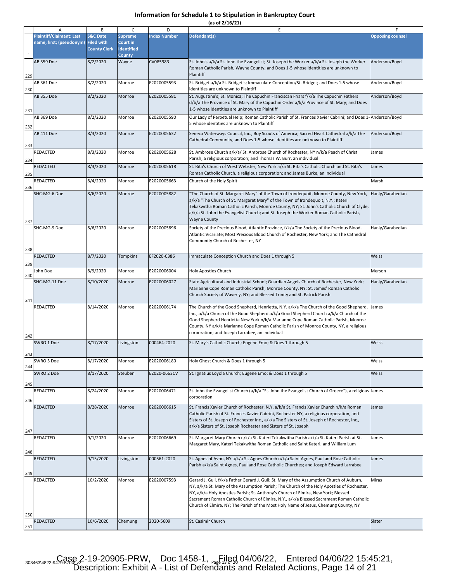|  |  | (as of 2/16/21) |  |
|--|--|-----------------|--|
|  |  |                 |  |

|     | Α                                   | B                   | C                 | D                   | Ε                                                                                                                                                                                 | F                       |
|-----|-------------------------------------|---------------------|-------------------|---------------------|-----------------------------------------------------------------------------------------------------------------------------------------------------------------------------------|-------------------------|
|     | <b>Plaintiff/Claimant: Last</b>     | <b>S&amp;C Date</b> | <b>Supreme</b>    | <b>Index Number</b> | Defendant(s)                                                                                                                                                                      | <b>Opposing counsel</b> |
|     | name, first; (pseudonym) Filed with |                     | Court in          |                     |                                                                                                                                                                                   |                         |
|     |                                     | <b>County Clerk</b> | <b>Identified</b> |                     |                                                                                                                                                                                   |                         |
|     | AB 359 Doe                          |                     | <b>County</b>     | CV085983            |                                                                                                                                                                                   | Anderson/Boyd           |
|     |                                     | 8/2/2020            | Wayne             |                     | St. John's a/k/a St. John the Evangelist; St. Joseph the Worker a/k/a St. Joseph the Worker<br>Roman Catholic Parish, Wayne County; and Does 1-5 whose identities are unknown to  |                         |
|     |                                     |                     |                   |                     | Plaintiff                                                                                                                                                                         |                         |
| 229 | AB 361 Doe                          | 8/2/2020            |                   | E2020005593         |                                                                                                                                                                                   |                         |
| 230 |                                     |                     | Monroe            |                     | St. Bridget a/k/a St. Bridget's; Immaculate Conception/St. Bridget; and Does 1-5 whose<br>identities are unknown to Plaintiff                                                     | Anderson/Boyd           |
|     | AB 355 Doe                          | 8/2/2020            | Monroe            | E2020005581         | St. Augustine's; St. Monica; The Capuchin Franciscan Friars f/k/a The Capuchin Fathers                                                                                            | Anderson/Boyd           |
|     |                                     |                     |                   |                     | d/b/a The Province of St. Mary of the Capuchin Order a/k/a Province of St. Mary; and Does                                                                                         |                         |
| 231 |                                     |                     |                   |                     | 1-5 whose identities are unknown to Plaintiff                                                                                                                                     |                         |
|     | AB 369 Doe                          | 8/2/2020            | Monroe            | E2020005590         | Our Lady of Perpetual Help; Roman Catholic Parish of St. Frances Xavier Cabrini; and Does 1-Anderson/Boyd                                                                         |                         |
|     |                                     |                     |                   |                     | 5 whose identities are unknown to Plaintiff                                                                                                                                       |                         |
| 232 |                                     |                     |                   |                     |                                                                                                                                                                                   |                         |
|     | AB 411 Doe                          | 8/3/2020            | Monroe            | E2020005632         | Seneca Waterways Council, Inc., Boy Scouts of America; Sacred Heart Cathedral a/k/a The<br>Cathedral Community; and Does 1-5 whose identities are unknown to Plaintiff            | Anderson/Boyd           |
| 233 |                                     |                     |                   |                     |                                                                                                                                                                                   |                         |
|     | REDACTED                            | 8/3/2020            | Monroe            | E2020005628         | St. Ambrose Church a/k/a/ St. Ambrose Church of Rochester, NY n/k/a Peach of Christ                                                                                               | James                   |
| 234 |                                     |                     |                   |                     | Parish, a religious corporation; and Thomas W. Burr, an individual                                                                                                                |                         |
|     | <b>REDACTED</b>                     | 8/3/2020            | Monroe            | E2020005618         | St. Rita's Church of West Webster, New York a//a St. Rita's Catholic Church and St. Rita's                                                                                        | James                   |
| 235 |                                     |                     |                   |                     | Roman Catholic Church, a religious corporation; and James Burke, an individual                                                                                                    |                         |
|     | REDACTED                            | 8/4/2020            | Monroe            | E2020005663         | Church of the Holy Spirit                                                                                                                                                         | Marsh                   |
| 236 |                                     |                     |                   |                     |                                                                                                                                                                                   |                         |
|     | SHC-MG-6 Doe                        | 8/6/2020            | Monroe            | E2020005882         | "The Church of St. Margaret Mary" of the Town of Irondequoit, Monroe County, New York,                                                                                            | Hanly/Garabedian        |
|     |                                     |                     |                   |                     | a/k/a "The Church of St. Margaret Mary" of the Town of Irondequoit, N.Y.; Kateri                                                                                                  |                         |
|     |                                     |                     |                   |                     | Tekakwitha Roman Catholic Parish, Monroe County, NY; St. John's Catholic Church of Clyde,                                                                                         |                         |
|     |                                     |                     |                   |                     | a/k/a St. John the Evangelist Church; and St. Joseph the Worker Roman Catholic Parish,                                                                                            |                         |
| 237 |                                     |                     |                   |                     | <b>Wayne County</b>                                                                                                                                                               |                         |
|     | SHC-MG-9 Doe                        | 8/6/2020            | Monroe            | E2020005896         | Society of the Precious Blood, Atlantic Province, f/k/a The Society of the Precious Blood,                                                                                        | Hanly/Garabedian        |
|     |                                     |                     |                   |                     | Atlantic Vicariate; Most Precious Blood Church of Rochester, New York; and The Cathedral<br>Community Church of Rochester, NY                                                     |                         |
|     |                                     |                     |                   |                     |                                                                                                                                                                                   |                         |
| 238 |                                     |                     |                   |                     |                                                                                                                                                                                   |                         |
|     | <b>REDACTED</b>                     | 8/7/2020            | <b>Tompkins</b>   | EF2020-0386         | Immaculate Conception Church and Does 1 through 5                                                                                                                                 | Weiss                   |
| 239 |                                     |                     |                   |                     |                                                                                                                                                                                   |                         |
| 240 | John Doe                            | 8/9/2020            | Monroe            | E2020006004         | Holy Apostles Church                                                                                                                                                              | Merson                  |
|     | SHC-MG-11 Doe                       | 8/10/2020           | Monroe            | E2020006027         | State Agricultural and Industrial School; Guardian Angels Church of Rochester, New York;                                                                                          | Hanly/Garabedian        |
|     |                                     |                     |                   |                     | Marianne Cope Roman Catholic Parish, Monroe County, NY; St. James' Roman Catholic                                                                                                 |                         |
|     |                                     |                     |                   |                     | Church Society of Waverly, NY; and Blessed Trinity and St. Patrick Parish                                                                                                         |                         |
| 241 |                                     |                     |                   |                     |                                                                                                                                                                                   |                         |
|     | REDACTED                            | 8/14/2020           | Monroe            | E2020006174         | The Church of the Good Shepherd, Henrietta, N.Y. a/k/a The Church of the Good Shepherd,<br>Inc., a/k/a Church of the Good Shepherd a/k/a Good Shepherd Church a/k/a Church of the | James                   |
|     |                                     |                     |                   |                     | Good Shepherd Henrietta New York n/k/a Marianne Cope Roman Catholic Parish, Monroe                                                                                                |                         |
|     |                                     |                     |                   |                     | County, NY a/k/a Marianne Cope Roman Catholic Parish of Monroe County, NY, a religious                                                                                            |                         |
|     |                                     |                     |                   |                     | corporation; and Joseph Larrabee, an individual                                                                                                                                   |                         |
| 242 | SWRO 1 Doe                          | 8/17/2020           | Livingston        | 000464-2020         | St. Mary's Catholic Church; Eugene Emo; & Does 1 through 5                                                                                                                        | Weiss                   |
|     |                                     |                     |                   |                     |                                                                                                                                                                                   |                         |
| 243 |                                     |                     |                   |                     |                                                                                                                                                                                   |                         |
|     | SWRO 3 Doe                          | 8/17/2020           | Monroe            | E2020006180         | Holy Ghost Church & Does 1 through 5                                                                                                                                              | Weiss                   |
| 244 |                                     |                     |                   |                     |                                                                                                                                                                                   |                         |
|     | SWRO 2 Doe                          | 8/17/2020           | Steuben           | E2020-0663CV        | St. Ignatius Loyola Church; Eugene Emo; & Does 1 through 5                                                                                                                        | Weiss                   |
| 245 |                                     |                     |                   |                     |                                                                                                                                                                                   |                         |
|     | REDACTED                            | 8/24/2020           | Monroe            | E2020006471         | St. John the Evangelist Church (a/k/a "St. John the Evangelist Church of Greece"), a religious James                                                                              |                         |
| 246 |                                     |                     |                   |                     | corporation                                                                                                                                                                       |                         |
|     | REDACTED                            | 8/28/2020           | Monroe            | E2020006615         | St. Francis Xavier Church of Rochester, N.Y. a/k/a St. Francis Xavier Church n/k/a Roman                                                                                          | James                   |
|     |                                     |                     |                   |                     | Catholic Parish of St. Frances Xavier Cabrini, Rochester NY, a religious corporation, and                                                                                         |                         |
|     |                                     |                     |                   |                     | Sisters of St. Joseph of Rochester Inc., a/k/a The Sisters of St. Joseph of Rochester, Inc.,                                                                                      |                         |
|     |                                     |                     |                   |                     | a/k/a Sisters of St. Joseph Rochester and Sisters of St. Joseph                                                                                                                   |                         |
| 247 |                                     |                     |                   |                     | St. Margaret Mary Church n/k/a St. Kateri Tekakwitha Parish a/k/a St. Kateri Parish at St.                                                                                        |                         |
|     | REDACTED                            | 9/1/2020            | Monroe            | E2020006669         | Margaret Mary, Kateri Tekakwitha Roman Catholic and Saint Kateri; and William Lum                                                                                                 | James                   |
|     |                                     |                     |                   |                     |                                                                                                                                                                                   |                         |
| 248 | REDACTED                            | 9/15/2020           | Livingston        | 000561-2020         | St. Agnes of Avon, NY a/k/a St. Agnes Church n/k/a Saint Agnes, Paul and Rose Catholic                                                                                            | James                   |
|     |                                     |                     |                   |                     | Parish a/k/a Saint Agnes, Paul and Rose Catholic Churches; and Joseph Edward Larrabee                                                                                             |                         |
| 249 |                                     |                     |                   |                     |                                                                                                                                                                                   |                         |
|     | REDACTED                            | 10/2/2020           | Monroe            | E2020007593         | Gerard J. Guli, f/k/a Father Gerard J. Guli; St. Mary of the Assumption Church of Auburn,                                                                                         | Miras                   |
|     |                                     |                     |                   |                     | NY, a/k/a St. Mary of the Assumption Parish; The Church of the Holy Apostles of Rochester,                                                                                        |                         |
|     |                                     |                     |                   |                     | NY, a/k/a Holy Apostles Parish; St. Anthony's Church of Elmira, New York; Blessed                                                                                                 |                         |
|     |                                     |                     |                   |                     | Sacrament Roman Catholic Church of Elmira, N.Y., a/k/a Blessed Sacrament Roman Catholic                                                                                           |                         |
|     |                                     |                     |                   |                     | Church of Elmira, NY; The Parish of the Most Holy Name of Jesus, Chemung County, NY                                                                                               |                         |
| 250 |                                     |                     |                   |                     |                                                                                                                                                                                   |                         |
|     | REDACTED                            | 10/6/2020           | Chemung           | 2020-5609           | St. Casimir Church                                                                                                                                                                | Slater                  |
| 251 |                                     |                     |                   |                     |                                                                                                                                                                                   |                         |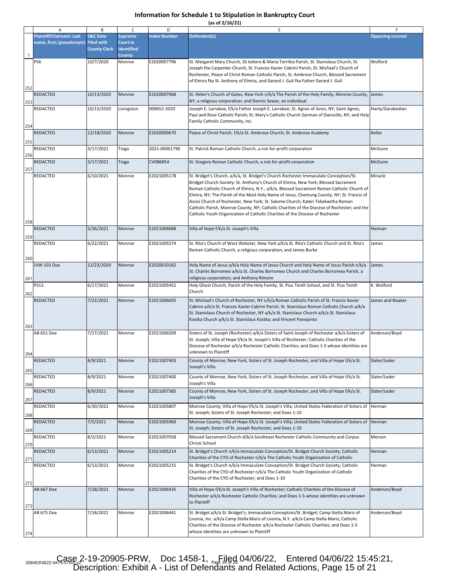|  |  | (as of 2/16/21) |  |
|--|--|-----------------|--|
|  |  |                 |  |

|              | Α                                                           | B                                                               | $\mathsf{C}$                                                            | D                   | E                                                                                                                                                                                                                                                                                                                                                                                                                                                                                                                                                                                                                                         | F                       |
|--------------|-------------------------------------------------------------|-----------------------------------------------------------------|-------------------------------------------------------------------------|---------------------|-------------------------------------------------------------------------------------------------------------------------------------------------------------------------------------------------------------------------------------------------------------------------------------------------------------------------------------------------------------------------------------------------------------------------------------------------------------------------------------------------------------------------------------------------------------------------------------------------------------------------------------------|-------------------------|
| $\mathbf{1}$ | <b>Plaintiff/Claimant: Last</b><br>name, first; (pseudonym) | <b>S&amp;C Date</b><br><b>Filed with</b><br><b>County Clerk</b> | <b>Supreme</b><br><b>Court in</b><br><b>Identified</b><br><b>County</b> | <b>Index Number</b> | Defendant(s)                                                                                                                                                                                                                                                                                                                                                                                                                                                                                                                                                                                                                              | <b>Opposing counsel</b> |
| 252          | PS6                                                         | 10/7/2020                                                       | Monroe                                                                  | E2020007796         | St. Margaret Mary Church, SS Isidore & Maria Torribia Parish, St. Stanislaus Church, St.<br>Joseph the Carpenter Church, St. Frances Xavier Cabrini Parish, St. Michael's Church of<br>Rochester, Peace of Christ Roman Catholic Parish, St. Ambrose Church, Blessed Sacrament<br>of Elmira fka St. Anthony of Elmira, and Gerard J. Guli fka Father Gerard J. Guli                                                                                                                                                                                                                                                                       | Wolford                 |
| 253          | REDACTED                                                    | 10/13/2020                                                      | Monroe                                                                  | E2020007968         | St. Helen's Church of Gates, New York n/k/a The Parish of the Holy Family, Monroe County,<br>NY, a religious corporation; and Dennis Sewar, an individual                                                                                                                                                                                                                                                                                                                                                                                                                                                                                 | James                   |
| 254          | REDACTED                                                    | 10/15/2020                                                      | Livingston                                                              | 000652-2020         | Joseph E. Larrabee, f/k/a Father Joseph E. Larrabee; St. Agnes of Avon, NY; Saint Agnes,<br>Paul and Rose Catholic Parish; St. Mary's Catholic Church German of Dansville, NY; and Holy<br>Family Catholic Community, Inc.                                                                                                                                                                                                                                                                                                                                                                                                                | Hanly/Garabedian        |
| 255          | <b>REDACTED</b>                                             | 12/18/2020                                                      | Monroe                                                                  | E2020009670         | Peace of Christ Parish, f/k/a St. Ambrose Church; St. Ambrose Academy                                                                                                                                                                                                                                                                                                                                                                                                                                                                                                                                                                     | Keller                  |
| 256          | <b>REDACTED</b>                                             | 3/17/2021                                                       | Tioga                                                                   | 2021-00061790       | St. Patrick Roman Catholic Church, a not-for-profit corporation                                                                                                                                                                                                                                                                                                                                                                                                                                                                                                                                                                           | McGuire                 |
| 257          | <b>REDACTED</b>                                             | 3/17/2021                                                       | Tioga                                                                   | CV086854            | St. Gregory Roman Catholic Church, a not-for-profit corporation                                                                                                                                                                                                                                                                                                                                                                                                                                                                                                                                                                           | <b>McGuire</b>          |
| 258          | REDACTED                                                    | 6/10/2021                                                       | Monroe                                                                  | E2021005178         | St. Bridget's Church, a/k/a, St. Bridget's Church Rochester Immaculate Conception/St.<br>Bridget Church Society; St. Anthony's Church of Elmira, New York; Blessed Sacrament<br>Roman Catholic Church of Elmira, N.Y., a/k/a, Blessed Sacrament Roman Catholic Church of<br>Elmira, NY; The Parish of the Most Holy Name of Jesus, Chemung County, NY; St. Francis of<br>Assisi Church of Rochester, New York; St. Salome Church; Kateri Tekakwitha Roman<br>Catholic Parish, Monroe County, NY; Catholic Charities of the Diocese of Rochester; and the<br>Catholic Youth Organization of Catholic Charities of the Diocese of Rochester | Miracle                 |
| 259          | <b>REDACTED</b>                                             | 5/26/2021                                                       | Monroe                                                                  | E2021004688         | Villa of Hope f/k/a St. Joseph's Villa                                                                                                                                                                                                                                                                                                                                                                                                                                                                                                                                                                                                    | Herman                  |
| 260          | REDACTED                                                    | 6/22/2021                                                       | Monroe                                                                  | E2021005574         | St. Rita's Church of West Webster, New York a/k/a St. Rita's Catholic Church and St. Rita's<br>Roman Catholic Church, a religious corporation; and James Burke                                                                                                                                                                                                                                                                                                                                                                                                                                                                            | James                   |
| 261          | <b>JVW 103 Doe</b>                                          | 12/23/2020                                                      | Monroe                                                                  | E2020010182         | Holy Name of Jesus a/k/a Holy Name of Jesus Church and Holy Name of Jesus Parish n/k/a<br>St. Charles Borromeo a/k/a St. Charles Borromeo Church and Charles Borromeo Parish, a<br>religious corporation; and Anthony Rimore                                                                                                                                                                                                                                                                                                                                                                                                              | James                   |
| 262          | <b>PS13</b>                                                 | 6/17/2021                                                       | Monroe                                                                  | E2021005452         | Holy Ghost Church, Parish of the Holy Family, St. Pius Tenth School, and St. Pius Tenth<br>Church                                                                                                                                                                                                                                                                                                                                                                                                                                                                                                                                         | K. Wolford              |
| 263          | REDACTED                                                    | 7/22/2021                                                       | Monroe                                                                  | E2021006695         | St. Michael's Church of Rochester, NY n/k/a Roman Catholic Parish of St. Francis Xavier<br>Cabrini a/k/a St. Frances Xavier Cabrini Parish; St. Stanislaus Roman Catholic Church a/k/a<br>St. Stanislaus Church of Rochester, NY a/k/a St. Stanislaus Church a/k/a St. Stanislaus<br>Kostka Church a/k/a St. Stanislaus Kostka; and Vincent Panepinto                                                                                                                                                                                                                                                                                     | James and Noaker        |
| 264          | AB 651 Doe                                                  | 7/17/2021                                                       | Monroe                                                                  | E2021006509         | Sisters of St. Joseph (Rochester) a/k/a Sisters of Saint Joseph of Rochester a/k/a Sisters of<br>St. Joseph; Villa of Hope f/k/a St. Joseph's Villa of Rochester; Catholic Charities of the<br>Diocese of Rochester a/k/a Rochester Catholic Charities; and Does 1-5 whose identities are<br>unknown to Plaintiff                                                                                                                                                                                                                                                                                                                         | Anderson/Boyd           |
| 265          | REDACTED                                                    | 8/9/2021                                                        | Monroe                                                                  | E2021007403         | County of Monroe, New York, Sisters of St. Joseph Rochester, and Villa of Hope f/k/a St.<br>Joseph's Villa                                                                                                                                                                                                                                                                                                                                                                                                                                                                                                                                | Slater/Leder            |
| 266          | REDACTED                                                    | 8/9/2021                                                        | Monroe                                                                  | E2021007400         | County of Monroe, New York, Sisters of St. Joseph Rochester, and Villa of Hope f/k/a St.<br>Joseph's Villa                                                                                                                                                                                                                                                                                                                                                                                                                                                                                                                                | Slater/Leder            |
| 267          | REDACTED                                                    | 8/9/2021                                                        | Monroe                                                                  | E2021007385         | County of Monroe, New York, Sisters of St. Joseph Rochester, and Villa of Hope f/k/a St.<br>Joseph's Villa                                                                                                                                                                                                                                                                                                                                                                                                                                                                                                                                | Slater/Leder            |
| 268          | REDACTED                                                    | 6/30/2021                                                       | Monroe                                                                  | E2021005807         | Monroe County; Villa of Hope f/k/a St. Joseph's Villa; United States Federation of Sisters of<br>St. Joseph; Sisters of St. Joseph Rochester; and Does 1-10                                                                                                                                                                                                                                                                                                                                                                                                                                                                               | Herman                  |
| 269          | REDACTED                                                    | 7/5/2021                                                        | Monroe                                                                  | E2021005960         | Monroe County; Villa of Hope f/k/a St. Joseph's Villa; United States Federation of Sisters of<br>St. Joseph; Sisters of St. Joseph Rochester; and Does 1-10                                                                                                                                                                                                                                                                                                                                                                                                                                                                               | Herman                  |
| 270          | REDACTED                                                    | 8/2/2021                                                        | Monroe                                                                  | E2021007058         | Blessed Sacrament Church d/b/a Southeast Rochester Catholic Community and Corpus<br>Christi School                                                                                                                                                                                                                                                                                                                                                                                                                                                                                                                                        | Merson                  |
| 271          | REDACTED                                                    | 6/13/2021                                                       | Monroe                                                                  | E2021005214         | St. Bridget's Church n/k/a Immaculate Conception/St. Bridget Church Society; Catholic<br>Charities of the CYO of Rochester n/k/a The Catholic Youth Organization of Catholic                                                                                                                                                                                                                                                                                                                                                                                                                                                              | Herman                  |
|              | REDACTED                                                    | 6/13/2021                                                       | Monroe                                                                  | E2021005215         | St. Bridget's Church n/k/a Immaculate Conception/St. Bridget Church Society; Catholic<br>Charities of the CYO of Rochester n/k/a The Catholic Youth Organization of Catholic<br>Charities of the CYO of Rochester; and Does 1-10                                                                                                                                                                                                                                                                                                                                                                                                          | Herman                  |
| 272<br>273   | AB 667 Doe                                                  | 7/18/2021                                                       | Monroe                                                                  | E2021006435         | Villa of Hope f/k/a St. Joseph's Villa of Rochester; Catholic Charities of the Diocese of<br>Rochester a/k/a Rochester Catholic Charities; and Does 1-5 whose identities are unknown<br>to Plaintiff                                                                                                                                                                                                                                                                                                                                                                                                                                      | Anderson/Boyd           |
| 274          | AB 675 Doe                                                  | 7/18/2021                                                       | Monroe                                                                  | E2021006441         | St. Bridget a/k/a St. Bridget's; Immaculate Conception/St. Bridget; Camp Stella Maris of<br>Livonia, Inc. a/k/a Camp Stella Maris of Livonia, N.Y. a/k/a Camp Stella Maris; Catholic<br>Charities of the Diocese of Rochester a/k/a Rochester Catholic Charities; and Does 1-5<br>whose identities are unknown to Plaintiff                                                                                                                                                                                                                                                                                                               | Anderson/Boyd           |

 $308463\sqrt{4822\cdot949\cdot9586\cdot}\sqrt{2}\cdot19\cdot20905\cdot$ PRW, Doc 1458-1,  $P_{eq}$ [1ed 04/06/22, Entered 04/06/22 15:45:21, Description: Exhibit A - List of Defendants and Related Actions, Page 15 of 21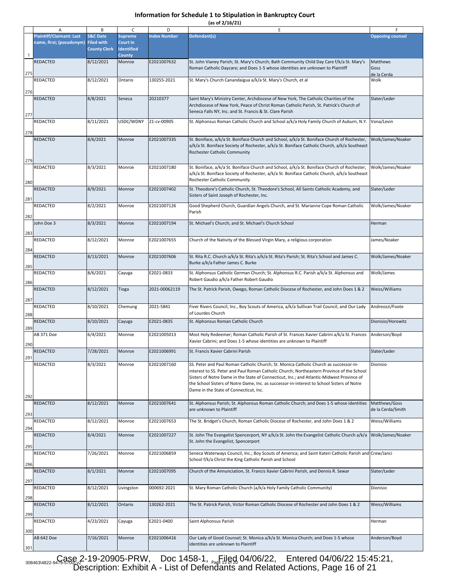**(as of 2/16/21)**

|              | Α                                                                      | B                                          | C                                               | D                   | E                                                                                                                                                                                                                                                                                                                                                                                                                       | F.                                 |
|--------------|------------------------------------------------------------------------|--------------------------------------------|-------------------------------------------------|---------------------|-------------------------------------------------------------------------------------------------------------------------------------------------------------------------------------------------------------------------------------------------------------------------------------------------------------------------------------------------------------------------------------------------------------------------|------------------------------------|
|              | <b>Plaintiff/Claimant: Last</b><br>name, first; (pseudonym) Filed with | <b>S&amp;C Date</b><br><b>County Clerk</b> | <b>Supreme</b><br>Court in<br><b>Identified</b> | <b>Index Number</b> | Defendant(s)                                                                                                                                                                                                                                                                                                                                                                                                            | <b>Opposing counsel</b>            |
| $\mathbf{1}$ |                                                                        |                                            | <b>County</b>                                   |                     |                                                                                                                                                                                                                                                                                                                                                                                                                         |                                    |
| 275          | <b>REDACTED</b>                                                        | 8/12/2021                                  | Monroe                                          | E2021007632         | St. John Vianey Parish; St. Mary's Church; Bath Community Child Day Care f/k/a St. Mary's<br>Roman Catholic Daycare; and Does 1-5 whose identities are unknown to Plaintiff                                                                                                                                                                                                                                             | Matthews<br>Goss<br>de la Cerda    |
| 276          | <b>REDACTED</b>                                                        | 8/12/2021                                  | Ontario                                         | 130255-2021         | St. Mary's Church Canandaigua a/k/a St. Mary's Church, et al                                                                                                                                                                                                                                                                                                                                                            | Wolk                               |
| 277          | <b>REDACTED</b>                                                        | 8/8/2021                                   | Seneca                                          | 20210377            | Saint Mary's Ministry Center, Archdiocese of New York, The Catholic Charities of the<br>Archdiocese of New York, Peace of Christ Roman Catholic Parish, St. Patrick's Church of<br>Seneca Falls NY, Inc. and St. Francis & St. Clare Parish                                                                                                                                                                             | Slater/Leder                       |
| 278          | REDACTED                                                               | 8/11/2021                                  | USDC/WDNY                                       | 21-cv-00905         | St. Alphonsus Roman Catholic Church and School a/k/a Holy Family Church of Auburn, N.Y.                                                                                                                                                                                                                                                                                                                                 | Vona/Levin                         |
| 279          | REDACTED                                                               | 8/6/2021                                   | Monroe                                          | E2021007335         | St. Boniface, a/k/a St. Boniface Church and School, a/k/a St. Boniface Church of Rochester,<br>a/k/a St. Boniface Society of Rochester, a/k/a St. Boniface Catholic Church, a/k/a Southeast<br>Rochester Catholic Community                                                                                                                                                                                             | Wolk/James/Noaker                  |
| 280          | REDACTED                                                               | 8/3/2021                                   | Monroe                                          | E2021007180         | St. Boniface, a/k/a St. Boniface Church and School, a/k/a St. Boniface Church of Rochester,<br>a/k/a St. Boniface Society of Rochester, a/k/a St. Boniface Catholic Church, a/k/a Southeast<br>Rochester Catholic Community                                                                                                                                                                                             | Wolk/James/Noaker                  |
| 281          | REDACTED                                                               | 8/9/2021                                   | Monroe                                          | E2021007402         | St. Theodore's Catholic Church, St. Theodore's School, All Saints Catholic Academy, and<br>Sisters of Saint Joseph of Rochester, Inc.                                                                                                                                                                                                                                                                                   | Slater/Leder                       |
| 282          | REDACTED                                                               | 8/2/2021                                   | Monroe                                          | E2021007126         | Good Shepherd Church, Guardian Angels Church, and St. Marianne Cope Roman Catholic<br>Parish                                                                                                                                                                                                                                                                                                                            | Wolk/James/Noaker                  |
| 283          | John Doe 3                                                             | 8/3/2021                                   | Monroe                                          | E2021007194         | St. Michael's Church; and St. Michael's Church School                                                                                                                                                                                                                                                                                                                                                                   | Herman                             |
| 284          | REDACTED                                                               | 8/12/2021                                  | Monroe                                          | E2021007655         | Church of the Nativity of the Blessed Virgin Mary, a religious corporation                                                                                                                                                                                                                                                                                                                                              | James/Noaker                       |
| 285          | REDACTED                                                               | 8/13/2021                                  | Monroe                                          | E2021007606         | St. Rita R.C. Church a/k/a St. Rita's a/k/a St. Rita's Parish; St. Rita's School and James C.<br>Burke a/k/a Father James C. Burke                                                                                                                                                                                                                                                                                      | Wolk/James/Noaker                  |
| 286          | REDACTED                                                               | 8/6/2021                                   | Cayuga                                          | E2021-0833          | St. Alphonsus Catholic German Church; St. Alphonsus R.C. Parish a/k/a St. Alphonsus and<br>Robert Gaudio a/k/a Father Robert Gaudio                                                                                                                                                                                                                                                                                     | Wolk/James                         |
| 287          | REDACTED                                                               | 8/12/2021                                  | Tioga                                           | 2021-00062119       | The St. Patrick Parish, Owego, Roman Catholic Diocese of Rochester, and John Does 1 & 2                                                                                                                                                                                                                                                                                                                                 | Weiss/Williams                     |
| 288          | REDACTED                                                               | 8/10/2021                                  | Chemung                                         | 2021-5841           | Fiver Rivers Council, Inc., Boy Scouts of America, a/k/a Sullivan Trail Council, and Our Lady<br>of Lourdes Church                                                                                                                                                                                                                                                                                                      | Andreozzi/Foote                    |
| 289          | REDACTED                                                               | 8/10/2021                                  | Cayuga                                          | E2021-0835          | St. Alphonsus Roman Catholic Church                                                                                                                                                                                                                                                                                                                                                                                     | Dionisio/Horowitz                  |
| 290          | AB 371 Doe                                                             | 6/4/2021                                   | Monroe                                          | E2021005013         | Most Holy Redeemer; Roman Catholic Parish of St. Frances Xavier Cabrini a/k/a St. Frances<br>Xavier Cabrini; and Does 1-5 whose identities are unknown to Plaintiff                                                                                                                                                                                                                                                     | Anderson/Boyd                      |
| 291          | <b>REDACTED</b>                                                        | 7/28/2021                                  | Monroe                                          | E2021006991         | St. Francis Xavier Cabrini Parish                                                                                                                                                                                                                                                                                                                                                                                       | Slater/Leder                       |
| 292          | REDACTED                                                               | 8/3/2021                                   | Monroe                                          | E2021007160         | SS. Peter and Paul Roman Catholic Church; St. Monica Catholic Church as successor-in-<br>interest to SS. Peter and Paul Roman Catholic Church; Northeastern Province of the School<br>Sisters of Notre Dame in the State of Connecticut, Inc.; and Atlantic-Midwest Province of<br>the School Sisters of Notre Dame, Inc. as successor-in-interest to School Sisters of Notre<br>Dame in the State of Connecticut, Inc. | Dionisio                           |
| 293          | REDACTED                                                               | 8/12/2021                                  | Monroe                                          | E2021007641         | St. Alphonsus Parish; St. Alphonsus Roman Catholic Church; and Does 1-5 whose identities<br>are unknown to Plaintiff                                                                                                                                                                                                                                                                                                    | Matthews/Goss<br>de la Cerda/Smith |
| 294          | REDACTED                                                               | 8/12/2021                                  | Monroe                                          | E2021007653         | The St. Bridget's Church, Roman Catholic Diocese of Rochester, and John Does 1 & 2                                                                                                                                                                                                                                                                                                                                      | Weiss/Williams                     |
| 295          | REDACTED                                                               | 8/4/2021                                   | Monroe                                          | E2021007227         | St. John The Evangelist Spencerport, NY a/k/a St. John the Evangelist Catholic Church a/k/a<br>St. John the Evangelist, Spencerport                                                                                                                                                                                                                                                                                     | Wolk/James/Noaker                  |
| 296          | <b>REDACTED</b>                                                        | 7/26/2021                                  | Monroe                                          | E2021006859         | Seneca Waterways Council, Inc.; Boy Scouts of America; and Saint Kateri Catholic Parish and Crew/Janci<br>School f/k/a Christ the King Catholic Parish and School                                                                                                                                                                                                                                                       |                                    |
| 297          | REDACTED                                                               | 8/1/2021                                   | Monroe                                          | E2021007095         | Church of the Annunciation, St. Francis Xavier Cabrini Parish, and Dennis R. Sewar                                                                                                                                                                                                                                                                                                                                      | Slater/Leder                       |
| 298          | REDACTED                                                               | 8/12/2021                                  | Livingston                                      | 000692-2021         | St. Mary Roman Catholic Church (a/k/a Holy Family Catholic Community)                                                                                                                                                                                                                                                                                                                                                   | Dionisio                           |
| 299          | <b>REDACTED</b>                                                        | 8/12/2021                                  | Ontario                                         | 130262-2021         | The St. Patrick Parish, Victor Roman Catholic Diocese of Rochester and John Does 1 & 2                                                                                                                                                                                                                                                                                                                                  | Weiss/Williams                     |
| 300          | REDACTED                                                               | 4/23/2021                                  | Cayuga                                          | E2021-0400          | Saint Alphonsus Parish                                                                                                                                                                                                                                                                                                                                                                                                  | Herman                             |
| 301          | AB 642 Doe                                                             | 7/16/2021                                  | Monroe                                          | E2021006416         | Our Lady of Good Counsel; St. Monica a/k/a St. Monica Church; and Does 1-5 whose<br>identities are unknown to Plaintiff                                                                                                                                                                                                                                                                                                 | Anderson/Boyd                      |

308463\4822-9479-586&2-19-20905-PRW, Doc 1458-1, Page 1960 04/06/22, Entered 04/06/22 15:45:21, Description: Exhibit A - List of Defendants and Related Actions, Page 16 of 21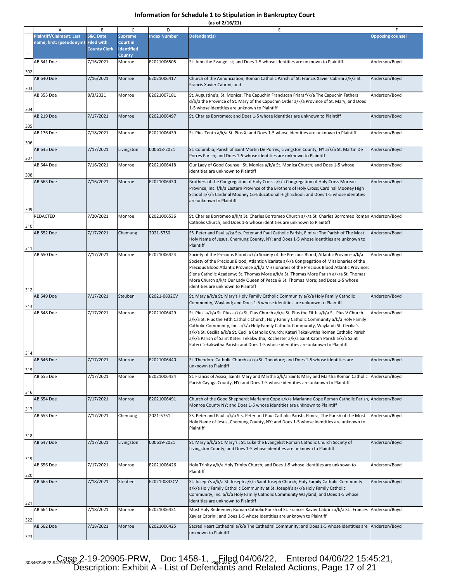**(as of 2/16/21)**

|     | Α                               | B                                        | C                             | D                   | Е                                                                                                                                                                                     |                         |
|-----|---------------------------------|------------------------------------------|-------------------------------|---------------------|---------------------------------------------------------------------------------------------------------------------------------------------------------------------------------------|-------------------------|
|     | <b>Plaintiff/Claimant: Last</b> | <b>S&amp;C Date</b>                      | <b>Supreme</b>                | <b>Index Number</b> | Defendant(s)                                                                                                                                                                          | <b>Opposing counsel</b> |
|     | name, first; (pseudonym)        | <b>Filed with</b><br><b>County Clerk</b> | Court in<br><b>Identified</b> |                     |                                                                                                                                                                                       |                         |
| 1   |                                 |                                          | <b>County</b>                 |                     |                                                                                                                                                                                       |                         |
|     | AB 641 Doe                      | 7/16/2021                                | Monroe                        | E2021006505         | St. John the Evangelist; and Does 1-5 whose identities are unknown to Plaintiff                                                                                                       | Anderson/Boyd           |
| 302 |                                 |                                          |                               |                     |                                                                                                                                                                                       |                         |
|     | <b>AB 640 Doe</b>               | 7/16/2021                                | Monroe                        | E2021006417         | Church of the Annunciation; Roman Catholic Parish of St. Francis Xavier Cabrini a/k/a St.                                                                                             | Anderson/Boyd           |
|     |                                 |                                          |                               |                     | Francis Xavier Cabrini; and                                                                                                                                                           |                         |
| 303 | AB 355 Doe                      | 8/3/2021                                 | Monroe                        | E2021007181         |                                                                                                                                                                                       | Anderson/Boyd           |
|     |                                 |                                          |                               |                     | St. Augustine's; St. Monica; The Capuchin Franciscan Friars f/k/a The Capuchin Fathers<br>d/b/a the Province of St. Mary of the Capuchin Order a/k/a Province of St. Mary; and Does   |                         |
| 304 |                                 |                                          |                               |                     | 1-5 whose identities are unknown to Plaintiff                                                                                                                                         |                         |
|     | AB 219 Doe                      | 7/17/2021                                | Monroe                        | E2021006497         | St. Charles Borromeo; and Does 1-5 whose identities are unknown to Plaintiff                                                                                                          | Anderson/Boyd           |
|     |                                 |                                          |                               |                     |                                                                                                                                                                                       |                         |
| 305 | AB 176 Doe                      | 7/18/2021                                | Monroe                        | E2021006439         | St. Pius Tenth a/k/a St. Pius X; and Does 1-5 whose identities are unknown to Plaintiff                                                                                               | Anderson/Boyd           |
|     |                                 |                                          |                               |                     |                                                                                                                                                                                       |                         |
| 306 |                                 |                                          |                               |                     |                                                                                                                                                                                       |                         |
|     | AB 645 Doe                      | 7/17/2021                                | Livingston                    | 000618-2021         | St. Columbia; Parish of Saint Martin De Porres, Livingston County, NY a/k/a St. Martin De<br>Porres Parish; and Does 1-5 whose identities are unknown to Plaintiff                    | Anderson/Boyd           |
| 307 |                                 |                                          |                               |                     |                                                                                                                                                                                       |                         |
|     | AB 644 Doe                      | 7/16/2021                                | Monroe                        | E2021006418         | Our Lady of Good Counsel; St. Monica a/k/a St. Monica Church; and Does 1-5 whose<br>identities are unknown to Plaintiff                                                               | Anderson/Boyd           |
| 308 |                                 |                                          |                               |                     |                                                                                                                                                                                       |                         |
|     | AB 663 Doe                      | 7/16/2021                                | Monroe                        | E2021006430         | Brothers of the Congregation of Holy Cross a/k/a Congregation of Holy Cross Moreau                                                                                                    | Anderson/Boyd           |
|     |                                 |                                          |                               |                     | Province, Inc. f/k/a Eastern Province of the Brothers of Holy Cross; Cardinal Mooney High                                                                                             |                         |
|     |                                 |                                          |                               |                     | School a/k/a Cardinal Mooney Co-Educational High School; and Does 1-5 whose identities<br>are unknown to Plaintiff                                                                    |                         |
| 309 |                                 |                                          |                               |                     |                                                                                                                                                                                       |                         |
|     | REDACTED                        | 7/20/2021                                | Monroe                        | E2021006536         | St. Charles Borromeo a/k/a St. Charles Borromeo Church a/k/a St. Charles Borromeo Roman Anderson/Boyd                                                                                 |                         |
|     |                                 |                                          |                               |                     | Catholic Church; and Does 1-5 whose identities are unknown to Plaintiff                                                                                                               |                         |
| 310 | AB 652 Doe                      | 7/17/2021                                | Chemung                       | 2021-5750           |                                                                                                                                                                                       | Anderson/Boyd           |
|     |                                 |                                          |                               |                     | SS. Peter and Paul a/ka Sts. Peter and Paul Catholic Parish, Elmira; The Parish of The Most<br>Holy Name of Jesus, Chemung County, NY; and Does 1-5 whose identities are unknown to   |                         |
|     |                                 |                                          |                               |                     | Plaintiff                                                                                                                                                                             |                         |
| 311 | AB 650 Doe                      | 7/17/2021                                | Monroe                        | E2021006424         | Society of the Precious Blood a/k/a Society of the Precious Blood, Atlantic Province a/k/a                                                                                            | Anderson/Boyd           |
|     |                                 |                                          |                               |                     | Society of the Precious Blood, Atlantic Vicariate a/k/a Congregation of Missionaries of the                                                                                           |                         |
|     |                                 |                                          |                               |                     | Precious Blood Atlantic Province a/k/a Missionaries of the Precious Blood Atlantic Province;                                                                                          |                         |
|     |                                 |                                          |                               |                     | Siena Catholic Academy; St. Thomas More a/k/a St. Thomas More Parish a/k/a St. Thomas                                                                                                 |                         |
|     |                                 |                                          |                               |                     | More Church a/k/a Our Lady Queen of Peace & St. Thomas More; and Does 1-5 whose                                                                                                       |                         |
| 312 |                                 |                                          |                               |                     | identities are unknown to Plaintiff                                                                                                                                                   |                         |
|     | AB 649 Doe                      | 7/17/2021                                | Steuben                       | E2021-0832CV        | St. Mary a/k/a St. Mary's Holy Family Catholic Community a/k/a Holy Family Catholic                                                                                                   | Anderson/Boyd           |
| 313 |                                 |                                          |                               |                     | Community, Wayland; and Does 1-5 whose identities are unknown to Plaintiff                                                                                                            |                         |
|     | AB 648 Doe                      | 7/17/2021                                | Monroe                        | E2021006429         | St. Pius' a/k/a St. Pius a/k/a St. Pius Church a/k/a St. Pius the Fifth a/k/a St. Pius V Church                                                                                       | Anderson/Boyd           |
|     |                                 |                                          |                               |                     | a/k/a St. Pius the Fifth Catholic Church; Holy Family Catholic Community a/k/a Holy Family                                                                                            |                         |
|     |                                 |                                          |                               |                     | Catholic Community, Inc. a/k/a Holy Family Catholic Community, Wayland; St. Cecilia's<br>a/k/a St. Cecilia a/k/a St. Cecilia Catholic Church; Kateri Tekakwitha Roman Catholic Parish |                         |
|     |                                 |                                          |                               |                     | a/k/a Parish of Saint Kateri Tekakwitha, Rochester a/k/a Saint Kateri Parish a/k/a Saint                                                                                              |                         |
|     |                                 |                                          |                               |                     | Kateri Tekakwitha Parish; and Does 1-5 whose identities are unknown to Plaintiff                                                                                                      |                         |
| 314 |                                 |                                          |                               |                     |                                                                                                                                                                                       |                         |
|     | AB 646 Doe                      | 7/17/2021                                | Monroe                        | E2021006440         | St. Theodore Catholic Church a/k/a St. Theodore; and Does 1-5 whose identities are                                                                                                    | Anderson/Boyd           |
| 315 |                                 |                                          |                               |                     | unknown to Plaintiff                                                                                                                                                                  |                         |
|     | AB 655 Doe                      | 7/17/2021                                | Monroe                        | E2021006434         | St. Francis of Assisi; Saints Mary and Martha a/k/a Saints Mary and Martha Roman Catholic                                                                                             | Anderson/Boyd           |
|     |                                 |                                          |                               |                     | Parish Cayuga County, NY; and Does 1-5 whose identities are unknown to Plaintiff                                                                                                      |                         |
| 316 |                                 |                                          |                               |                     |                                                                                                                                                                                       |                         |
|     | AB 654 Doe                      | 7/17/2021                                | Monroe                        | E2021006491         | Church of the Good Shepherd; Marianne Cope a/k/a Marianne Cope Roman Catholic Parish, Anderson/Boyd                                                                                   |                         |
| 317 |                                 |                                          |                               |                     | Monroe County NY; and Does 1-5 whose identities are unknown to Plaintiff                                                                                                              |                         |
|     | AB 653 Doe                      | 7/17/2021                                | Chemung                       | 2021-5751           | SS. Peter and Paul a/k/a Sts. Peter and Paul Catholic Parish, Elmira; The Parish of the Most                                                                                          | Anderson/Boyd           |
|     |                                 |                                          |                               |                     | Holy Name of Jesus, Chemung County, NY; and Does 1-5 whose identities are unknown to                                                                                                  |                         |
|     |                                 |                                          |                               |                     | Plaintiff                                                                                                                                                                             |                         |
| 318 |                                 |                                          |                               |                     |                                                                                                                                                                                       |                         |
|     | <b>AB 647 Doe</b>               | 7/17/2021                                | Livingston                    | 000619-2021         | St. Mary a/k/a St. Mary's; St. Luke the Evangelist Roman Catholic Church Society of                                                                                                   | Anderson/Boyd           |
|     |                                 |                                          |                               |                     | Livingston County; and Does 1-5 whose identities are unknown to Plaintiff                                                                                                             |                         |
| 319 |                                 |                                          |                               |                     |                                                                                                                                                                                       |                         |
|     | AB 656 Doe                      | 7/17/2021                                | Monroe                        | E2021006426         | Holy Trinity a/k/a Holy Trinity Church; and Does 1-5 whose identities are unknown to                                                                                                  | Anderson/Boyd           |
| 320 |                                 |                                          |                               |                     | Plaintiff                                                                                                                                                                             |                         |
|     | AB 665 Doe                      | 7/18/2021                                | Steuben                       | E2021-0833CV        | St. Joseph's a/k/a St. Joseph a/k/a Saint Joseph Church; Holy Family Catholic Community                                                                                               | Anderson/Boyd           |
|     |                                 |                                          |                               |                     | a/k/a Holy Family Catholic Community at St. Joseph's a/k/a Holy Family Catholic                                                                                                       |                         |
|     |                                 |                                          |                               |                     | Community, Inc. a/k/a Holy Family Catholic Community Wayland; and Does 1-5 whose<br>identities are unknown to Plaintiff                                                               |                         |
| 321 |                                 |                                          |                               |                     |                                                                                                                                                                                       |                         |
|     | AB 664 Doe                      | 7/18/2021                                | Monroe                        | E2021006431         | Most Holy Redeemer; Roman Catholic Parish of St. Frances Xavier Cabrini a/k/a St Frances<br>Xavier Cabrini; and Does 1-5 whose identities are unknown to Plaintiff                    | Anderson/Boyd           |
| 322 |                                 |                                          |                               |                     |                                                                                                                                                                                       |                         |
|     | AB 662 Doe                      | 7/18/2021                                | Monroe                        | E2021006425         | Sacred Heart Cathedral a/k/a The Cathedral Community; and Does 1-5 whose identities are                                                                                               | Anderson/Boyd           |
| 323 |                                 |                                          |                               |                     | unknown to Plaintiff                                                                                                                                                                  |                         |

308463\4822-9479-586&2-19-20905-PRW, Doc 1458-1, Page 16 04/06/22, Entered 04/06/22 15:45:21, Description: Exhibit A - List of Defendants and Related Actions, Page 17 of 21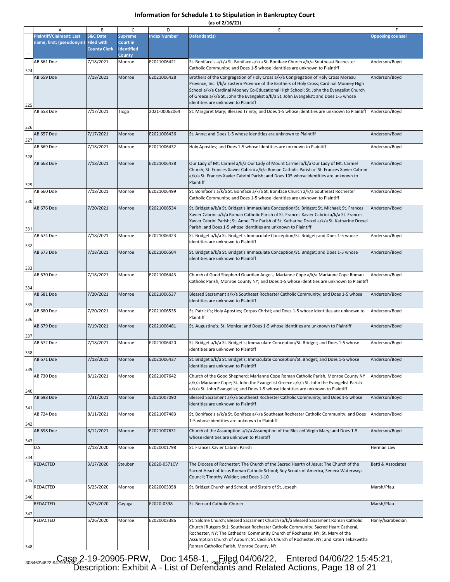|  |  | (as of 2/16/21) |
|--|--|-----------------|
|  |  |                 |

|              | Α                               | В                   | C                       | D                   | E                                                                                                                                                                               |                         |
|--------------|---------------------------------|---------------------|-------------------------|---------------------|---------------------------------------------------------------------------------------------------------------------------------------------------------------------------------|-------------------------|
|              | <b>Plaintiff/Claimant: Last</b> | <b>S&amp;C Date</b> | <b>Supreme</b>          | <b>Index Number</b> | Defendant(s)                                                                                                                                                                    | <b>Opposing counsel</b> |
|              | name, first; (pseudonym)        | <b>Filed with</b>   | Court in                |                     |                                                                                                                                                                                 |                         |
|              |                                 | <b>County Clerk</b> | <b>Identified</b>       |                     |                                                                                                                                                                                 |                         |
| $\mathbf{1}$ | AB 661 Doe                      | 7/18/2021           | <b>County</b><br>Monroe | E2021006421         | St. Boniface's a/k/a St. Boniface a/k/a St. Boniface Church a/k/a Southeast Rochester                                                                                           | Anderson/Boyd           |
|              |                                 |                     |                         |                     | Catholic Community; and Does 1-5 whose identities are unknown to Plaintiff                                                                                                      |                         |
| 324          |                                 |                     |                         |                     |                                                                                                                                                                                 |                         |
|              | AB 659 Doe                      | 7/18/2021           | Monroe                  | E2021006428         | Brothers of the Congregation of Holy Cross a/k/a Congregation of Holy Cross Moreau<br>Province, Inc. f/k/a Eastern Province of the Brothers of Holy Cross; Cardinal Mooney High | Anderson/Boyd           |
|              |                                 |                     |                         |                     | School a/k/a Cardinal Mooney Co-Educational High School; St. John the Evangelist Church                                                                                         |                         |
|              |                                 |                     |                         |                     | of Greece a/k/a St. John the Evangelist a/k/a St. John Evangelist; and Does 1-5 whose                                                                                           |                         |
| 325          |                                 |                     |                         |                     | identities are unknown to Plaintiff                                                                                                                                             |                         |
|              | AB 658 Doe                      | 7/17/2021           | Tioga                   | 2021-00062064       | St. Margaret Mary; Blessed Trinity; and Does 1-5 whose identities are unknown to Plaintiff                                                                                      | Anderson/Boyd           |
|              |                                 |                     |                         |                     |                                                                                                                                                                                 |                         |
| 326          |                                 |                     |                         |                     |                                                                                                                                                                                 |                         |
|              | AB 657 Doe                      | 7/17/2021           | Monroe                  | E2021006436         | St. Anne; and Does 1-5 whose identities are unknown to Plaintiff                                                                                                                | Anderson/Boyd           |
| 327          |                                 |                     |                         |                     |                                                                                                                                                                                 |                         |
|              | AB 669 Doe                      | 7/18/2021           | Monroe                  | E2021006432         | Holy Apostles; and Does 1-5 whose identities are unknown to Plaintiff                                                                                                           | Anderson/Boyd           |
| 328          |                                 |                     |                         |                     |                                                                                                                                                                                 |                         |
|              | AB 668 Doe                      | 7/18/2021           | Monroe                  | E2021006438         | Our Lady of Mt. Carmel a/k/a Our Lady of Mount Carmel a/k/a Our Lady of Mt. Carmel                                                                                              | Anderson/Boyd           |
|              |                                 |                     |                         |                     | Church; St. Frances Xavier Cabrini a/k/a Roman Catholic Parish of St. Frances Xavier Cabrini                                                                                    |                         |
|              |                                 |                     |                         |                     | a/k/a St. Frances Xavier Cabrini Parish; and Does 105 whose identities are unknown to                                                                                           |                         |
| 329          |                                 |                     |                         |                     | Plaintiff                                                                                                                                                                       |                         |
|              | AB 660 Doe                      | 7/18/2021           | Monroe                  | E2021006499         | St. Boniface's a/k/a St. Boniface a/k/a St. Boniface Church a/k/a Southeast Rochester                                                                                           | Anderson/Boyd           |
|              |                                 |                     |                         |                     | Catholic Community; and Does 1-5 whose identities are unknown to Plaintiff                                                                                                      |                         |
| 330          | AB 676 Doe                      | 7/20/2021           | Monroe                  | E2021006534         | St. Bridget a/k/a St. Bridget's Immaculate Conception/St. Bridget; St. Michael; St. Frances                                                                                     | Anderson/Boyd           |
|              |                                 |                     |                         |                     | Xavier Cabrini a/k/a Roman Catholic Parish of St. Frances Xavier Cabrini a/k/a St. Frances                                                                                      |                         |
|              |                                 |                     |                         |                     | Xavier Cabrini Parish; St. Anne; The Parish of St. Katharine Drexel a/k/a St. Katharine Drexel                                                                                  |                         |
| 331          |                                 |                     |                         |                     | Parish; and Does 1-5 whose identities are unknown to Plaintiff                                                                                                                  |                         |
|              | AB 674 Doe                      | 7/18/2021           | Monroe                  | E2021006423         | St. Bridget a/k/a St. Bridget's Immaculate Conception/St. Bridget; and Does 1-5 whose                                                                                           | Anderson/Boyd           |
|              |                                 |                     |                         |                     | identities are unknown to Plaintiff                                                                                                                                             |                         |
| 332          | AB 673 Doe                      | 7/18/2021           | Monroe                  | E2021006504         | St. Bridget a/k/a St. Bridget's Immaculate Conception/St. Bridget; and Does 1-5 whose                                                                                           | Anderson/Boyd           |
|              |                                 |                     |                         |                     | identities are unknown to Plaintiff                                                                                                                                             |                         |
|              |                                 |                     |                         |                     |                                                                                                                                                                                 |                         |
| 333          |                                 |                     |                         |                     |                                                                                                                                                                                 |                         |
|              | AB 670 Doe                      | 7/18/2021           | Monroe                  | E2021006443         | Church of Good Shepherd Guardian Angels; Marianne Cope a/k/a Marianne Cope Roman                                                                                                | Anderson/Boyd           |
| 334          |                                 |                     |                         |                     | Catholic Parish, Monroe County NY; and Does 1-5 whose identities are unknown to Plaintiff                                                                                       |                         |
|              | AB 681 Doe                      | 7/20/2021           | Monroe                  | E2021006537         | Blessed Sacrament a/k/a Southeast Rochester Catholic Community; and Does 1-5 whose                                                                                              | Anderson/Boyd           |
|              |                                 |                     |                         |                     | identities are unknown to Plaintiff                                                                                                                                             |                         |
| 335          | AB 680 Doe                      |                     | Monroe                  | E2021006535         | St. Patrick's; Holy Apostles; Corpus Christi; and Does 1-5 whose identities are unknown to                                                                                      | Anderson/Boyd           |
|              |                                 | 7/20/2021           |                         |                     | Plaintiff                                                                                                                                                                       |                         |
| 336          | AB 679 Doe                      |                     |                         | E2021006481         |                                                                                                                                                                                 |                         |
|              |                                 | 7/19/2021           | Monroe                  |                     | St. Augustine's; St. Monica; and Does 1-5 whose identities are unknown to Plaintiff                                                                                             | Anderson/Boyd           |
| 337          |                                 |                     |                         |                     |                                                                                                                                                                                 |                         |
|              | AB 672 Doe                      | 7/18/2021           | Monroe                  | E2021006420         | St. Bridget a/k/a St. Bridget's; Immaculate Conception/St. Bridget; and Does 1-5 whose                                                                                          | Anderson/Boyd           |
| 338          |                                 |                     |                         |                     | identities are unknown to Plaintiff                                                                                                                                             |                         |
|              | AB 671 Doe                      | 7/18/2021           | Monroe                  | E2021006437         | St. Bridget a/k/a St. Bridget's; Immaculate Conception/St. Bridget; and Does 1-5 whose                                                                                          | Anderson/Boyd           |
| 339          |                                 |                     |                         |                     | identities are unknown to Plaintiff                                                                                                                                             |                         |
|              | AB 730 Doe                      | 8/12/2021           | Monroe                  | E2021007642         | Church of the Good Shepherd; Marianne Cope Roman Catholic Parish, Monroe County NY                                                                                              | Anderson/Boyd           |
|              |                                 |                     |                         |                     | a/k/a Marianne Cope; St. John the Evangelist Greece a/k/a St. John the Evangelist Parish                                                                                        |                         |
| 340          |                                 |                     |                         |                     | a/k/a St. John Evangelist; and Does 1-5 whose identities are unknown to Plaintiff                                                                                               |                         |
|              | AB 698 Doe                      | 7/31/2021           | Monroe                  | E2021007090         | Blessed Sacrament a/k/a Southeast Rochester Catholic Community; and Does 1-5 whose                                                                                              | Anderson/Boyd           |
|              |                                 |                     |                         |                     | identities are unknown to Plaintiff                                                                                                                                             |                         |
| 341          | AB 724 Doe                      |                     |                         | E2021007483         |                                                                                                                                                                                 | Anderson/Boyd           |
|              |                                 | 8/11/2021           | Monroe                  |                     | St. Boniface's a/k/a St. Boniface a/k/a Southeast Rochester Catholic Community; and Does<br>1-5 whose identities are unknown to Plaintiff                                       |                         |
| 342          |                                 |                     |                         |                     |                                                                                                                                                                                 |                         |
|              | AB 698 Doe                      | 8/12/2021           | Monroe                  | E2021007631         | Church of the Assumption a/k/a Assumption of the Blessed Virgin Mary; and Does 1-5                                                                                              | Anderson/Boyd           |
| 343          |                                 |                     |                         |                     | whose identities are unknown to Plaintiff                                                                                                                                       |                         |
|              | D.S.                            | 2/18/2020           | Monroe                  | E2020001798         | St. Frances Xavier Cabrini Parish                                                                                                                                               | Herman Law              |
| 344          |                                 |                     |                         |                     |                                                                                                                                                                                 |                         |
|              | REDACTED                        | 3/17/2020           | Steuben                 | E2020-0571CV        | The Diocese of Rochester; The Church of the Sacred Hearth of Jesus; The Church of the                                                                                           | Betti & Associates      |
|              |                                 |                     |                         |                     | Sacred Heart of Jesus Roman Catholic School; Boy Scouts of America, Seneca Waterways                                                                                            |                         |
| 345          |                                 |                     |                         |                     | Council; Timothy Weider; and Does 1-10                                                                                                                                          |                         |
|              | REDACTED                        | 5/25/2020           | Monroe                  | E2020003358         | St. Bridget Church and School; and Sisters of St. Joseph                                                                                                                        | Marsh/Pfau              |
|              |                                 |                     |                         |                     |                                                                                                                                                                                 |                         |
| 346          |                                 |                     |                         |                     |                                                                                                                                                                                 |                         |
|              | REDACTED                        | 5/25/2020           | Cayuga                  | E2020-0398          | St. Bernard Catholic Church                                                                                                                                                     | Marsh/Pfau              |
| 347          |                                 |                     |                         |                     |                                                                                                                                                                                 |                         |
|              | REDACTED                        | 5/26/2020           | Monroe                  | E2020003386         | St. Salome Church; Blessed Sacrament Church (a/k/a Blessed Sacrament Roman Catholic                                                                                             | Hanly/Garabedian        |
|              |                                 |                     |                         |                     | Church [Rutgers St.]; Southeast Rochester Catholic Community; Sacred Heart Catheral,                                                                                            |                         |
|              |                                 |                     |                         |                     | Rochester, NY; The Cathedral Community Church of Rochester, NY; St. Mary of the                                                                                                 |                         |
|              |                                 |                     |                         |                     | Assumption Church of Auburn; St. Cecilia's Church of Rochester, NY; and Kateri Tekakwitha<br>Roman Catholicc Parish, Monroe County, NY                                          |                         |
| 348          |                                 |                     |                         |                     |                                                                                                                                                                                 |                         |

 $308463\sqrt{4822-9493000}, 2-19-20905-PRW$ , Doc 1458-1,  $P_{eq}$ [1]go] 04/06/22, Entered 04/06/22 15:45:21, Description: Exhibit A - List of Defendants and Related Actions, Page 18 of 21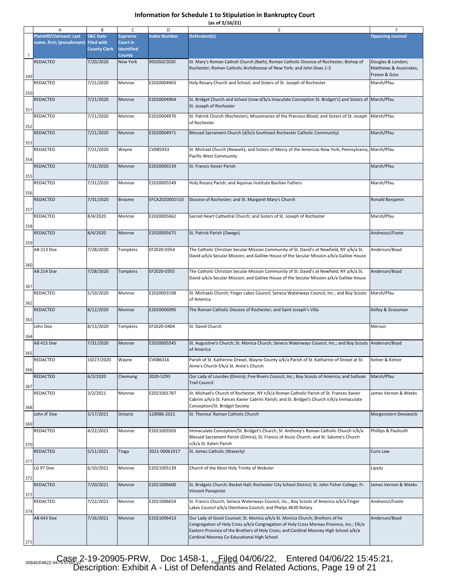|  |  | (as of 2/16/21) |  |
|--|--|-----------------|--|
|  |  |                 |  |

|     | Α                                                           | В                                                               | C                                               | D                   | Е                                                                                                                                                                                                                                                                                                               |                                                              |
|-----|-------------------------------------------------------------|-----------------------------------------------------------------|-------------------------------------------------|---------------------|-----------------------------------------------------------------------------------------------------------------------------------------------------------------------------------------------------------------------------------------------------------------------------------------------------------------|--------------------------------------------------------------|
|     | <b>Plaintiff/Claimant: Last</b><br>name, first; (pseudonym) | <b>S&amp;C Date</b><br><b>Filed with</b><br><b>County Clerk</b> | <b>Supreme</b><br>Court in<br><b>Identified</b> | <b>Index Number</b> | Defendant(s)                                                                                                                                                                                                                                                                                                    | <b>Opposing counsel</b>                                      |
| 1   |                                                             |                                                                 | <b>County</b>                                   |                     |                                                                                                                                                                                                                                                                                                                 |                                                              |
| 349 | REDACTED                                                    | 7/20/2020                                                       | New York                                        | 950350/2020         | St. Mary's Roman Catholi Church (Bath); Roman Catholic Diocese of Rochester; Bishop of<br>Rochester; Roman Catholic Archdiocese of New York; and John Does 1-5                                                                                                                                                  | Douglas & London;<br>Matthews & Associates;<br>Freese & Goss |
| 350 | REDACTED                                                    | 7/21/2020                                                       | Monroe                                          | E2020004963         | Holy Rosary Church and School; and Sisters of St. Joseph of Rochester                                                                                                                                                                                                                                           | Marsh/Pfau                                                   |
| 351 | REDACTED                                                    | 7/21/2020                                                       | Monroe                                          | E2020004964         | St. Bridget Church and School (now d/b/a Imaculate Conception St. Bridget's) and Sisters of Marsh/Pfau<br>St. Joseph of Rochester                                                                                                                                                                               |                                                              |
| 352 | REDACTED                                                    | 7/21/2020                                                       | Monroe                                          | E2020004970         | St. Patrick Church (Rochester); Missionaries of the Precious Blood; and Sisters of St. Joseph Marsh/Pfau<br>of Rochester                                                                                                                                                                                        |                                                              |
| 353 | REDACTED                                                    | 7/21/2020                                                       | Monroe                                          | E2020004971         | Blessed Sacrament Church (d/b/a Southeast Rochester Catholic Community)                                                                                                                                                                                                                                         | Marsh/Pfau                                                   |
| 354 | REDACTED                                                    | 7/21/2020                                                       | Wayne                                           | CV085933            | St. Michael Church (Newark); and Sisters of Mercy of the Americas New York, Pennsylvania, Marsh/Pfau<br>Pacific West Community                                                                                                                                                                                  |                                                              |
| 355 | REDACTED                                                    | 7/31/2020                                                       | Monroe                                          | E2020005539         | St. Francis Xavier Parish                                                                                                                                                                                                                                                                                       | Marsh/Pfau                                                   |
| 356 | REDACTED                                                    | 7/31/2020                                                       | Monroe                                          | E2020005549         | Holy Rosary Parish; and Aquinas Institute Basilian Fathers                                                                                                                                                                                                                                                      | Marsh/Pfau                                                   |
| 357 | REDACTED                                                    | 7/31/2020                                                       | <b>Broome</b>                                   | EFCA2020001510      | Diocese of Rochester; and St. Margaret Mary's Church                                                                                                                                                                                                                                                            | Ronald Benjamin                                              |
| 358 | REDACTED                                                    | 8/4/2020                                                        | Monroe                                          | E2020005662         | Sacred Heart Cathedral Church; and Sisters of St. Joseph of Rochester                                                                                                                                                                                                                                           | Marsh/Pfau                                                   |
| 359 | REDACTED                                                    | 8/4/2020                                                        | Monroe                                          | E2020005675         | St. Patrick Parish (Owego)                                                                                                                                                                                                                                                                                      | Andreozzi/Foote                                              |
| 360 | AB 213 Doe                                                  | 7/28/2020                                                       | Tompkins                                        | EF2020-0354         | The Catholic Christian Secular Mission Community of St. David's at Newfield, NY a/k/a St.<br>David a/k/a Secular Mission; and Galilee House of the Secular Mission a/k/a Galilee House                                                                                                                          | Anderson/Boyd                                                |
| 361 | AB 214 Doe                                                  | 7/28/2020                                                       | Tompkins                                        | EF2020-0355         | The Catholic Christian Secular Mission Community of St. David's at Newfield, NY a/k/a St.<br>David a/k/a Secular Mission; and Galilee House of the Secular Mission a/k/a Galilee House                                                                                                                          | Anderson/Boyd                                                |
| 362 | REDACTED                                                    | 5/19/2020                                                       | Monroe                                          | E2020003198         | St. Michaels Church; Finger Lakes Council; Seneca Waterways Council, Inc.; and Boy Scouts<br>of America                                                                                                                                                                                                         | Marsh/Pfau                                                   |
| 363 | REDACTED                                                    | 8/12/2020                                                       | Monroe                                          | E2020006095         | The Roman Catholic Diocese of Rochester; and Saint Joseph's Villa                                                                                                                                                                                                                                               | Kelley & Grossman                                            |
| 364 | John Doe                                                    | 8/13/2020                                                       | Tompkins                                        | EF2020-0404         | St. David Church                                                                                                                                                                                                                                                                                                | Merson                                                       |
| 365 | AB 415 Doe                                                  | 7/31/2020                                                       | Monroe                                          | E2020005545         | St. Augustine's Church; St. Monica Church; Seneca Waterways Council, Inc.; and Boy Scouts Anderson/Boyd<br>of America                                                                                                                                                                                           |                                                              |
| 366 | REDACTED                                                    | 10/27/2020                                                      | Wayne                                           | CV086316            | Parish of St. Katherine Drexel, Wayne County a/k/a Parish of St. Katharine of Drexel at St.<br>Anne's Church f/k/a St. Anne's Church                                                                                                                                                                            | Kelner & Kelner                                              |
| 367 | REDACTED                                                    | 6/2/2020                                                        | Chemung                                         | 2020-5293           | Our Lady of Lourdes (Elmira); Five Rivers Council, Inc.; Boy Scouts of America; and Sullivan<br><b>Trail Council</b>                                                                                                                                                                                            | Marsh/Pfau                                                   |
| 368 | REDACTED                                                    | 3/2/2021                                                        | Monroe                                          | E2021001787         | St. Michael's Church of Rochester, NY n/k/a Roman Catholic Parish of St. Frances Xavier<br>Cabrini a/k/a St. Fances Xavier Cabrini Parish; and St. Bridget's Church n/k/a Immaculate<br>Conception/St. Bridget Society                                                                                          | James Vernon & Weeks                                         |
| 369 | John JF Doe                                                 | 3/17/2021                                                       | Ontario                                         | 128986-2021         | St. Theresa' Roman Catholic Church                                                                                                                                                                                                                                                                              | Morgenstern Devoesick                                        |
| 370 | REDACTED                                                    | 4/22/2021                                                       | Monroe                                          | E2021003503         | Immaculate Conception/St. Bridget's Church; St. Anthony's Roman Catholic Church n/k/a<br>Blessed Sacrament Parish (Elmira); St. Francis of Assisi Church; and St. Salome's Church<br>n/k/a St. Kateri Parish                                                                                                    | Phillips & Paolicelli                                        |
| 371 | REDACTED                                                    | 5/11/2021                                                       | Tioga                                           | 2021-00061917       | St. James Catholic (Waverly)                                                                                                                                                                                                                                                                                    | Curis Law                                                    |
| 372 | LG 97 Doe                                                   | 6/10/2021                                                       | Monroe                                          | E2021005139         | Church of the Most Holy Trinity of Webster                                                                                                                                                                                                                                                                      | Lipsitz                                                      |
| 373 | REDACTED                                                    | 7/20/2021                                                       | Monroe                                          | E2021006600         | St. Bridgets Church; Becket Hall; Rochester City School District; St. John Fisher College; Fr.<br>Vincent Panepinto                                                                                                                                                                                             | James Vernon & Weeks                                         |
| 374 | REDACTED                                                    | 7/22/2021                                                       | Monroe                                          | E2021006654         | St. Francis Church; Seneca Waterways Council, Inc.; Boy Scouts of America a/k/a Finger<br>Lakes Council a/k/a Otentiana Council; and Phelps 4630 Rotary                                                                                                                                                         | Andreozzi/Foote                                              |
| 375 | AB 643 Doe                                                  | 7/16/2021                                                       | Monroe                                          | E2021006413         | Our Lady of Good Counsel; St. Monica a/k/a St. Monica Church; Brothers of he<br>Congregation of Holy Cross a/k/a Congregation of Holy Cross Moreau Province, Inc.; f/k/a<br>Eastern Province of the Brothers of Holy Cross; and Cardinal Mooney High School a/k/a<br>Cardinal Mooney Co-Educational High School | Anderson/Boyd                                                |
|     |                                                             |                                                                 |                                                 |                     |                                                                                                                                                                                                                                                                                                                 |                                                              |

308463\4822-9479-586&2-19-20905-PRW, Doc 1458-1, Page 18 04/06/22, Entered 04/06/22 15:45:21, Description: Exhibit A - List of Defendants and Related Actions, Page 19 of 21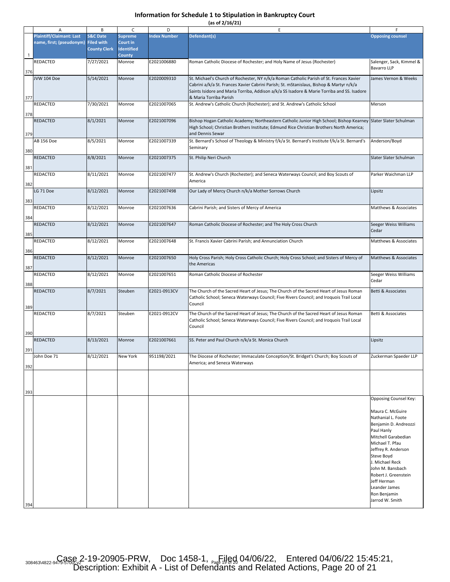| (as of 2/16/21) |  |
|-----------------|--|
|-----------------|--|

|     | Α                                                                      | B                                          | C                                               | D                   | E                                                                                                                                                                                             | F                                                                                                                                                                                                                                                                                              |
|-----|------------------------------------------------------------------------|--------------------------------------------|-------------------------------------------------|---------------------|-----------------------------------------------------------------------------------------------------------------------------------------------------------------------------------------------|------------------------------------------------------------------------------------------------------------------------------------------------------------------------------------------------------------------------------------------------------------------------------------------------|
|     | <b>Plaintiff/Claimant: Last</b><br>name, first; (pseudonym) Filed with | <b>S&amp;C Date</b><br><b>County Clerk</b> | <b>Supreme</b><br>Court in<br><b>Identified</b> | <b>Index Number</b> | Defendant(s)                                                                                                                                                                                  | <b>Opposing counsel</b>                                                                                                                                                                                                                                                                        |
| 1   | REDACTED                                                               | 7/27/2021                                  | <b>County</b><br>Monroe                         | E2021006880         | Roman Catholic Diocese of Rochester; and Holy Name of Jesus (Rochester)                                                                                                                       | Salenger, Sack, Kimmel &                                                                                                                                                                                                                                                                       |
| 376 | JVW 104 Doe                                                            | 5/14/2021                                  | Monroe                                          | E2020009310         | St. Michael's Church of Rochester, NY n/k/a Roman Catholic Parish of St. Frances Xavier                                                                                                       | <b>Bavarro LLP</b><br>James Vernon & Weeks                                                                                                                                                                                                                                                     |
|     |                                                                        |                                            |                                                 |                     | Cabrini a/k/a St. Frances Xavier Cabrini Parish; St. mStanislaus, Bishop & Martyr n/k/a<br>Saints Isidore and Maria Torriba, Addison a/k/a SS Isadore & Marie Torriba and SS. Isadore         |                                                                                                                                                                                                                                                                                                |
| 377 | REDACTED                                                               | 7/30/2021                                  | Monroe                                          | E2021007065         | & Maria Torriba Parish<br>St. Andrew's Catholic Church (Rochester); and St. Andrew's Catholic School                                                                                          | Merson                                                                                                                                                                                                                                                                                         |
| 378 | REDACTED                                                               | 8/1/2021                                   | Monroe                                          | E2021007096         | Bishop Hogan Catholic Academy; Northeastern Catholic Junior High School; Bishop Kearney                                                                                                       | Slater Slater Schulman                                                                                                                                                                                                                                                                         |
| 379 |                                                                        |                                            |                                                 |                     | High School; Christian Brothers Institute; Edmund Rice Christian Brothers North America;<br>and Dennis Sewar                                                                                  |                                                                                                                                                                                                                                                                                                |
| 380 | AB 156 Doe                                                             | 8/5/2021                                   | Monroe                                          | E2021007339         | St. Bernard's School of Theology & Ministry f/k/a St. Bernard's Institute f/k/a St. Bernard's<br>Seminary                                                                                     | Anderson/Boyd                                                                                                                                                                                                                                                                                  |
| 381 | REDACTED                                                               | 8/8/2021                                   | Monroe                                          | E2021007375         | St. Philip Neri Church                                                                                                                                                                        | Slater Slater Schulman                                                                                                                                                                                                                                                                         |
|     | REDACTED                                                               | 8/11/2021                                  | Monroe                                          | E2021007477         | St. Andrew's Church (Rochester); and Seneca Waterways Council; and Boy Scouts of<br>America                                                                                                   | Parker Waichman LLP                                                                                                                                                                                                                                                                            |
| 382 | LG 71 Doe                                                              | 8/12/2021                                  | Monroe                                          | E2021007498         | Our Lady of Mercy Church n/k/a Mother Sorrows Church                                                                                                                                          | Lipsitz                                                                                                                                                                                                                                                                                        |
| 383 | REDACTED                                                               | 8/12/2021                                  | Monroe                                          | E2021007636         | Cabrini Parish; and Sisters of Mercy of America                                                                                                                                               | Matthews & Associates                                                                                                                                                                                                                                                                          |
| 384 | REDACTED                                                               | 8/12/2021                                  | Monroe                                          | E2021007647         | Roman Catholic Diocese of Rochester; and The Holy Cross Church                                                                                                                                | Seeger Weiss Williams<br>Cedar                                                                                                                                                                                                                                                                 |
| 385 | REDACTED                                                               | 8/12/2021                                  | Monroe                                          | E2021007648         | St. Francis Xavier Cabrini Parish; and Annunciation Church                                                                                                                                    | Matthews & Associates                                                                                                                                                                                                                                                                          |
| 386 | REDACTED                                                               | 8/12/2021                                  | Monroe                                          | E2021007650         | Holy Cross Parish; Holy Cross Catholic Church; Holy Cross School; and Sisters of Mercy of                                                                                                     | Matthews & Associates                                                                                                                                                                                                                                                                          |
| 387 | REDACTED                                                               | 8/12/2021                                  | Monroe                                          | E2021007651         | the Americas<br>Roman Catholic Diocese of Rochester                                                                                                                                           | Seeger Weiss Williams                                                                                                                                                                                                                                                                          |
| 388 |                                                                        |                                            |                                                 |                     |                                                                                                                                                                                               | Cedar                                                                                                                                                                                                                                                                                          |
| 389 | REDACTED                                                               | 8/7/2021                                   | Steuben                                         | E2021-0913CV        | The Church of the Sacred Heart of Jesus; The Church of the Sacred Heart of Jesus Roman<br>Catholic School; Seneca Waterways Council; Five Rivers Council; and Iroquois Trail Local<br>Council | Betti & Associates                                                                                                                                                                                                                                                                             |
|     | REDACTED                                                               | 8/7/2021                                   | Steuben                                         | E2021-0912CV        | The Church of the Sacred Heart of Jesus; The Church of the Sacred Heart of Jesus Roman<br>Catholic School; Seneca Waterways Council; Five Rivers Council; and Iroquois Trail Local<br>Council | Betti & Associates                                                                                                                                                                                                                                                                             |
| 390 | REDACTED                                                               | 8/13/2021                                  | Monroe                                          | E2021007661         | SS. Peter and Paul Church n/k/a St. Monica Church                                                                                                                                             | Lipsitz                                                                                                                                                                                                                                                                                        |
| 391 | John Doe 71                                                            | 8/12/2021                                  | New York                                        | 951198/2021         | The Diocese of Rochester; Immaculate Conception/St. Bridget's Church; Boy Scouts of                                                                                                           | Zuckerman Spaeder LLP                                                                                                                                                                                                                                                                          |
| 392 |                                                                        |                                            |                                                 |                     | America; and Seneca Waterways                                                                                                                                                                 |                                                                                                                                                                                                                                                                                                |
| 393 |                                                                        |                                            |                                                 |                     |                                                                                                                                                                                               |                                                                                                                                                                                                                                                                                                |
|     |                                                                        |                                            |                                                 |                     |                                                                                                                                                                                               | Opposing Counsel Key:                                                                                                                                                                                                                                                                          |
|     |                                                                        |                                            |                                                 |                     |                                                                                                                                                                                               | Maura C. McGuire<br>Nathanial L. Foote<br>Benjamin D. Andreozzi<br>Paul Hanly<br>Mitchell Garabedian<br>Michael T. Pfau<br>Jeffrey R. Anderson<br>Steve Boyd<br>J. Michael Reck<br>John M. Bansbach<br>Robert J. Greenstein<br>Jeff Herman<br>Leander James<br>Ron Benjamin<br>Jarrod W. Smith |
| 394 |                                                                        |                                            |                                                 |                     |                                                                                                                                                                                               |                                                                                                                                                                                                                                                                                                |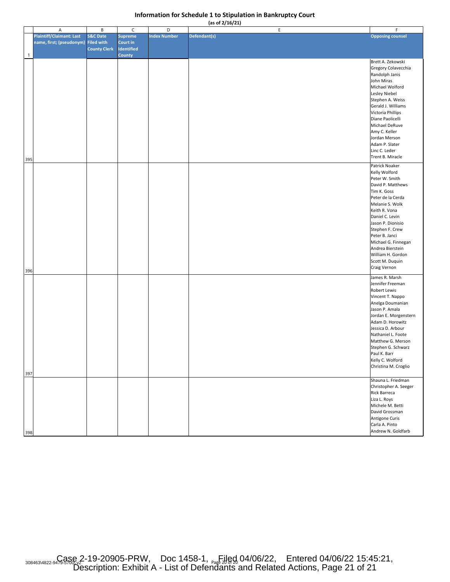|  |  | (as of 2/16/21) |  |
|--|--|-----------------|--|
|  |  |                 |  |

|              | A                                   | B                   | C                 | D                   | E            | $\mathsf F$             |
|--------------|-------------------------------------|---------------------|-------------------|---------------------|--------------|-------------------------|
|              | <b>Plaintiff/Claimant: Last</b>     | <b>S&amp;C Date</b> | <b>Supreme</b>    | <b>Index Number</b> | Defendant(s) | <b>Opposing counsel</b> |
|              | name, first; (pseudonym) Filed with |                     | <b>Court in</b>   |                     |              |                         |
|              |                                     | <b>County Clerk</b> | <b>Identified</b> |                     |              |                         |
| $\mathbf{1}$ |                                     |                     | <b>County</b>     |                     |              |                         |
|              |                                     |                     |                   |                     |              | Brett A. Zekowski       |
|              |                                     |                     |                   |                     |              | Gregory Colavecchia     |
|              |                                     |                     |                   |                     |              | Randolph Janis          |
|              |                                     |                     |                   |                     |              | John Miras              |
|              |                                     |                     |                   |                     |              | Michael Wolford         |
|              |                                     |                     |                   |                     |              | Lesley Niebel           |
|              |                                     |                     |                   |                     |              | Stephen A. Weiss        |
|              |                                     |                     |                   |                     |              | Gerald J. Williams      |
|              |                                     |                     |                   |                     |              | Victoria Phillips       |
|              |                                     |                     |                   |                     |              | Diane Paolicelli        |
|              |                                     |                     |                   |                     |              | Michael DeRuve          |
|              |                                     |                     |                   |                     |              | Amy C. Keller           |
|              |                                     |                     |                   |                     |              | Jordan Merson           |
|              |                                     |                     |                   |                     |              | Adam P. Slater          |
|              |                                     |                     |                   |                     |              | Linc C. Leder           |
|              |                                     |                     |                   |                     |              | Trent B. Miracle        |
| 395          |                                     |                     |                   |                     |              |                         |
|              |                                     |                     |                   |                     |              | Patrick Noaker          |
|              |                                     |                     |                   |                     |              | Kelly Wolford           |
|              |                                     |                     |                   |                     |              | Peter W. Smith          |
|              |                                     |                     |                   |                     |              | David P. Matthews       |
|              |                                     |                     |                   |                     |              | Tim K. Goss             |
|              |                                     |                     |                   |                     |              | Peter de la Cerda       |
|              |                                     |                     |                   |                     |              | Melanie S. Wolk         |
|              |                                     |                     |                   |                     |              | Keith R. Vona           |
|              |                                     |                     |                   |                     |              | Daniel C. Levin         |
|              |                                     |                     |                   |                     |              | Jason P. Dionisio       |
|              |                                     |                     |                   |                     |              | Stephen F. Crew         |
|              |                                     |                     |                   |                     |              | Peter B. Janci          |
|              |                                     |                     |                   |                     |              | Michael G. Finnegan     |
|              |                                     |                     |                   |                     |              | Andrea Bierstein        |
|              |                                     |                     |                   |                     |              | William H. Gordon       |
|              |                                     |                     |                   |                     |              | Scott M. Duquin         |
|              |                                     |                     |                   |                     |              | Craig Vernon            |
| 396          |                                     |                     |                   |                     |              |                         |
|              |                                     |                     |                   |                     |              | James R. Marsh          |
|              |                                     |                     |                   |                     |              | Jennifer Freeman        |
|              |                                     |                     |                   |                     |              | Robert Lewis            |
|              |                                     |                     |                   |                     |              | Vincent T. Nappo        |
|              |                                     |                     |                   |                     |              | Anelga Doumanian        |
|              |                                     |                     |                   |                     |              | Jason P. Amala          |
|              |                                     |                     |                   |                     |              | Jordan E. Morgenstern   |
|              |                                     |                     |                   |                     |              | Adam D. Horowitz        |
|              |                                     |                     |                   |                     |              | Jessica D. Arbour       |
|              |                                     |                     |                   |                     |              | Nathaniel L. Foote      |
|              |                                     |                     |                   |                     |              | Matthew G. Merson       |
|              |                                     |                     |                   |                     |              | Stephen G. Schwarz      |
|              |                                     |                     |                   |                     |              | Paul K. Barr            |
|              |                                     |                     |                   |                     |              | Kelly C. Wolford        |
|              |                                     |                     |                   |                     |              | Christina M. Croglio    |
| 397          |                                     |                     |                   |                     |              |                         |
|              |                                     |                     |                   |                     |              | Shauna L. Friedman      |
|              |                                     |                     |                   |                     |              | Christopher A. Seeger   |
|              |                                     |                     |                   |                     |              | <b>Rick Barreca</b>     |
|              |                                     |                     |                   |                     |              | Liza L. Roys            |
|              |                                     |                     |                   |                     |              | Michele M. Betti        |
|              |                                     |                     |                   |                     |              | David Grossman          |
|              |                                     |                     |                   |                     |              | Antigone Curis          |
|              |                                     |                     |                   |                     |              | Carla A. Pinto          |
|              |                                     |                     |                   |                     |              | Andrew N. Goldfarb      |
| 398          |                                     |                     |                   |                     |              |                         |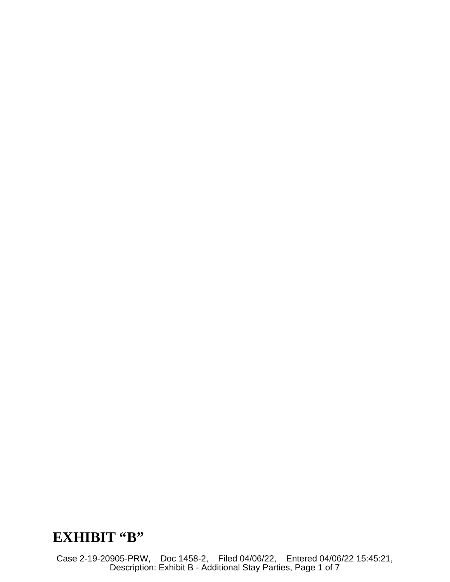# EXHIBIT "B"

Case 2-19-20905-PRW, Doc 1458-2, Filed 04/06/22, Entered 04/06/22 15:45:21, Description: Exhibit B - Additional Stay Parties, Page 1 of 7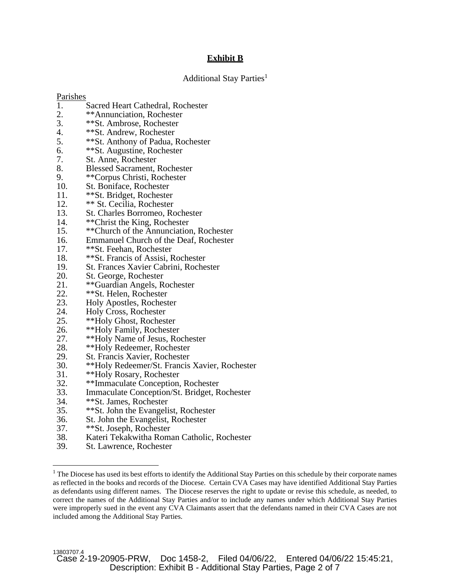# **Exhibit B**

# Additional Stay Parties<sup>1</sup>

#### Parishes

- 1. Sacred Heart Cathedral, Rochester
- 2. \*\*Annunciation, Rochester<br>3. \*\*St. Ambrose, Rochester
- 3. \*\*St. Ambrose, Rochester
- 4. \*\*St. Andrew, Rochester<br>5. \*\*St. Anthony of Padua.
- 5. \*\*St. Anthony of Padua, Rochester<br>6. \*\*St. Augustine. Rochester
- 6. \*\*St. Augustine, Rochester<br>7. St. Anne, Rochester
- St. Anne, Rochester
- 8. Blessed Sacrament, Rochester
- 9. \*\*Corpus Christi, Rochester
- 10. St. Boniface, Rochester
- 11. \*\*St. Bridget, Rochester
- 12. \*\* St. Cecilia, Rochester
- 13. St. Charles Borromeo, Rochester<br>14. \*\*Christ the King, Rochester
- \*\*Christ the King, Rochester
- 15. \*\*Church of the Annunciation, Rochester
- 16. Emmanuel Church of the Deaf, Rochester
- 17. \*\*St. Feehan, Rochester
- 18. \*\* St. Francis of Assisi, Rochester<br>19. St. Frances Xavier Cabrini, Roche
- St. Frances Xavier Cabrini, Rochester
- 20. St. George, Rochester<br>21. \*\*Guardian Angels, R
- 21. \*\*Guardian Angels, Rochester<br>22. \*\*St. Helen, Rochester
- 22. <sup>\*\*</sup>St. Helen, Rochester<br>23. Holy Apostles, Rochest
- 23. Holy Apostles, Rochester
- 24. Holy Cross, Rochester<br>25. \*\*Holy Ghost, Roches
- 25. \*\*Holy Ghost, Rochester
- 26. \*\*Holy Family, Rochester
- 27. \*\*Holy Name of Jesus, Rochester
- 28. \*\*Holy Redeemer, Rochester<br>29. St. Francis Xavier, Rochester
- 29. St. Francis Xavier, Rochester<br>30. \*\*Holy Redeemer/St. Francis
- \*\*Holy Redeemer/St. Francis Xavier, Rochester
- 31. \*\*Holy Rosary, Rochester
- 32. \*\*Immaculate Conception, Rochester<br>33. Immaculate Conception/St. Bridget. R
- Immaculate Conception/St. Bridget, Rochester
- 34. \*\*St. James, Rochester
- 35. \*\*St. John the Evangelist, Rochester
- 36. St. John the Evangelist, Rochester<br>37. \*\*St. Joseph. Rochester
- \*\*St. Joseph, Rochester
- 38. Kateri Tekakwitha Roman Catholic, Rochester
- 39. St. Lawrence, Rochester

<sup>&</sup>lt;sup>1</sup> The Diocese has used its best efforts to identify the Additional Stay Parties on this schedule by their corporate names as reflected in the books and records of the Diocese. Certain CVA Cases may have identified Additional Stay Parties as defendants using different names. The Diocese reserves the right to update or revise this schedule, as needed, to correct the names of the Additional Stay Parties and/or to include any names under which Additional Stay Parties were improperly sued in the event any CVA Claimants assert that the defendants named in their CVA Cases are not included among the Additional Stay Parties.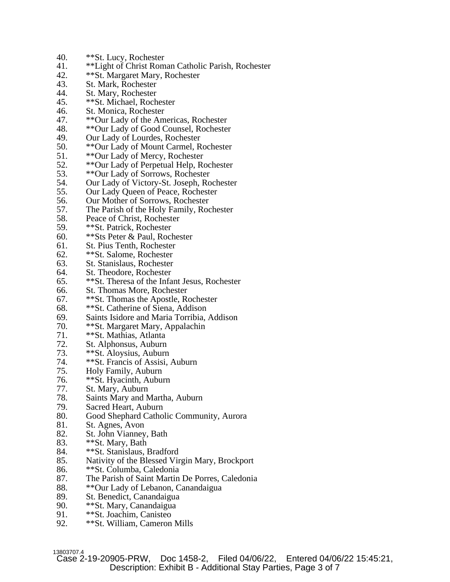- 40. \*\*St. Lucy, Rochester<br>41. \*\*Light of Christ Rom
- 41. \*\*Light of Christ Roman Catholic Parish, Rochester
- 42. \*\*St. Margaret Mary, Rochester
- 43. St. Mark, Rochester<br>44. St. Mary, Rochester
- 44. St. Mary, Rochester<br>45. \*\* St. Michael, Roch
- 45. \*\*St. Michael, Rochester
- 46. St. Monica, Rochester
- 47. \*\*Our Lady of the Americas, Rochester<br>48. \*\*Our Lady of Good Counsel, Rochester
- 48. \*\*Our Lady of Good Counsel, Rochester
- 49. Our Lady of Lourdes, Rochester<br>50. \*\*Our Lady of Mount Carmel. R
- \*\*Our Lady of Mount Carmel, Rochester
- 51. \*\*Our Lady of Mercy, Rochester
- 52. \*\* Our Lady of Perpetual Help, Rochester<br>53. \*\* Our Lady of Sorrows, Rochester
- 53. \*\*Our Lady of Sorrows, Rochester
- 54. Our Lady of Victory-St. Joseph, Rochester
- 55. Our Lady Queen of Peace, Rochester
- 56. Our Mother of Sorrows, Rochester
- 57. The Parish of the Holy Family, Rochester
- 58. Peace of Christ, Rochester<br>59. \*\*St. Patrick. Rochester
- \*\*St. Patrick, Rochester
- 60. \*\*Sts Peter & Paul, Rochester
- 61. St. Pius Tenth, Rochester
- 62. \*\*St. Salome, Rochester<br>63. St. Stanislaus, Rochester
- St. Stanislaus, Rochester
- 64. St. Theodore, Rochester
- 65. \*\*St. Theresa of the Infant Jesus, Rochester
- 66. St. Thomas More, Rochester
- 67. \*\*St. Thomas the Apostle, Rochester
- 68. \*\*St. Catherine of Siena, Addison
- 69. Saints Isidore and Maria Torribia, Addison
- 70. \*\*St. Margaret Mary, Appalachin<br>71. \*\*St. Mathias. Atlanta
- \*\*St. Mathias, Atlanta
- 72. St. Alphonsus, Auburn
- 73. \*\*St. Aloysius, Auburn<br>74. \*\*St. Francis of Assisi.
- \*\*St. Francis of Assisi, Auburn
- 75. Holy Family, Auburn
- 76. \*\*St. Hyacinth, Auburn
- 77. St. Mary, Auburn
- 78. Saints Mary and Martha, Auburn
- 79. Sacred Heart, Auburn
- 80. Good Shephard Catholic Community, Aurora
- 81. St. Agnes, Avon<br>82. St. John Viannev
- St. John Vianney, Bath
- 83. \*\*St. Mary, Bath
- 84. \*\*St. Stanislaus, Bradford
- 85. Nativity of the Blessed Virgin Mary, Brockport
- 86. \*\*St. Columba, Caledonia
- 87. The Parish of Saint Martin De Porres, Caledonia
- 88. \*\*Our Lady of Lebanon, Canandaigua<br>89. St. Benedict, Canandaigua
- 89. St. Benedict, Canandaigua<br>90. <sup>\*\*</sup>St. Mary. Canandaigua
- \*\*St. Mary, Canandaigua
- 91. \*\*St. Joachim, Canisteo
- 92. \*\*St. William, Cameron Mills

13803707.4<br>Case 2-19-20905-PRW. Doc 1458-2, Filed 04/06/22, Entered 04/06/22 15:45:21, Description: Exhibit B - Additional Stay Parties, Page 3 of 7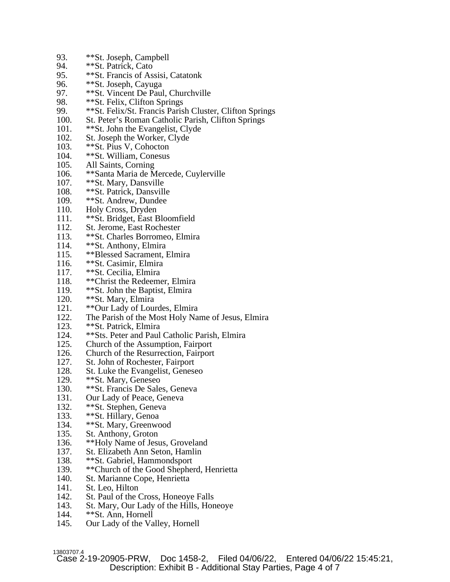- 93. \*\*St. Joseph, Campbell<br>94. \*\*St. Patrick, Cato
- \*\*St. Patrick, Cato
- 95. \*\*St. Francis of Assisi, Catatonk
- 96. \*\*St. Joseph, Cayuga<br>97. \*\*St. Vincent De Paul
- 97. \*\*St. Vincent De Paul, Churchville<br>98. \*\*St. Felix. Clifton Springs
- \*\*St. Felix, Clifton Springs
- 99. \*\*St. Felix/St. Francis Parish Cluster, Clifton Springs
- 100. St. Peter's Roman Catholic Parish, Clifton Springs 101. \*\* St. John the Evangelist. Clyde
- \*\*St. John the Evangelist, Clyde
- 102. St. Joseph the Worker, Clyde
- 103. \*\*St. Pius V, Cohocton
- 104. \*\*St. William, Conesus
- 105. All Saints, Corning<br>106. \*\*Santa Maria de M
- \*\*Santa Maria de Mercede, Cuylerville
- 107. \*\*St. Mary, Dansville
- 108. \*\*St. Patrick, Dansville
- 109. \*\*St. Andrew, Dundee
- 110. Holy Cross, Dryden
- 111. \*\* St. Bridget, East Bloomfield<br>112. St. Jerome. East Rochester
- 112. St. Jerome, East Rochester<br>113. \*\*St. Charles Borromeo. E
- \*\*St. Charles Borromeo, Elmira
- 114. \*\*St. Anthony, Elmira
- 115. \*\*Blessed Sacrament, Elmira
- 116. \*\*St. Casimir, Elmira
- 117. \*\*St. Cecilia, Elmira
- 118. \*\*Christ the Redeemer, Elmira
- 119. \*\*St. John the Baptist, Elmira<br>120. \*\*St. Mary. Elmira
- 120. \*\* St. Mary, Elmira<br>121. \*\* Our Lady of Lou
- 121. \*\*Our Lady of Lourdes, Elmira
- 122. The Parish of the Most Holy Name of Jesus, Elmira
- 123. \*\* St. Patrick, Elmira<br>124. \*\* Sts. Peter and Paul
- \*\*Sts. Peter and Paul Catholic Parish, Elmira
- 125. Church of the Assumption, Fairport
- 126. Church of the Resurrection, Fairport
- 127. St. John of Rochester, Fairport
- 128. St. Luke the Evangelist, Geneseo<br>129. \*\*St. Mary, Geneseo
- \*\*St. Mary, Geneseo
- 130. \*\*St. Francis De Sales, Geneva
- 131. Our Lady of Peace, Geneva
- 132. \*\*St. Stephen, Geneva
- 133. \*\*St. Hillary, Genoa
- 134. \*\*St. Mary, Greenwood<br>135. St. Anthony, Groton
- St. Anthony, Groton
- 136. \*\*Holy Name of Jesus, Groveland
- 137. St. Elizabeth Ann Seton, Hamlin
- 138. \*\*St. Gabriel, Hammondsport
- 139. \*\*Church of the Good Shepherd, Henrietta
- 140. St. Marianne Cope, Henrietta
- 141. St. Leo, Hilton
- 142. St. Paul of the Cross, Honeoye Falls<br>143. St. Mary, Our Lady of the Hills, Hor
- St. Mary, Our Lady of the Hills, Honeoye
- 144. \*\*St. Ann, Hornell
- 145. Our Lady of the Valley, Hornell

13803707.4<br>Case 2-19-20905-PRW. Doc 1458-2, Filed 04/06/22, Entered 04/06/22 15:45:21, Description: Exhibit B - Additional Stay Parties, Page 4 of 7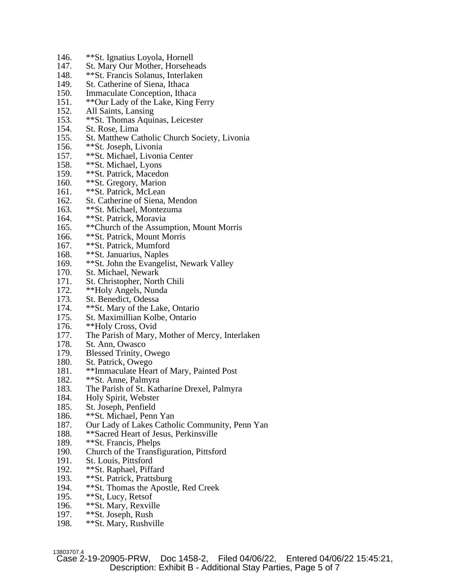- 146. \*\*St. Ignatius Loyola, Hornell
- 147. St. Mary Our Mother, Horseheads
- 148. \*\*St. Francis Solanus, Interlaken
- 149. St. Catherine of Siena, Ithaca<br>150. Immaculate Conception, Ithac
- 150. Immaculate Conception, Ithaca<br>151. \*\*Our Lady of the Lake. King I
- \*\*Our Lady of the Lake, King Ferry
- 152. All Saints, Lansing
- 153. \*\* St. Thomas Aquinas, Leicester<br>154. St. Rose, Lima
- St. Rose, Lima
- 155. St. Matthew Catholic Church Society, Livonia
- 156. \*\*St. Joseph, Livonia
- 157. \*\*St. Michael, Livonia Center
- 158. \*\*St. Michael, Lyons<br>159. \*\*St. Patrick, Macedo
- \*\*St. Patrick, Macedon
- 160. \*\*St. Gregory, Marion
- 161. \*\*St. Patrick, McLean
- 162. St. Catherine of Siena, Mendon
- 163. \*\*St. Michael, Montezuma
- 164. \*\*St. Patrick, Moravia
- 165. \*\*Church of the Assumption, Mount Morris
- 166. \*\*St. Patrick, Mount Morris
- 167. \*\*St. Patrick, Mumford
- 168. \*\*St. Januarius, Naples
- 169. \*\*St. John the Evangelist, Newark Valley
- 170. St. Michael, Newark
- 171. St. Christopher, North Chili
- 172. \*\*Holy Angels, Nunda<br>173. St. Benedict. Odessa
- St. Benedict, Odessa
- 174. \*\* St. Mary of the Lake, Ontario
- 175. St. Maximillian Kolbe, Ontario
- 176. \*\*Holy Cross, Ovid<br>177. The Parish of Mary.
- The Parish of Mary, Mother of Mercy, Interlaken
- 178. St. Ann, Owasco
- 179. Blessed Trinity, Owego
- 180. St. Patrick, Owego
- 181. \*\*Immaculate Heart of Mary, Painted Post
- 182. \*\*St. Anne, Palmyra
- 183. The Parish of St. Katharine Drexel, Palmyra
- 184. Holy Spirit, Webster
- 185. St. Joseph, Penfield
- 186. \*\*St. Michael, Penn Yan
- 187. Our Lady of Lakes Catholic Community, Penn Yan 188. \*\* Sacred Heart of Jesus, Perkinsville
- \*\*Sacred Heart of Jesus, Perkinsville
- 189. \*\*St. Francis, Phelps
- 190. Church of the Transfiguration, Pittsford
- 191. St. Louis, Pittsford
- 192. \*\*St. Raphael, Piffard
- 193. \*\*St. Patrick, Prattsburg
- 194. \*\*St. Thomas the Apostle, Red Creek<br>195. \*\*St. Lucy. Retsof
- 195. \*\*St, Lucy, Retsof<br>196. \*\*St. Mary, Rexvil
- \*\*St. Mary, Rexville
- 197. \*\*St. Joseph, Rush
- 198. \*\*St. Mary, Rushville

13803707.4<br>Case 2-19-20905-PRW, Doc 1458-2, Filed 04/06/22, Entered 04/06/22 15:45:21, Description: Exhibit B - Additional Stay Parties, Page 5 of 7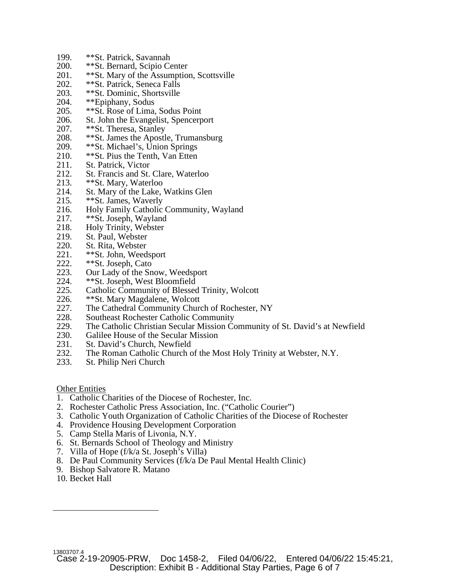- 199. \*\*St. Patrick, Savannah<br>200. \*\*St. Bernard, Scipio Ce
- \*\*St. Bernard, Scipio Center
- 201. \*\*St. Mary of the Assumption, Scottsville
- 202. \*\* St. Patrick, Seneca Falls<br>203. \*\* St. Dominic, Shortsville
- 203. \*\*St. Dominic, Shortsville<br>204. \*\*Epiphany. Sodus
- \*\*Epiphany, Sodus
- 205. \*\*St. Rose of Lima, Sodus Point
- 206. St. John the Evangelist, Spencerport 207. \*\* St. Theresa. Stanley
- \*\*St. Theresa, Stanley
- 208. \*\*St. James the Apostle, Trumansburg
- 209. \*\*St. Michael's, Union Springs
- 210. \*\*St. Pius the Tenth, Van Etten
- 211. St. Patrick, Victor<br>212. St. Francis and St.
- St. Francis and St. Clare, Waterloo
- 213. \*\*St. Mary, Waterloo
- 214. St. Mary of the Lake, Watkins Glen
- 215. \*\*St. James, Waverly
- 216. Holy Family Catholic Community, Wayland
- 217. \*\*St. Joseph, Wayland
- 218. Holy Trinity, Webster<br>219. St. Paul. Webster
- St. Paul, Webster
- 220. St. Rita, Webster
- 221. \*\*St. John, Weedsport<br>222. \*\*St. Joseph. Cato
- \*\*St. Joseph, Cato
- 223. Our Lady of the Snow, Weedsport
- 224. \*\*St. Joseph, West Bloomfield
- 225. Catholic Community of Blessed Trinity, Wolcott<br>226. \*\*St Mary Magdalene, Wolcott
- 226. \*\*St. Mary Magdalene, Wolcott<br>227. The Cathedral Community Chure
- The Cathedral Community Church of Rochester, NY
- 228. Southeast Rochester Catholic Community
- 229. The Catholic Christian Secular Mission Community of St. David's at Newfield<br>230. Galilee House of the Secular Mission
- Galilee House of the Secular Mission
- 231. St. David's Church, Newfield
- 232. The Roman Catholic Church of the Most Holy Trinity at Webster, N.Y. 233. St. Philip Neri Church
- St. Philip Neri Church

Other Entities

- 1. Catholic Charities of the Diocese of Rochester, Inc.
- 2. Rochester Catholic Press Association, Inc. ("Catholic Courier")
- 3. Catholic Youth Organization of Catholic Charities of the Diocese of Rochester
- 4. Providence Housing Development Corporation
- 5. Camp Stella Maris of Livonia, N.Y.
- 6. St. Bernards School of Theology and Ministry
- 7. Villa of Hope (f/k/a St. Joseph's Villa)
- 8. De Paul Community Services (f/k/a De Paul Mental Health Clinic)
- 9. Bishop Salvatore R. Matano
- 10. Becket Hall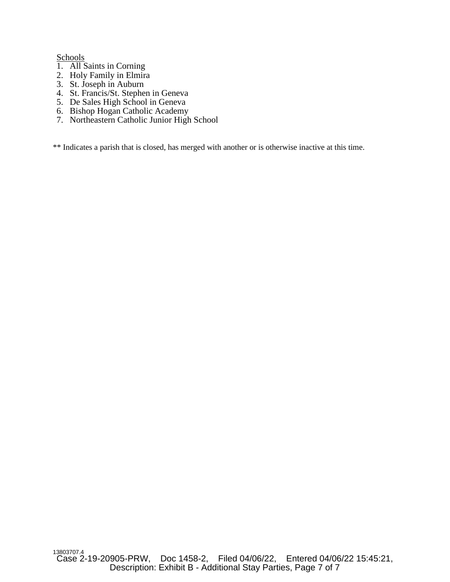**Schools** 

- 1. All Saints in Corning
- 2. Holy Family in Elmira
- 3. St. Joseph in Auburn
- 4. St. Francis/St. Stephen in Geneva
- 5. De Sales High School in Geneva
- 6. Bishop Hogan Catholic Academy
- 7. Northeastern Catholic Junior High School

\*\* Indicates a parish that is closed, has merged with another or is otherwise inactive at this time.